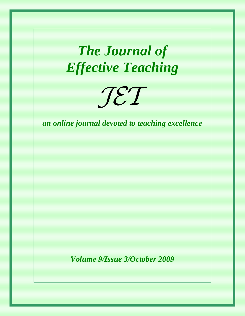# *The Journal of Effective Teaching*



*an online journal devoted to teaching excellence* 

*Volume 9/Issue 3/October 2009*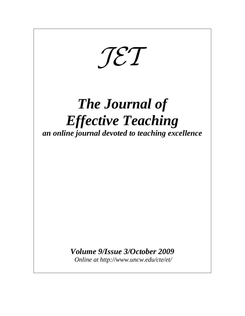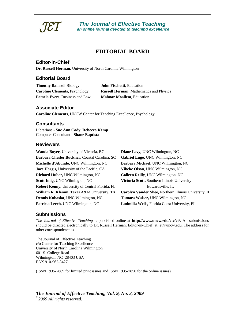

# **EDITORIAL BOARD**

#### **Editor-in-Chief**

**Dr. Russell Herman**, University of North Carolina Wilmington

#### **Editorial Board**

**Timothy Ballard**, Biology **John Fischetti**, Education Pamela Evers, Business and Law **Mahnaz Moallem**, Education

**Caroline Clements**, Psychology **Russell Herman**, Mathematics and Physics

#### **Associate Editor**

**Caroline Clements**, UNCW Center for Teaching Excellence, Psychology

#### **Consultants**

Librarians - **Sue Ann Cody**, **Rebecca Kemp** Computer Consultant - **Shane Baptista**

#### **Reviewers**

| Wanda Boyer, University of Victoria, BC                | Diane Levy, UNC Wilmington, NC                               |
|--------------------------------------------------------|--------------------------------------------------------------|
| Barbara Chesler Buckner, Coastal Carolina, SC          | Gabriel Lugo, UNC Wilmington, NC                             |
| Michelle d'Abundo, UNC Wilmington, NC                  | Barbara Michael, UNC Wilmington, NC                          |
| Jace Hargis, University of the Pacific, CA             | Vibeke Olson, UNC Wilmington, NC                             |
| Richard Huber, UNC Wilmington, NC                      | Colleen Reilly, UNC Wilmington, NC                           |
| Scott Imig, UNC Wilmington, NC                         | Victoria Scott, Southern Illinois University                 |
| <b>Robert Kenny, University of Central Florida, FL</b> | Edwardsville, IL                                             |
| <b>William R. Klemm, Texas A&amp;M University, TX</b>  | <b>Carolyn Vander Shee, Northern Illinois University, IL</b> |
| Dennis Kubasko, UNC Wilmington, NC                     | Tamara Walser, UNC Wilmington, NC                            |
| Patricia Lerch, UNC Wilmington, NC                     | Ludmilla Wells, Florida Coast University, FL                 |
|                                                        |                                                              |

#### **Submissions**

*The Journal of Effective Teaching* is published online at **http://www.uncw.edu/cte/et/**. All submissions should be directed electronically to Dr. Russell Herman, Editor-in-Chief, at jet@uncw.edu. The address for other correspondence is

The Journal of Effective Teaching c/o Center for Teaching Excellence University of North Carolina Wilmington 601 S. College Road Wilmington, NC 28403 USA FAX 910-962-3427

(ISSN 1935-7869 for limited print issues and ISSN 1935-7850 for the online issues)

# *The Journal of Effective Teaching, Vol. 9, No. 3, 2009*

*©2009 All rights reserv*ed.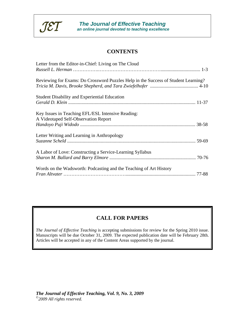

# **CONTENTS**

| Letter from the Editor-in-Chief: Living on The Cloud                                      |
|-------------------------------------------------------------------------------------------|
| Reviewing for Exams: Do Crossword Puzzles Help in the Success of Student Learning?        |
| <b>Student Disability and Experiential Education</b>                                      |
| Key Issues in Teaching EFL/ESL Intensive Reading:<br>A Videotaped Self-Observation Report |
| Letter Writing and Learning in Anthropology                                               |
| A Labor of Love: Constructing a Service-Learning Syllabus                                 |
| Words on the Wadsworth: Podcasting and the Teaching of Art History                        |

# **CALL FOR PAPERS**

*The Journal of Effective Teaching* is accepting submissions for review for the Spring 2010 issue. Manuscripts will be due October 31, 2009. The expected publication date will be February 28th. Articles will be accepted in any of the Content Areas supported by the journal.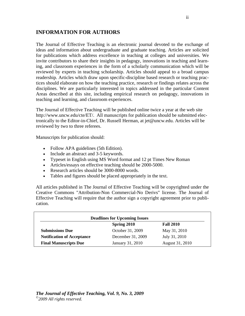# **INFORMATION FOR AUTHORS**

The Journal of Effective Teaching is an electronic journal devoted to the exchange of ideas and information about undergraduate and graduate teaching. Articles are solicited for publications which address excellence in teaching at colleges and universities. We invite contributors to share their insights in pedagogy, innovations in teaching and learning, and classroom experiences in the form of a scholarly communication which will be reviewed by experts in teaching scholarship. Articles should appeal to a broad campus readership. Articles which draw upon specific-discipline based research or teaching practices should elaborate on how the teaching practice, research or findings relates across the disciplines. We are particularly interested in topics addressed in the particular Content Areas described at this site, including empirical research on pedagogy, innovations in teaching and learning, and classroom experiences.

The Journal of Effective Teaching will be published online twice a year at the web site http://www.uncw.edu/cte/ET/. All manuscripts for publication should be submitted electronically to the Editor-in-Chief, Dr. Russell Herman, at jet@uncw.edu. Articles will be reviewed by two to three referees.

Manuscripts for publication should:

- Follow APA guidelines (5th Edition).
- Include an abstract and 3-5 keywords.
- Typeset in English using MS Word format and 12 pt Times New Roman
- Articles/essays on effective teaching should be 2000-5000.
- Research articles should be 3000-8000 words.
- Tables and figures should be placed appropriately in the text.

All articles published in The Journal of Effective Teaching will be copyrighted under the Creative Commons "Attribution-Non Commercial-No Derivs" license. The Journal of Effective Teaching will require that the author sign a copyright agreement prior to publication.

| <b>Deadlines for Upcoming Issues</b> |                   |                  |  |
|--------------------------------------|-------------------|------------------|--|
|                                      | Spring 2010       | <b>Fall 2010</b> |  |
| <b>Submissions Due</b>               | October 31, 2009  | May 31, 2010     |  |
| <b>Notification of Acceptance</b>    | December 31, 2009 | July 31, 2010    |  |
| <b>Final Manuscripts Due</b>         | January 31, 2010  | August 31, 2010  |  |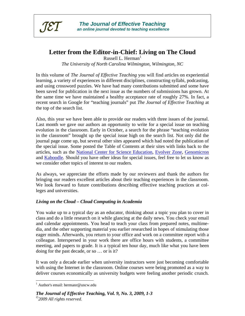

# **Letter from the Editor-in-Chief: Living on The Cloud**

Russell L. Herman $<sup>1</sup>$ </sup> *The University of North Carolina Wilmington, Wilmington, NC* 

In this volume of *The Journal of Effective Teaching* you will find articles on experiential learning, a variety of experiences in different disciplines, constructing syllabi, podcasting, and using crossword puzzles. We have had many contributions submitted and some have been saved for publication in the next issue as the numbers of submissions has grown. At the same time we have maintained a healthy acceptance rate of roughly 27%. In fact, a recent search in Google for "teaching journals" put *The Journal of Effective Teaching* at the top of the search list.

Also, this year we have been able to provide our readers with three issues of the journal. Last month we gave our authors an opportunity to write for a special issue on teaching evolution in the classroom. Early in October, a search for the phrase "teaching evolution in the classroom" brought up the special issue high on the search list. Not only did the journal page come up, but several other sites appeared which had noted the publication of the special issue. Some posted the Table of Contents at their sites with links back to the articles, such as the National Center for Science Education, Evolver Zone, Genomicron and Kaboodle. Should you have other ideas for special issues, feel free to let us know as we consider other topics of interest to our readers.

As always, we appreciate the efforts made by our reviewers and thank the authors for bringing our readers excellent articles about their teaching experiences in the classroom. We look forward to future contributions describing effective teaching practices at colleges and universities.

#### *Living on the Cloud – Cloud Computing in Academia*

You wake up to a typical day as an educator, thinking about a topic you plan to cover in class and do a little research on it while glancing at the daily news. You check your email and calendar appointments. You head to teach your class from prepared notes, multimedia, and the other supporting material you earlier researched in hopes of stimulating those eager minds. Afterwards, you return to your office and work on a committee report with a colleague. Interspersed in your work there are office hours with students, a committee meeting, and papers to grade. It is a typical ten hour day, much like what you have been doing for the past decade, or so … or is it?

It was only a decade earlier when university instructors were just becoming comfortable with using the Internet in the classroom. Online courses were being promoted as a way to deliver courses economically as university budgets were feeling another periodic crunch.

<u>.</u>

<sup>1</sup> Author's email: hermanr@uncw.edu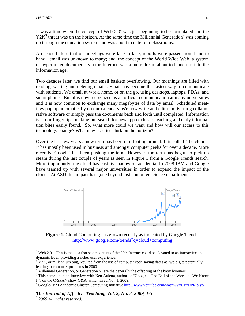$\overline{a}$ 

It was a time when the concept of Web  $2.0<sup>2</sup>$  was just beginning to be formulated and the  $Y2K<sup>3</sup>$  threat was on the horizon. At the same time the Millennial Generation<sup>4</sup> was coming up through the education system and was about to enter our classrooms.

A decade before that our meetings were face to face; reports were passed from hand to hand; email was unknown to many; and, the concept of the World Wide Web, a system of hyperlinked documents via the Internet, was a mere dream about to launch us into the information age.

Two decades later, we find our email baskets overflowing. Our mornings are filled with reading, writing and deleting emails. Email has become the fastest way to communicate with students. We email at work, home, or on the go, using desktops, laptops, PDAs, and smart phones. Email is now recognized as an official communication at many universities and it is now common to exchange many megabytes of data by email. Scheduled meetings pop up automatically on our calendars. We now write and edit reports using collaborative software or simply pass the documents back and forth until completed. Information is at our finger tips, making our search for new approaches to teaching and daily information bites easily found. So, what more could we want and how will our access to this technology change? What new practices lurk on the horizon?

Over the last few years a new term has begun to floating around. It is called "the cloud". It has mostly been used in business and amongst computer geeks for over a decade. More recently,  $Google<sup>5</sup>$  has been pushing the term. However, the term has begun to pick up steam during the last couple of years as seen in Figure 1 from a Google Trends search. More importantly, the cloud has cast its shadow on academia. In 2008 IBM and Google have teamed up with several major universities in order to expand the impact of the cloud<sup>6</sup>. At ASU this impact has gone beyond just computer science departments.



Figure 1. Cloud Computing has grown recently as indicated by Google Trends. http://www.google.com/trends?q=cloud+computing

<sup>&</sup>lt;sup>2</sup> Web 2.0 – This is the idea that static content of the 90's Internet could be elevated to an interactive and dynamic level, providing a richer user experience.

 $3 \text{ Y2K}$ , or millennium bug, resulted from the use of computer code saving dates as two digits potentially leading to computer problems in 2000.

<sup>&</sup>lt;sup>4</sup> Millennial Generation, or Generation Y, are the generally the offspring of the baby boomers.

<sup>&</sup>lt;sup>5</sup> This came up in an interview with Ken Auletta, author of "Googled: The End of the World as We Know It", on the C-SPAN show Q&A, which aired Nov 1, 2009.

<sup>&</sup>lt;sup>6</sup> Google-IBM Academic Cluster Computing Initiative http://www.youtube.com/watch?v=UBrDPRlplyo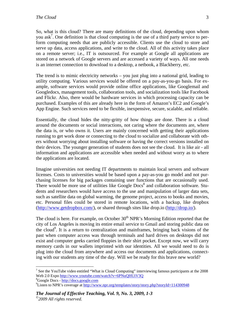So, what is this cloud? There are many definitions of the cloud, depending upon whom you ask<sup>7</sup>. One definition is that cloud computing is the use of a third party service to perform computing needs that are publicly accessible. Clients use the cloud to store and serve up data, access applications, and write to the cloud. All of this activity takes place on a remote server; i.e., IT is outsourced. For example at Google all applications are stored on a network of Google servers and are accessed a variety of ways. All one needs is an internet connection to download to a desktop, a netbook, a Blackberry, etc.

The trend is to mimic electricity networks – you just plug into a national grid, leading to utility computing. Various services would be offered on a pay-as-you-go basis. For example, software services would provide online office applications, like Googlemail and Googledocs, management tools, collaboration tools, and socialization tools like Facebook and Flickr. Also, there would be hardware services in which processing capacity can be purchased. Examples of this are already here in the form of Amazon's EC2 and Google's App Engine. Such services need to be flexible, inexpensive, secure, scalable, and reliable.

Essentially, the cloud hides the nitty-gritty of how things are done. There is a cloud around the documents or social interactions, not caring where the documents are, where the data is, or who owns it. Users are mainly concerned with getting their applications running to get work done or connecting to the cloud to socialize and collaborate with others without worrying about installing software or having the correct versions installed on their devices. The younger generation of students does not see the cloud. It is like air - all information and applications are accessible when needed and without worry as to where the applications are located.

Imagine universities not needing IT departments to maintain local servers and software licenses. Costs to universities would be based upon a pay-as-you go model and not purchasing licenses for big packages containing user functions that are occasionally used. There would be more use of utilities like Google  $Docs<sup>8</sup>$  and collaboration software. Students and researchers would have access to the use and manipulation of larger data sets, such as satellite data on global warming, the genome project, access to books and movies, etc. Personal files could be stored in remote locations, with a backup, like dropbox (http://www.getdropbox.com/), or shared through sites like drop.io (http://drop.io/).

The cloud is here. For example, on October  $30<sup>th</sup>$  NPR's Morning Edition reported that the city of Los Angeles is moving its entire email service to Gmail and storing public data on the cloud<sup>9</sup>. It is a return to centralization and mainframes, bringing back visions of the past when computer access was through terminals and hard drives on desktops did not exist and computer geeks carried floppies in their shirt pocket. Except now, we will carry memory cards in our wallets imprinted with our identities. All we would need to do is plug into the cloud from anywhere and access our documents and applications, connecting with our students any time of the day. Will we be ready for this brave new world?

 $\overline{a}$ 

<sup>&</sup>lt;sup>7</sup> See the YouTube video entitled "What is Cloud Computing" interviewing famous participants at the 2008 Web 2.0 Expo http://www.youtube.com/watch?v=6PNuQHUiV3Q

<sup>&</sup>lt;sup>8</sup>Google Docs - http://docs.google.com

<sup>&</sup>lt;sup>9</sup>Listen to NPR's coverage at http://www.npr.org/templates/story/story.php?storyId=114300948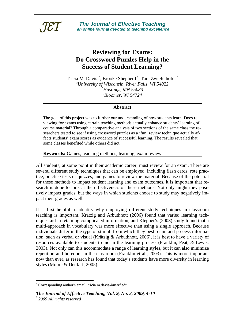

# **Reviewing for Exams: Do Crossword Puzzles Help in the Success of Student Learning?**

Tricia M. Davis<sup>1a</sup>, Brooke Shepherd<sup>b</sup>, Tara Zwiefelhofer<sup>c</sup> a *University of Wisconsin, River Falls, WI 54022*  b *Hastings, MN 55033*  c *Bloomer, WI 54724* 

#### **Abstract**

The goal of this project was to further our understanding of how students learn. Does reviewing for exams using certain teaching methods actually enhance students' learning of course material? Through a comparative analysis of two sections of the same class the researchers tested to see if using crossword puzzles as a 'fun' review technique actually affects students' exam scores as evidence of successful learning. The results revealed that some classes benefited while others did not.

**Keywords:** Games, teaching methods, learning, exam review.

All students, at some point in their academic career, must review for an exam. There are several different study techniques that can be employed, including flash cards, rote practice, practice tests or quizzes, and games to review the material. Because of the potential for these methods to impact student learning and exam outcomes, it is important that research is done to look at the effectiveness of these methods. Not only might they positively impact grades, but the ways in which students choose to study may negatively impact their grades as well.

It is first helpful to identify why employing different study techniques in classroom teaching is important. Krätzig and Arbuthnott (2006) found that varied learning techniques aid in retaining complicated information, and Klepper's (2003) study found that a multi-approach in vocabulary was more effective than using a single approach. Because individuals differ in the type of stimuli from which they best retain and process information, such as verbal or visual (Krätzig & Arbuthnott, 2006), it is best to have a variety of resources available to students to aid in the learning process (Franklin, Peat, & Lewis, 2003). Not only can this accommodate a range of learning styles, but it can also minimize repetition and boredom in the classroom (Franklin et al., 2003). This is more important now than ever, as research has found that today's students have more diversity in learning styles (Moore & Dettlaff, 2005).

<u>.</u>

<sup>&</sup>lt;sup>1</sup> Corresponding author's email: tricia.m.davis@uwrf.edu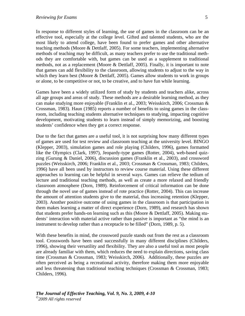In response to different styles of learning, the use of games in the classroom can be an effective tool, especially at the college level. Gifted and talented students, who are the most likely to attend college, have been found to prefer games and other alternative teaching methods (Moore & Dettlaff, 2005). For some teachers, implementing alternative methods of teaching may be difficult, as many teachers prefer to use the traditional methods they are comfortable with, but games can be used as a supplement to traditional methods, not as a replacement (Moore & Dettlaff, 2005). Finally, it is important to note that games can add flexibility to the classroom, allowing students to adjust to the way in which they learn best (Moore & Dettlaff, 2005). Games allow students to work in groups or alone, to be competitive or not, to be creative, and to have fun while learning.

Games have been a widely utilized form of study by students and teachers alike, across all age groups and areas of study. These methods are a desirable learning method, as they can make studying more enjoyable (Franklin et al., 2003; Weisskirch, 2006; Crossman & Crossman, 1983). Haun (1985) reports a number of benefits to using games in the classroom, including teaching students alternative techniques to studying, impacting cognitive development, motivating students to learn instead of simply memorizing, and boosting students' confidence when they get a correct response.

Due to the fact that games are a useful tool, it is not surprising how many different types of games are used for test review and classroom teaching at the university level. BINGO (Klepper, 2003), simulation games and role playing (Childers, 1996), games formatted like the Olympics (Clark, 1997), Jeopardy-type games (Rotter, 2004), web-based quizzing (Gurung & Daniel, 2006), discussion games (Franklin et al., 2003), and crossword puzzles (Weisskirch, 2006; Franklin et al., 2003; Crossman & Crossman, 1983; Childers, 1996) have all been used by instructors to review course material. Using these different approaches to learning can be helpful in several ways. Games can relieve the tedium of lecture and traditional teaching methods, as well as create a more relaxed and friendly classroom atmosphere (Dorn, 1989). Reinforcement of critical information can be done through the novel use of games instead of rote practice (Rotter, 2004). This can increase the amount of attention students give to the material, thus increasing retention (Klepper, 2003). Another positive outcome of using games in the classroom is that participation in them makes learning a matter of direct experience (Dorn, 1989), and research has shown that students prefer hands-on learning such as this (Moore & Dettlaff, 2005). Making students' interaction with material active rather than passive is important as "the mind is an instrument to develop rather than a receptacle to be filled" (Dorn, 1989, p. 5).

With these benefits in mind, the crossword puzzle stands out from the rest as a classroom tool. Crosswords have been used successfully in many different disciplines (Childers, 1996), showing their versatility and flexibility. They are also a useful tool as most people are already familiar with them, which reduces the need to explain directions, saving class time (Crossman & Crossman, 1983; Weisskirch, 2006). Additionally, these puzzles are often perceived as being a recreational activity, therefore making them more enjoyable and less threatening than traditional teaching techniques (Crossman & Crossman, 1983; Childers, 1996).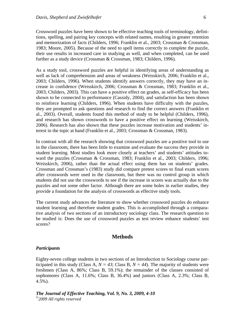Crossword puzzles have been shown to be effective teaching tools of terminology, definitions, spelling, and pairing key concepts with related names, resulting in greater retention and memorization of facts (Childers, 1996; Franklin et al., 2003; Crossman & Crossman, 1983; Moore, 2005). Because of the need to spell items correctly to complete the puzzle, their use results in increased care in studying as well, and when completed, can be used further as a study device (Crossman & Crossman, 1983; Childers, 1996).

As a study tool, crossword puzzles are helpful in identifying areas of understanding as well as lack of comprehension and areas of weakness (Weisskirch, 2006; Franklin et al., 2003; Childers, 1996). When students identify answers correctly, they may have an increase in confidence (Weisskirch, 2006; Crossman & Crossman, 1983; Franklin et al., 2003; Childers, 2003). This can have a positive effect on grades, as self-efficacy has been shown to be connected to performance (Cassidy, 2004), and satisfaction has been shown to reinforce learning (Childers, 1996). When students have difficulty with the puzzles, they are prompted to ask questions and research to find the correct answers (Franklin et al., 2003). Overall, students found this method of study to be helpful (Childers, 1996), and research has shown crosswords to have a positive effect on learning (Weisskirch, 2006). Research has also shown that these puzzles increase motivation and students' interest in the topic at hand (Franklin et al., 2003; Crossman & Crossman, 1983).

In contrast with all the research showing that crossword puzzles are a positive tool to use in the classroom, there has been little to examine and evaluate the success they provide in student learning. Most studies look more closely at teachers' and students' attitudes toward the puzzles (Crossman & Crossman, 1983; Franklin et al., 2003; Childers, 1996; Weisskirch, 2006), rather than the actual effect using them has on students' grades. Crossman and Crossman's (1983) study did compare pretest scores to final exam scores after crosswords were used in the classroom, but there was no control group in which students did not use the crosswords to see if the increase in scores was actually due to the puzzles and not some other factor. Although there are some holes in earlier studies, they provide a foundation for the analysis of crosswords as effective study tools.

The current study advances the literature to show whether crossword puzzles do enhance student learning and therefore student grades. This is accomplished through a comparative analysis of two sections of an introductory sociology class. The research question to be studied is: Does the use of crossword puzzles as test review enhance students' test scores?

#### **Methods**

#### *Participants*

Eighty-seven college students in two sections of an Introduction to Sociology course participated in this study (Class A,  $N = 43$ ; Class B,  $N = 44$ ). The majority of students were freshmen (Class A, 86%; Class B, 59.1%); the remainder of the classes consisted of sophomores (Class A, 11.6%; Class B, 36.4%) and juniors (Class A, 2.3%; Class B, 4.5%).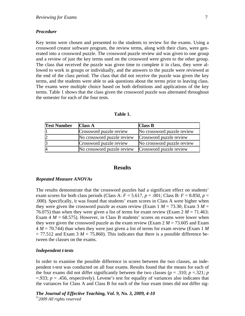#### *Procedure*

Key terms were chosen and presented to the students to review for the exams. Using a crossword creator software program, the review terms, along with their clues, were generated into a crossword puzzle. The crossword puzzle review aid was given to one group and a review of just the key terms used on the crossword were given to the other group. The class that received the puzzle was given time to complete it in class, they were allowed to work in groups or individually, and the answers to the puzzle were reviewed at the end of the class period. The class that did not receive the puzzle was given the key terms, and the students were able to ask questions about the terms prior to leaving class. The exams were multiple choice based on both definitions and applications of the key terms. Table 1 shows that the class given the crossword puzzle was alternated throughout the semester for each of the four tests.

| 'able |  |
|-------|--|
|-------|--|

| <b>Test Number</b> | <b>Class A</b>             | <b>Class B</b>             |
|--------------------|----------------------------|----------------------------|
|                    | Crossword puzzle review    | No crossword puzzle review |
| $\overline{2}$     | No crossword puzzle review | Crossword puzzle review    |
| ß                  | Crossword puzzle review    | No crossword puzzle review |
| 4                  | No crossword puzzle review | Crossword puzzle review    |

#### **Results**

#### *Repeated Measure ANOVAs*

The results demonstrate that the crossword puzzles had a significant effect on students' exam scores for both class periods (Class A:  $F = 5.617$ ,  $p = .001$ ; Class B:  $F = 8.850$ ,  $p =$ .000). Specifically, it was found that students' exam scores in Class A were higher when they were given the crossword puzzle as exam review (Exam  $1 M = 73.30$ ; Exam  $3 M =$ 76.075) than when they were given a list of terms for exam review (Exam  $2 M = 71.463$ ; Exam  $4 M = 68.575$ ). However, in Class B students' scores on exams were lower when they were given the crossword puzzle as the exam review (Exam  $2 M = 73.605$  and Exam 4 *M* = 70.744) than when they were just given a list of terms for exam review (Exam 1 *M*   $= 77.512$  and Exam 3  $M = 75.860$ ). This indicates that there is a possible difference between the classes on the exams.

#### *Independent t-tests*

In order to examine the possible difference in scores between the two classes, an independent t-test was conducted on all four exams. Results found that the means for each of the four exams did not differ significantly between the two classes ( $p = .310$ ;  $p = .321$ ;  $p = .321$  $=$ .933;  $p = 0.456$ , respectively). Levene's test for equality of variances also indicates that the variances for Class A and Class B for each of the four exam times did not differ sig-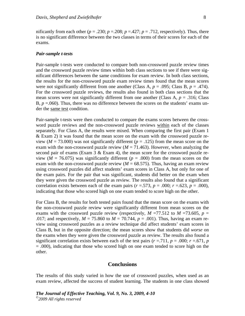nificantly from each other ( $p = .230$ ;  $p = .208$ ;  $p = .427$ ;  $p = .712$ , respectively). Thus, there is no significant difference between the two classes in terms of their scores for each of the exams.

#### *Pair-sample t-tests*

Pair-sample t-tests were conducted to compare both non-crossword puzzle review times and the crossword puzzle review times within both class sections to see if there were significant differences between the same conditions for exam review. In both class sections, the results for the non-crossword puzzle exam review times found that the mean scores were not significantly different from one another (Class A,  $p = .095$ ; Class B,  $p = .474$ ). For the crossword puzzle reviews, the results also found in both class sections that the mean scores were not significantly different from one another (Class A,  $p = .316$ ; Class B,  $p = 0.060$ . Thus, there was no difference between the scores on the students' exams under the same test condition.

Pair-sample t-tests were then conducted to compare the exams scores between the crossword puzzle reviews and the non-crossword puzzle reviews within each of the classes separately. For Class A, the results were mixed. When comparing the first pair (Exam 1 & Exam 2) it was found that the mean score on the exam with the crossword puzzle review ( $M = 73.000$ ) was not significantly different ( $p = .125$ ) from the mean score on the exam with the non-crossword puzzle review  $(M = 71.463)$ . However, when analyzing the second pair of exams (Exam 3 & Exam 4), the mean score for the crossword puzzle review ( $M = 76.075$ ) was significantly different ( $p = .000$ ) from the mean scores on the exam with the non-crossword puzzle review  $(M = 68.575)$ . Thus, having an exam review using crossword puzzles did affect students' exam scores in Class A, but only for one of the exam pairs. For the pair that was significant, students did better on the exam when they were given the crossword puzzle as review. The results also found that a significant correlation exists between each of the exam pairs ( $r = .573$ ,  $p = .000$ ;  $r = .623$ ,  $p = .000$ ), indicating that those who scored high on one exam tended to score high on the other.

For Class B, the results for both tested pairs found that the mean score on the exams with the non-crossword puzzle review were significantly different from mean scores on the exams with the crossword puzzle review (respectively,  $M = 77.512$  to  $M = 73.605$ ,  $p =$ .017; and respectively,  $M = 75.860$  to  $M = 70.744$ ,  $p = .001$ ). Thus, having an exam review using crossword puzzles as a review technique did affect students' exam scores in Class B, but in the opposite direction; the mean scores show that students did *worse* on the exams when they were given the crossword puzzle as review. The results also found a significant correlation exists between each of the test pairs  $(r = .711, p = .000; r = .671, p$ = .000), indicating that those who scored high on one exam tended to score high on the other.

#### **Conclusions**

The results of this study varied in how the use of crossword puzzles, when used as an exam review, affected the success of student learning. The students in one class showed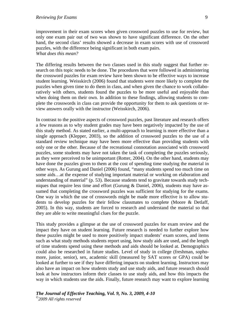improvement in their exam scores when given crossword puzzles to use for review, but only one exam pair out of two was shown to have significant difference. On the other hand, the second class' results showed a decrease in exam scores with use of crossword puzzles, with the difference being significant in both exam pairs. *What does this mean?* 

The differing results between the two classes used in this study suggest that further research on this topic needs to be done. The procedures that were followed in administering the crossword puzzles for exam review have been shown to be effective ways to increase student learning. Weisskirch (2006) found that students were more likely to complete the puzzles when given time to do them in class, and when given the chance to work collaboratively with others, students found the puzzles to be more useful and enjoyable than when doing them on their own. In addition to these findings, allowing students to complete the crosswords in class can provide the opportunity for them to ask questions or review answers orally with the instructor (Weisskirch, 2006).

In contrast to the positive aspects of crossword puzzles, past literature and research offers a few reasons as to why student grades may have been negatively impacted by the use of this study method. As stated earlier, a multi-approach to learning is more effective than a single approach (Klepper, 2003), so the addition of crossword puzzles to the use of a standard review technique may have been more effective than providing students with only one or the other. Because of the recreational connotation associated with crossword puzzles, some students may have not taken the task of completing the puzzles seriously, as they were perceived to be unimportant (Rotter, 2004). On the other hand, students may have done the puzzles given to them at the cost of spending time studying the material in other ways. As Gurung and Daniel (2006) found, "many students spend too much time on some aids…at the expense of studying important material or working on elaboration and understanding of material" (p. 53). Because students tend to gravitate towards study techniques that require less time and effort (Gurung & Daniel, 2006), students may have assumed that completing the crossword puzzles was sufficient for studying for the exams. One way in which the use of crosswords might be made more effective is to allow students to develop puzzles for their fellow classmates to complete (Moore & Detlaff, 2005). In this way, students are forced to research and understand the material so that they are able to write meaningful clues for the puzzle.

This study provides a glimpse at the use of crossword puzzles for exam review and the impact they have on student learning. Future research is needed to further explore how these puzzles might be used to more positively impact students' exam scores, and items such as what study methods students report using, how study aids are used, and the length of time students spend using these methods and aids should be looked at. Demographics could also be researched in future studies. Level of study in college (freshman, sophomore, junior, senior), sex, academic skill (measured by SAT scores or GPA) could be looked at further to see if they have differing impacts on student learning. Instructors may also have an impact on how students study and use study aids, and future research should look at how instructors inform their classes to use study aids, and how this impacts the way in which students use the aids. Finally, future research may want to explore learning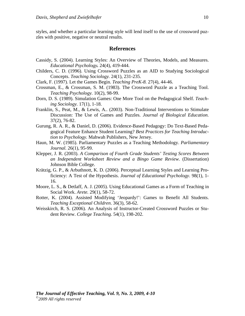styles, and whether a particular learning style will lend itself to the use of crossword puzzles with positive, negative or neutral results.

#### **References**

- Cassidy, S. (2004). Learning Styles: An Overview of Theories, Models, and Measures. *Educational Psychology.* 24(4), 419-444.
- Childers, C. D. (1996). Using Crossword Puzzles as an AID to Studying Sociological Concepts. *Teaching Sociology.* 24(1), 231-235.
- Clark, F. (1997). Let the Games Begin. *Teaching PreK-8.* 27(4), 44-46.
- Crossman, E., & Crossman, S. M. (1983). The Crossword Puzzle as a Teaching Tool. *Teaching Psychology.* 10(2), 98-99.
- Dorn, D. S. (1989). Simulation Games: One More Tool on the Pedagogical Shelf. *Teaching Sociology.* 17(1), 1-18.
- Franklin, S., Peat, M., & Lewis, A.. (2003). Non-Traditional Interventions to Stimulate Discussion: The Use of Games and Puzzles. *Journal of Biological Education.*  37(2), 76-82.
- Gurung, R. A. R., & Daniel, D. (2006). Evidence-Based Pedagogy: Do Text-Based Pedagogical Feature Enhance Student Learning? *Best Practices for Teaching Introduction to Psychology.* Mahwah Publishers, New Jersey.
- Haun, M. W. (1985). Parliamentary Puzzles as a Teaching Methodology. *Parliamentary Journal.* 26(1), 95-99.
- Klepper, J. R. (2003). *A Comparison of Fourth Grade Students' Testing Scores Between an Independent Worksheet Review and a Bingo Game Review.* (Dissertation) Johnson Bible College.
- Krätzig, G. P., & Arbuthnott, K. D. (2006). Perceptual Learning Styles and Learning Proficiency: A Test of the Hypothesis. *Journal of Educational Psychology*. 98(1), 1- 16.
- Moore, L. S., & Detlaff, A. J. (2005). Using Educational Games as a Form of Teaching in Social Work. *Arete.* 29(1), 58-72.
- Rotter, K. (2004). Assisted Modifying 'Jeopardy!': Games to Benefit All Students. *Teaching Exceptional Children*. 36(3), 58-62.
- Weisskirch, R. S. (2006). An Analysis of Instructor-Created Crossword Puzzles or Student Review. *College Teaching*. 54(1), 198-202.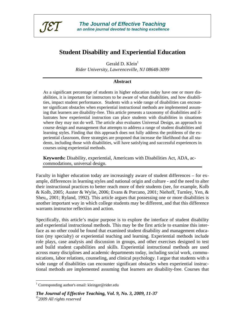

# **Student Disability and Experiential Education**

Gerald D.  $Klein<sup>1</sup>$ *Rider University, Lawrenceville, NJ 08648-3099* 

#### **Abstract**

As a significant percentage of students in higher education today have one or more disabilities, it is important for instructors to be aware of what disabilities, and how disabilities, impact student performance. Students with a wide range of disabilities can encounter significant obstacles when experiential instructional methods are implemented assuming that learners are disability-free. This article presents a taxonomy of disabilities and illustrates how experiential instruction can place students with disabilities in situations where they may not do well. The article also evaluates Universal Design, an approach to course design and management that attempts to address a range of student disabilities and learning styles. Finding that this approach does not fully address the problems of the experiential classroom, three strategies are proposed that increase the likelihood that all students, including those with disabilities, will have satisfying and successful experiences in courses using experiential methods.

**Keywords:** Disability, experiential, Americans with Disabilities Act, ADA, accommodations, universal design.

Faculty in higher education today are increasingly aware of student differences – for example, differences in learning styles and national origin and culture - and the need to alter their instructional practices to better reach more of their students (see, for example, Kolb & Kolb, 2005; Auster & Wylie, 2006; Evans & Porcano, 2001; Niehoff, Turnley, Yen, & Sheu,, 2001; Ryland, 1992). This article argues that possessing one or more disabilities is another important way in which college students may be different, and that this difference warrants instructor reflection and action.

Specifically, this article's major purpose is to explore the interface of student disability and experiential instructional methods. This may be the first article to examine this interface as no other could be found that examined student disability and management education (my specialty) or experiential teaching and learning. Experiential methods include role plays, case analysis and discussion in groups, and other exercises designed to test and build student capabilities and skills. Experiential instructional methods are used across many disciplines and academic departments today, including social work, communications, labor relations, counseling, and clinical psychology. I argue that students with a wide range of disabilities can encounter significant obstacles when experiential instructional methods are implemented assuming that learners are disability-free. Courses that

 $\overline{a}$ 

<sup>&</sup>lt;sup>1</sup> Corresponding author's email: kleinger@rider.edu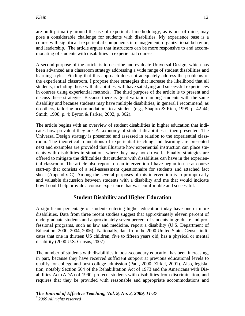are built primarily around the use of experiential methodology, as is one of mine, may pose a considerable challenge for students with disabilities. My experience base is a course with significant experiential components in management, organizational behavior, and leadership. The article argues that instructors can be more responsive to and accommodating of students with disabilities in experiential courses.

A second purpose of the article is to describe and evaluate Universal Design, which has been advanced as a classroom strategy addressing a wide range of student disabilities and learning styles. Finding that this approach does not adequately address the problems of the experiential classroom, I propose three strategies that increase the likelihood that all students, including those with disabilities, will have satisfying and successful experiences in courses using experiential methods. The third purpose of the article is to present and discuss these strategies. Because there is great variation among students with the same disability and because students may have multiple disabilities, in general I recommend, as do others, tailoring accommodations to a student (e.g., Shapiro & Rich, 1999, p. 42-44; Smith, 1998, p. 4; Byron & Parker, 2002, p. 362).

The article begins with an overview of student disabilities in higher education that indicates how prevalent they are. A taxonomy of student disabilities is then presented. The Universal Design strategy is presented and assessed in relation to the experiential classroom. The theoretical foundations of experiential teaching and learning are presented next and examples are provided that illustrate how experiential instruction can place students with disabilities in situations where they may not do well. Finally, strategies are offered to mitigate the difficulties that students with disabilities can have in the experiential classroom. The article also reports on an intervention I have begun to use at course start-up that consists of a self-assessment questionnaire for students and attached fact sheet (Appendix C). Among the several purposes of this intervention is to prompt early and valuable discussion between students with a disability and me that would indicate how I could help provide a course experience that was comfortable and successful.

# **Student Disability and Higher Education**

A significant percentage of students entering higher education today have one or more disabilities. Data from three recent studies suggest that approximately eleven percent of undergraduate students and approximately seven percent of students in graduate and professional programs, such as law and medicine, report a disability (U.S. Department of Education, 2000, 2004, 2006). Nationally, data from the 2000 United States Census indicates that one in thirteen US children, five to fifteen years old, has a physical or mental disability (2000 U.S. Census, 2007).

The number of students with disabilities in post-secondary education has been increasing, in part, because they have received sufficient support at previous educational levels to qualify for college and post-college admission (Paul, 2000; Zirkel, 2001). Also, legislation, notably Section 504 of the Rehabilitation Act of 1973 and the Americans with Disabilities Act (ADA) of 1990, protects students with disabilities from discrimination, and requires that they be provided with reasonable and appropriate accommodations and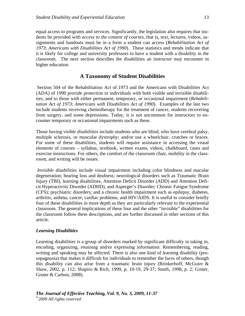equal access to programs and services. Significantly, the legislation also requires that students be provided with *access to the content of courses*, that is, text, lectures, videos, assignments and handouts must be in a form a student can access (*Rehabilitation Act of 1973*; *Americans with Disabilities Act of 1990*). These statistics and trends indicate that it is likely for college and university professors to have a student with a disability in the classroom. The next section describes the disabilities an instructor may encounter in higher education.

#### **A Taxonomy of Student Disabilities**

 Section 504 of the Rehabilitation Act of 1973 and the Americans with Disabilities Act (ADA) of 1990 provide protection to individuals with both visible and invisible disabilities, and to those with either permanent, temporary, or occasional impairment (*Rehabilitation Act of 1973*; *Americans with Disabilities Act of 1990*). Examples of the last two include students receiving chemotherapy for the treatment of cancer, students recovering from surgery, and some depressions. Today, it is not uncommon for instructors to encounter temporary or occasional impairments such as these.

Those having *visible disabilities* include students who are blind, who have cerebral palsy, multiple sclerosis, or muscular dystrophy; and/or use a wheelchair, crutches or braces. For some of these disabilities, students will require assistance in accessing the visual elements of courses – syllabus, textbook, written exams, videos, chalkboard, cases and exercise instructions. For others, the comfort of the classroom chair, mobility in the classroom, and writing will be issues.

 *Invisible disabilities* include visual impairment including color blindness and macular degeneration; hearing loss and deafness; neurological disorders such as Traumatic Brain Injury (TBI), learning disabilities, Attention Deficit Disorder (ADD) and Attention Deficit Hyperactivity Disorder (ADHD), and Asperger's Disorder; Chronic Fatigue Syndrome (CFS); psychiatric disorders; and a chronic health impairment such as epilepsy, diabetes, arthritis, asthma, cancer, cardiac problems, and HIV/AIDS. It is useful to consider briefly four of these disabilities in more depth as they are particularly relevant to the experiential classroom. The general implications of these four and the other "invisible" disabilities for the classroom follow these descriptions, and are further discussed in other sections of this article.

#### *Learning Disabilities*

Learning disabilities is a group of disorders marked by significant difficulty in taking in, encoding, organizing, retaining and/or expressing information. Remembering, reading, writing and speaking may be affected. There is also one kind of learning disability (prosopagnosia) that makes it difficult for individuals to remember the faces of others, though this disability can also arise from a traumatic brain injury (Brinkerhoff, McGuire & Shaw, 2002, p. 112; Shapiro & Rich, 1999, p. 10-19, 29-37; Smith, 1998, p. 2; Gruter, Gruter & Carbon, 2008).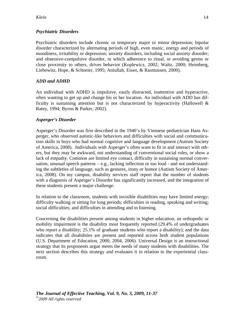# *Psychiatric Disorders*

Psychiatric disorders include chronic or temporary major or minor depression; bipolar disorder characterized by alternating periods of high, even manic, energy and periods of moodiness, irritability or depression; anxiety disorders, including social anxiety disorder; and obsessive-compulsive disorder, in which adherence to ritual, or avoiding germs or close proximity to others, drives behavior (Koplewicz, 2002; Waltz, 2000; Heimberg, Liebowitz, Hope, & Schneier, 1995; Attiullah, Eisen, & Rasmussen, 2000).

# *ADD and ADHD*

An individual with ADHD is impulsive, easily distracted, inattentive and hyperactive, often wanting to get up and change his or her location. An individual with ADD has difficulty is sustaining attention but is not characterized by hyperactivity (Hallowell  $\&$ Ratey, 1994; Byron & Parker, 2002).

# *Asperger's Disorder*

Asperger's Disorder was first described in the 1940's by Viennese pediatrician Hans Asperger, who observed autistic-like behaviors and difficulties with social and communication skills in boys who had normal cognitive and language development (Autism Society of America, 2008). Individuals with Asperger's often want to fit in and interact with others, but they may be awkward, not understanding of conventional social rules, or show a lack of empathy. Common are limited eye contact, difficulty in sustaining normal conversation, unusual speech patterns – e.g., lacking inflection or too loud - and not understanding the subtleties of language, such as gestures, irony or humor (Autism Society of America, 2008). On my campus, disability services staff report that the number of students with a diagnosis of Asperger's Disorder has significantly increased, and the integration of these students present a major challenge.

In relation to the classroom, students with invisible disabilities may have limited energy; difficulty walking or sitting for long periods; difficulties in reading, speaking and writing; social difficulties; and difficulties in attending and in listening.

Concerning the disabilities present among students in higher education, an orthopedic or mobility impairment is the disability most frequently reported (29.4% of undergraduates who report a disability; 25.1% of graduate students who report a disability); and the data indicates that all disabilities are present and reported across both student populations (U.S. Department of Education, 2000, 2004, 2006). Universal Design is an instructional strategy that its proponents argue meets the needs of many students with disabilities. The next section describes this strategy and evaluates it in relation to the experiential classroom.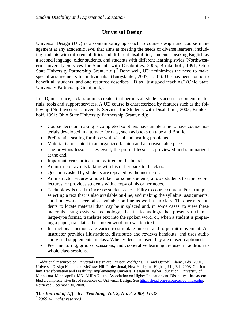# **Universal Design**

Universal Design (UD) is a contemporary approach to course design and course management at any academic level that aims at meeting the needs of diverse learners, including students with different abilities and different disabilities, students speaking English as a second language, older students, and students with different learning styles (Northwestern University Services for Students with Disabilities, 2005; Brinkerhoff, 1991; Ohio State University Partnership Grant, n.d.).<sup>2</sup> Done well, UD "minimizes the need to make special arrangements for individuals" (Burgstahler, 2007, p. 37). UD has been found to benefit all students, and one resource describes UD as "just good teaching" (Ohio State University Partnership Grant, n.d.).

In UD, in essence, a classroom is created that permits all students access to content, materials, tools and support services. A UD course is characterized by features such as the following (Northwestern University Services for Students with Disabilities, 2005; Brinkerhoff, 1991; Ohio State University Partnership Grant, n.d.):

- Course decision making is completed so others have ample time to have course materials developed in alternate formats, such as books on tape and Braille.
- Preferential seating for those with visual and hearing problems.
- Material is presented in an organized fashion and at a reasonable pace.
- The previous lesson is reviewed; the present lesson is previewed and summarized at the end.
- Important terms or ideas are written on the board.
- An instructor avoids talking with his or her back to the class.
- Questions asked by students are repeated by the instructor.
- An instructor secures a note taker for some students, allows students to tape record lectures, or provides students with a copy of his or her notes.
- Technology is used to increase student accessibility to course content. For example, selecting a text that is also available on-line, and making the syllabus, assignments, and homework sheets also available on-line as well as in class. This permits students to locate material that may be misplaced and, in some cases, to view these materials using assistive technology, that is, technology that presents text in a large-type format, translates text into the spoken word, or, when a student is preparing a paper, translates the spoken word into written text.
- Instructional methods are varied to stimulate interest and to permit movement. An instructor provides illustrations, distributes and reviews handouts, and uses audio and visual supplements in class. When videos are used they are closed-captioned.
- Peer mentoring, group discussions, and cooperative learning are used in addition to whole class sessions.

1

<sup>&</sup>lt;sup>2</sup> Additional resources on Universal Design are: Preiser, Wolfgang F.E. and Ostroff, Elaine, Eds., 2001, Universal Design Handbook, McGraw-Hill Professional, New York; and Higbee, J.L., Ed., 2003, Curriculum Transformation and Disability: Implementing Universal Design in Higher Education, University of Minnesota, Minneapolis, MN. AHEAD – the Association on Higher Education and Disability – has assembled a comprehensive list of resources on Universal Design. See http://ahead.org/resources/ud\_intro.php. Retrieved December 30, 2008.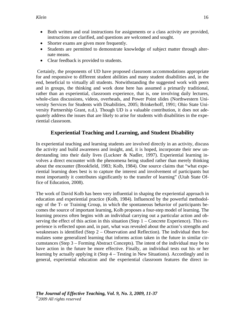- Both written and oral instructions for assignments or a class activity are provided, instructions are clarified, and questions are welcomed and sought.
- Shorter exams are given more frequently.
- Students are permitted to demonstrate knowledge of subject matter through alternate means.
- Clear feedback is provided to students.

 Certainly, the proponents of UD have proposed classroom accommodations appropriate for and responsive to different student abilities and many student disabilities and, in the end, beneficial to virtually all students. Notwithstanding the suggested work with peers and in groups, the thinking and work done here has assumed a primarily traditional, rather than an experiential, classroom experience, that is, one involving daily lectures, whole-class discussions, videos, overheads, and Power Point slides (Northwestern University Services for Students with Disabilities, 2005; Brinkerhoff, 1991; Ohio State University Partnership Grant, n.d.). Though UD is a valuable contribution, it does not adequately address the issues that are likely to arise for students with disabilities in the experiential classroom.

# **Experiential Teaching and Learning, and Student Disability**

In experiential teaching and learning students are involved directly in an activity, discuss the activity and build awareness and insight, and, it is hoped, incorporate their new understanding into their daily lives (Luckner & Nadler, 1997). Experiential learning involves a direct encounter with the phenomena being studied rather than merely thinking about the encounter (Brookfield, 1983; Kolb, 1984). One source claims that "what experiential learning does best is to capture the interest and involvement of participants but most importantly it contributes significantly to the transfer of learning" (Utah State Office of Education, 2008).

The work of David Kolb has been very influential in shaping the experiential approach in education and experiential practice (Kolb, 1984). Influenced by the powerful methodology of the T- or Training Group, in which the spontaneous behavior of participants becomes the source of important learning, Kolb proposes a four-step model of learning. The learning process often begins with an individual carrying out a particular action and observing the effect of this action in this situation (Step  $1$  – Concrete Experience). This experience is reflected upon and, in part, what was revealed about the action's strengths and weaknesses is identified (Step  $2$  – Observation and Reflection). The individual then formulates some generalized learning that informs action taken in the future in similar circumstances (Step 3 – Forming Abstract Concepts). The intent of the individual may be to have action in the future be more effective. Finally, an individual tests out his or her learning by actually applying it (Step 4 – Testing in New Situations). Accordingly and in general, experiential education and the experiential classroom features the direct in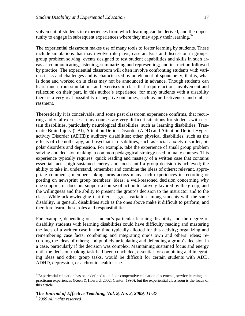volvement of students in experiences from which learning can be derived, and the opportunity to engage in subsequent experiences where they may apply their learning.<sup>32</sup>

The experiential classroom makes use of many tools to foster learning by students. These include simulations that may involve role plays; case analysis and discussion in groups; group problem solving; events designed to test student capabilities and skills in such areas as communicating, listening, summarizing and representing; and instruction followed by practice. The experiential classroom will often involve confronting students with various tasks and challenges and is characterized by an element of spontaneity, that is, what is done and worked on in class may not be announced in advance. Though students can learn much from simulations and exercises in class that require action, involvement and reflection on their part, in this author's experience, for many students with a disability there is a very real possibility of negative outcomes, such as ineffectiveness and embarrassment.

Theoretically it is conceivable, and some past classroom experience confirms, that recurring and vital exercises in my courses are very difficult situations for students with certain disabilities, particularly neurological disabilities, such as learning disabilities, Traumatic Brain Injury (TBI), Attention Deficit Disorder (ADD) and Attention Deficit Hyperactivity Disorder (ADHD); auditory disabilities; other physical disabilities, such as the effects of chemotherapy; and psychiatric disabilities, such as social anxiety disorder, bipolar disorders and depression. For example, take the experience of small group problem solving and decision making, a common pedagogical strategy used in many courses. This experience typically requires: quick reading and mastery of a written case that contains essential facts; high sustained energy and focus until a group decision is achieved; the ability to take in, understand, remember and combine the ideas of others; relevant, appropriate comments; members taking turns across many such experiences in recording or posting on newsprint group members' ideas; a well-reasoned decision concerning why one supports or does not support a course of action tentatively favored by the group; and the willingness and the ability to present the group's decision to the instructor and to the class. While acknowledging that there is great variation among students with the same disability, in general, disabilities such as the ones above make it difficult to perform, and therefore learn, these roles and responsibilities.

For example, depending on a student's particular learning disability and the degree of disability students with learning disabilities could have difficulty reading and mastering the facts of a written case in the time typically allotted for this activity; organizing and remembering case facts; combining and integrating one's own and others' ideas; recording the ideas of others; and publicly articulating and defending a group's decision in a case, particularly if the decision was complex. Maintaining sustained focus and energy until the decision-making task had been concluded, essential for combining and integrating ideas and other group tasks, would be difficult for certain students with ADD, ADHD, depression, or a chronic health issue.

1

 $3$  Experiential education has been defined to include cooperative education placements, service learning and practicum experiences (Keen & Howard, 2002; Cantor, 1990), but the experiential classroom is the focus of this article.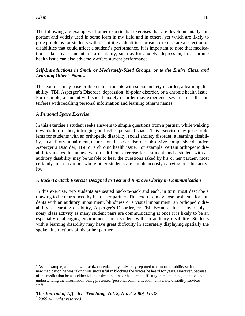The following are examples of other experiential exercises that are developmentally important and widely used in some form in my field and in others, yet which are likely to pose problems for students with disabilities. Identified for each exercise are a selection of disabilities that could affect a student's performance. It is important to note that medications taken by a student for a disability, such as for anxiety, depression, or a chronic health issue can also adversely affect student performance.<sup>4</sup>

# *Self-Introductions in Small or Moderately-Sized Groups, or to the Entire Class, and Learning Other's Names*

This exercise may pose problems for students with social anxiety disorder, a learning disability, TBI, Asperger's Disorder, depression, bi-polar disorder, or a chronic health issue. For example, a student with social anxiety disorder may experience severe stress that interferes with recalling personal information and learning other's names.

# *A Personal Space Exercise*

In this exercise a student seeks answers to simple questions from a partner, while walking towards him or her, infringing on his/her personal space. This exercise may pose problems for students with an orthopedic disability, social anxiety disorder, a learning disability, an auditory impairment, depression, bi-polar disorder, obsessive-compulsive disorder, Asperger's Disorder, TBI, or a chronic health issue. For example, certain orthopedic disabilities makes this an awkward or difficult exercise for a student, and a student with an auditory disability may be unable to hear the questions asked by his or her partner, most certainly in a classroom where other students are simultaneously carrying out this activity.

# *A Back-To-Back Exercise Designed to Test and Improve Clarity in Communication*

In this exercise, two students are seated back-to-back and each, in turn, must describe a drawing to be reproduced by his or her partner. This exercise may pose problems for students with an auditory impairment, blindness or a visual impairment, an orthopedic disability, a learning disability, Asperger's Disorder, or TBI. Because this is invariably a noisy class activity as many student pairs are communicating at once it is likely to be an especially challenging environment for a student with an auditory disability. Students with a learning disability may have great difficulty in accurately displaying spatially the spoken instructions of his or her partner.

<sup>1</sup> <sup>4</sup> As an example, a student with schizophrenia at my university reported to campus disability staff that the new medication he was taking was successful in blocking the voices he heard for years. However, because of the medication he was either falling asleep in class or had great difficulty in maintaining attention and understanding the information being presented (personal communication, university disability services staff).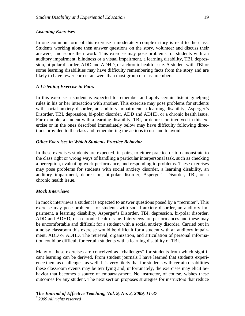#### *Listening Exercises*

In one common form of this exercise a moderately complex story is read to the class. Students working alone then answer questions on the story, volunteer and discuss their answers, and score their work. This exercise may pose problems for students with an auditory impairment, blindness or a visual impairment, a learning disability, TBI, depression, bi-polar disorder, ADD and ADHD, or a chronic health issue. A student with TBI or some learning disabilities may have difficulty remembering facts from the story and are likely to have fewer correct answers than most group or class members.

#### *A Listening Exercise in Pairs*

In this exercise a student is expected to remember and apply certain listening/helping rules in his or her interaction with another. This exercise may pose problems for students with social anxiety disorder, an auditory impairment, a learning disability, Asperger's Disorder, TBI, depression, bi-polar disorder, ADD and ADHD, or a chronic health issue. For example, a student with a learning disability, TBI, or depression involved in this exercise or in the ones described immediately below may have difficulty following directions provided to the class and remembering the actions to use and to avoid.

#### *Other Exercises in Which Students Practice Behavior*

In these exercises students are expected, in pairs, to either practice or to demonstrate to the class right or wrong ways of handling a particular interpersonal task, such as checking a perception, evaluating work performance, and responding to problems. These exercises may pose problems for students with social anxiety disorder, a learning disability, an auditory impairment, depression, bi-polar disorder, Asperger's Disorder, TBI, or a chronic health issue.

#### *Mock Interviews*

In mock interviews a student is expected to answer questions posed by a "recruiter". This exercise may pose problems for students with social anxiety disorder, an auditory impairment, a learning disability, Asperger's Disorder, TBI, depression, bi-polar disorder, ADD and ADHD, or a chronic health issue. Interviews are performances and these may be uncomfortable and difficult for a student with a social anxiety disorder. Carried out in a noisy classroom this exercise would be difficult for a student with an auditory impairment, ADD or ADHD. The retrieval, organization, and articulation of personal information could be difficult for certain students with a learning disability or TBI.

Many of these exercises are conceived as "challenges" for students from which significant learning can be derived. From student journals I have learned that students experience them as challenges, as well. It is very likely that for students with certain disabilities these classroom events may be terrifying and, unfortunately, the exercises may elicit behavior that becomes a source of embarrassment. No instructor, of course, wishes these outcomes for any student. The next section proposes strategies for instructors that reduce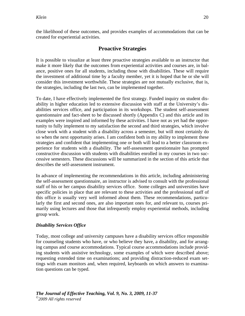the likelihood of these outcomes, and provides examples of accommodations that can be created for experiential activities.

# **Proactive Strategies**

It is possible to visualize at least three proactive strategies available to an instructor that make it more likely that the outcomes from experiential activities and courses are, in balance, positive ones for all students, including those with disabilities. These will require the investment of additional time by a faculty member, yet it is hoped that he or she will consider this investment worthwhile. These strategies are not mutually exclusive, that is, the strategies, including the last two, can be implemented together.

To date, I have effectively implemented the first strategy. Funded inquiry on student disability in higher education led to extensive discussion with staff at the University's disabilities services office, and participation in its workshops. The student self-assessment questionnaire and fact-sheet to be discussed shortly (Appendix C) and this article and its examples were inspired and informed by these activities. I have not as yet had the opportunity to fully implement to my satisfaction the second and third strategies, which involve close work with a student with a disability across a semester, but will most certainly do so when the next opportunity arises. I am confident both in my ability to implement these strategies and confident that implementing one or both will lead to a better classroom experience for students with a disability. The self-assessment questionnaire has prompted constructive discussion with students with disabilities enrolled in my courses in two successive semesters. These discussions will be summarized in the section of this article that describes the self-assessment instrument.

In advance of implementing the recommendations in this article, including administering the self-assessment questionnaire, an instructor is advised to consult with the professional staff of his or her campus disability services office. Some colleges and universities have specific policies in place that are relevant to these activities and the professional staff of this office is usually very well informed about them. These recommendations, particularly the first and second ones, are also important ones for, and relevant to, courses primarily using lectures and those that infrequently employ experiential methods, including group work.

#### *Disability Services Office*

Today, most college and university campuses have a disability services office responsible for counseling students who have, or who believe they have, a disability, and for arranging campus and course accommodations. Typical course accommodations include providing students with assistive technology, some examples of which were described above; requesting extended time on examinations; and providing distraction-reduced exam settings with exam monitors and, when required, keyboards on which answers to examination questions can be typed.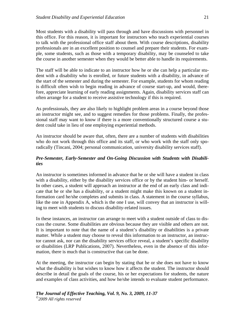Most students with a disability will pass through and have discussions with personnel in this office. For this reason, it is important for instructors who teach experiential courses to talk with the professional office staff about them. With course descriptions, disability professionals are in an excellent position to counsel and prepare their students. For example, some students, such as those with a temporary disability, may be counseled to take the course in another semester when they would be better able to handle its requirements.

The staff will be able to indicate to an instructor how he or she can help a particular student with a disability who is enrolled, or future students with a disability, in advance of the start of the semester and during the semester. For example, students for whom reading is difficult often wish to begin reading in advance of course start-up, and would, therefore, appreciate learning of early reading assignments. Again, disability services staff can often arrange for a student to receive assistive technology if this is required.

As professionals, they are also likely to highlight problem areas in a course beyond those an instructor might see, and to suggest remedies for those problems. Finally, the professional staff may want to know if there is a more conventionally structured course a student could take in lieu of one employing experiential methods.

An instructor should be aware that, often, there are a number of students with disabilities who do not work through this office and its staff, or who work with the staff only sporadically (Tincani, 2004; personal communication, university disability services staff).

#### *Pre-Semester, Early-Semester and On-Going Discussion with Students with Disabilities*

An instructor is sometimes informed in advance that he or she will have a student in class with a disability, either by the disability services office or by the student him- or herself. In other cases, a student will approach an instructor at the end of an early class and indicate that he or she has a disability, or a student might make this known on a student information card he/she completes and submits in class. A statement in the course syllabus, like the one in Appendix A, which is the one I use, will convey that an instructor is willing to meet with students to discuss disability-related issues.

In these instances, an instructor can arrange to meet with a student outside of class to discuss the course. Some disabilities are obvious because they are visible and others are not. It is important to note that the name of a student's disability or disabilities is a private matter. While a student may choose to reveal this information to an instructor, an instructor cannot ask, nor can the disability services office reveal, a student's specific disability or disabilities (LRP Publications, 2007). Nevertheless, even in the absence of this information, there is much that is constructive that can be done.

At the meeting, the instructor can begin by stating that he or she does not have to know what the disability is but wishes to know how it affects the student. The instructor should describe in detail the goals of the course, his or her expectations for students, the nature and examples of class activities, and how he/she intends to evaluate student performance.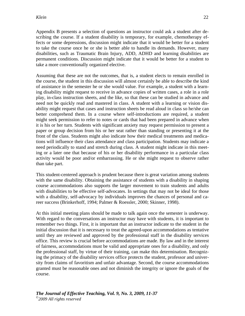Appendix B presents a selection of questions an instructor could ask a student after describing the course. If a student disability is temporary, for example, chemotherapy effects or some depressions, discussion might indicate that it would be better for a student to take the course once he or she is better able to handle its demands. However, many disabilities, such as Traumatic Brain Injury, ADD, ADHD and learning disabilities are permanent conditions. Discussion might indicate that it would be better for a student to take a more conventionally organized elective.

Assuming that these are not the outcomes, that is, a student elects to remain enrolled in the course, the student in this discussion will almost certainly be able to describe the kind of assistance in the semester he or she would value. For example, a student with a learning disability might request to receive in advance copies of written cases, a role in a role play, in-class instruction sheets, and the like, so that these can be studied in advance and need not be quickly read and mastered in class. A student with a learning or vision disability might request that cases and instruction sheets be read aloud in class so he/she can better comprehend them. In a course where self-introductions are required, a student might seek permission to refer to notes or cards that had been prepared in advance when it is his or her turn. Students with significant anxiety may request permission to present a paper or group decision from his or her seat rather than standing or presenting it at the front of the class. Students might also indicate how their medical treatments and medications will influence their class attendance and class participation. Students may indicate a need periodically to stand and stretch during class. A student might indicate in this meeting or a later one that because of his or her disability performance in a particular class activity would be poor and/or embarrassing. He or she might request to observe rather than take part.

This student-centered approach is prudent because there is great variation among students with the same disability. Obtaining the assistance of students with a disability in shaping course accommodations also supports the larger movement to train students and adults with disabilities to be effective self-advocates. In settings that may not be ideal for those with a disability, self-advocacy by individuals improves the chances of personal and career success (Brinkerhoff, 1994; Palmer & Roessler, 2000; Skinner, 1998).

At this initial meeting plans should be made to talk again once the semester is underway. With regard to the conversations an instructor may have with students, it is important to remember two things. First, it is important that an instructor indicate to the student in the initial discussion that it is necessary to treat the agreed-upon accommodations as tentative until they are reviewed and approved by the professional staff in the disability services office. This review is crucial before accommodations are made. By law and in the interest of fairness, accommodations must be valid and appropriate ones for a disability, and only the professional staff, by virtue of their training, can make this determination. Recognizing the primacy of the disability services office protects the student, professor and university from claims of favoritism and unfair advantage. Second, the course accommodations granted must be reasonable ones and not diminish the integrity or ignore the goals of the course.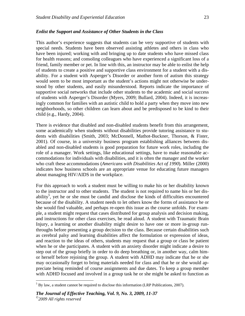#### *Enlist the Support and Assistance of Other Students in the Class*

This author's experience suggests that students can be very supportive of students with special needs. Students have been observed assisting athletes and others in class who have been injured; working with and bringing up to date students who have missed class for health reasons; and consoling colleagues who have experienced a significant loss of a friend, family member or pet. In line with this, an instructor may be able to enlist the help of students to create a positive and supportive class environment for a student with a disability. For a student with Asperger's Disorder or another form of autism this strategy would seem to be most important as the student's actions might not otherwise be understood by other students, and easily misunderstood. Reports indicate the importance of supportive social networks that include other students to the academic and social success of students with Asperger's Disorder (Myers, 2009; Bullard, 2004). Indeed, it is increasingly common for families with an autistic child to hold a party when they move into new neighborhoods, so other children can learn about and be predisposed to be kind to their child (e.g., Hardy, 2004).

There is evidence that disabled and non-disabled students benefit from this arrangement, some academically when students without disabilities provide tutoring assistance to students with disabilities (Smith, 2003; McDonnell, Mathot-Buckner, Thorson, & Fister, 2001). Of course, in a university business program establishing alliances between disabled and non-disabled students is good preparation for future work roles, including the role of a manager. Work settings, like educational settings, have to make reasonable accommodations for individuals with disabilities, and it is often the manager and the worker who craft these accommodations (*Americans with Disabilities Act of 1990*). Miller (2000) indicates how business schools are an appropriate venue for educating future managers about managing HIV/AIDS in the workplace.

For this approach to work a student must be willing to make his or her disability known to the instructor and to other students. The student is not required to name his or her disability<sup>5</sup>, yet he or she must be candid and disclose the kinds of difficulties encountered because of the disability. A student needs to let others know the forms of assistance he or she would find valuable, and perhaps re-open this issue as the course unfolds. For example, a student might request that cases distributed for group analysis and decision making, and instructions for other class exercises, be read aloud. A student with Traumatic Brain Injury, a learning or another disability might desire to have one or more in-group runthroughs before presenting a group decision to the class. Because certain disabilities such as cerebral palsy and learning disabilities affect the formulation or expression of ideas, and reaction to the ideas of others, students may request that a group or class be patient when he or she participates. A student with an anxiety disorder might indicate a desire to step out of the group briefly in order to do deep breathing or, in another way, calm himor herself before rejoining the group. A student with ADHD may indicate that he or she may occasionally forget to bring materials needed for class and that he or she would appreciate being reminded of course assignments and due dates. To keep a group member with ADHD focused and involved in a group task he or she might be asked to function as

 $\overline{a}$ 

 $<sup>5</sup>$  By law, a student cannot be required to disclose this information (LRP Publications, 2007).</sup>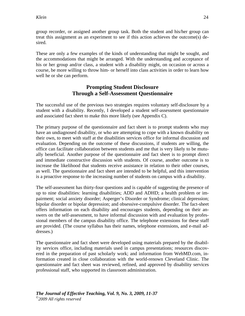group recorder, or assigned another group task. Both the student and his/her group can treat this assignment as an experiment to see if this action achieves the outcome(s) desired.

These are only a few examples of the kinds of understanding that might be sought, and the accommodations that might be arranged. With the understanding and acceptance of his or her group and/or class, a student with a disability might, on occasion or across a course, be more willing to throw him- or herself into class activities in order to learn how well he or she can perform.

# **Prompting Student Disclosure Through a Self-Assessment Questionnaire**

The successful use of the previous two strategies requires voluntary self-disclosure by a student with a disability. Recently, I developed a student self-assessment questionnaire and associated fact sheet to make this more likely (see Appendix C).

The primary purpose of the questionnaire and fact sheet is to prompt students who may have an undiagnosed disability, or who are attempting to cope with a known disability on their own, to meet with staff at the disabilities services office for informal discussion and evaluation. Depending on the outcome of these discussions, if students are willing, the office can facilitate collaboration between students and me that is very likely to be mutually beneficial. Another purpose of the questionnaire and fact sheet is to prompt direct and immediate constructive discussion with students. Of course, another outcome is to increase the likelihood that students receive assistance in relation to their other courses, as well. The questionnaire and fact sheet are intended to be helpful, and this intervention is a proactive response to the increasing number of students on campus with a disability.

The self-assessment has thirty-four questions and is capable of suggesting the presence of up to nine disabilities: learning disabilities; ADD and ADHD; a health problem or impairment; social anxiety disorder; Asperger's Disorder or Syndrome; clinical depression; bipolar disorder or bipolar depression; and obsessive-compulsive disorder. The fact-sheet offers information on each disability and encourages students, depending on their answers on the self-assessment, to have informal discussion with and evaluation by professional members of the campus disability office. The telephone extensions for these staff are provided. (The course syllabus has their names, telephone extensions, and e-mail addresses.)

The questionnaire and fact sheet were developed using materials prepared by the disability services office, including materials used in campus presentations; resources discovered in the preparation of past scholarly work; and information from WebMD.com, information created in close collaboration with the world-renown Cleveland Clinic. The questionnaire and fact sheet was reviewed, refined, and approved by disability services professional staff, who supported its classroom administration.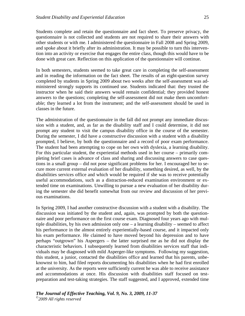Students complete and retain the questionnaire and fact sheet. To preserve privacy, the questionnaire is not collected and students are not required to share their answers with other students or with me. I administered the questionnaire in Fall 2008 and Spring 2009, and spoke about it briefly after its administration. It may be possible to turn this intervention into an activity or exercise that engages the entire class, though this would have to be done with great care. Reflection on this application of the questionnaire will continue.

In both semesters, students seemed to take great care in completing the self-assessment and in reading the information on the fact sheet. The results of an eight-question survey completed by students in Spring 2009 about two weeks after the self-assessment was administered strongly supports its continued use. Students indicated that: they trusted the instructor when he said their answers would remain confidential; they provided honest answers to the questions; completing the self-assessment did not make them uncomfortable; they learned a lot from the instrument; and the self-assessment should be used in classes in the future.

The administration of the questionnaire in the fall did not prompt any immediate discussion with a student, and, as far as the disability staff and I could determine, it did not prompt any student to visit the campus disability office in the course of the semester. During the semester, I did have a constructive discussion with a student with a disability prompted, I believe, by both the questionnaire and a record of poor exam performance. The student had been attempting to cope on her own with dyslexia, a learning disability. For this particular student, the experiential methods used in her course – primarily completing brief cases is advance of class and sharing and discussing answers to case questions in a small group – did not pose significant problems for her. I encouraged her to secure more current external evaluation of her disability, something desired, as well, by the disabilities services office and which would be required if she was to receive potentially useful accommodations, such as a distraction-reduced examination environment or extended time on examinations. Unwilling to pursue a new evaluation of her disability during the semester she did benefit somewhat from our review and discussion of her previous examinations.

In Spring 2009, I had another constructive discussion with a student with a disability. The discussion was initiated by the student and, again, was prompted by both the questionnaire and poor performance on the first course exam. Diagnosed four years ago with multiple disabilities, by his own admission only one – a learning disability – seemed to affect his performance in the almost entirely experientially-based course, and it impacted only his exam performance. He claimed to have moved beyond his depression and to have perhaps "outgrown" his Aspergers – the latter surprised me as he did not display the characteristic behaviors. I subsequently learned from disabilities services staff that individuals may be diagnosed with mild Asperger-like symptoms. Following my suggestion, this student, a junior, contacted the disabilities office and learned that his parents, unbeknownst to him, had filed reports documenting his disabilities when he had first enrolled at the university. As the reports were sufficiently current he was able to receive assistance and accommodations at once. His discussion with disabilities staff focused on testpreparation and test-taking strategies. The staff suggested, and I approved, extended time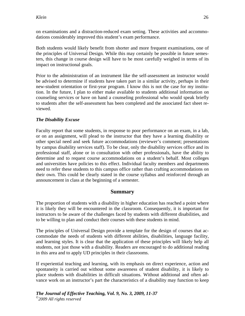on examinations and a distraction-reduced exam setting. These activities and accommodations considerably improved this student's exam performance.

Both students would likely benefit from shorter and more frequent examinations, one of the principles of Universal Design. While this may certainly be possible in future semesters, this change in course design will have to be most carefully weighed in terms of its impact on instructional goals.

Prior to the administration of an instrument like the self-assessment an instructor would be advised to determine if students have taken part in a similar activity, perhaps in their new-student orientation or first-year program. I know this is not the case for my institution. In the future, I plan to either make available to students additional information on counseling services or have on hand a counseling professional who would speak briefly to students after the self-assessment has been completed and the associated fact sheet reviewed.

# *The Disability Excuse*

Faculty report that some students, in response to poor performance on an exam, in a lab, or on an assignment, will plead to the instructor that they have a learning disability or other special need and seek future accommodations (reviewer's comment; presentations by campus disability services staff). To be clear, only the disability services office and its professional staff, alone or in consultation with other professionals, have the ability to determine and to request course accommodations on a student's behalf. Most colleges and universities have policies to this effect. Individual faculty members and departments need to refer these students to this campus office rather than crafting accommodations on their own. This could be clearly stated in the course syllabus and reinforced through an announcement in class at the beginning of a semester.

# **Summary**

The proportion of students with a disability in higher education has reached a point where it is likely they will be encountered in the classroom. Consequently, it is important for instructors to be aware of the challenges faced by students with different disabilities, and to be willing to plan and conduct their courses with these students in mind.

The principles of Universal Design provide a template for the design of courses that accommodate the needs of students with different abilities, disabilities, language facility, and learning styles. It is clear that the application of these principles will likely help all students, not just those with a disability. Readers are encouraged to do additional reading in this area and to apply UD principles in their classrooms.

If experiential teaching and learning, with its emphasis on direct experience, action and spontaneity is carried out without some awareness of student disability, it is likely to place students with disabilities in difficult situations. Without additional and often advance work on an instructor's part the characteristics of a disability may function to keep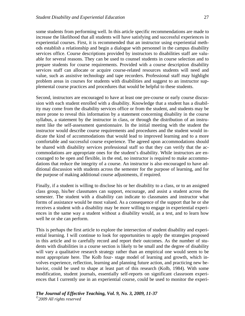some students from performing well. In this article specific recommendations are made to increase the likelihood that all students will have satisfying and successful experiences in experiential courses. First, it is recommended that an instructor using experiential methods establish a relationship and begin a dialogue with personnel in the campus disability services office. Course descriptions provided by instructors to disabilities staff are valuable for several reasons. They can be used to counsel students in course selection and to prepare students for course requirements. Provided with a course description disability services staff can allocate or acquire course-related resources students will need and value, such as assistive technology and tape recorders. Professional staff may highlight problem areas in courses for students with disabilities and suggest to an instructor supplemental course practices and procedures that would be helpful to these students.

Second, instructors are encouraged to have at least one pre-course or early course discussion with each student enrolled with a disability. Knowledge that a student has a disability may come from the disability services office or from the student, and students may be more prone to reveal this information by a statement concerning disability in the course syllabus, a statement by the instructor in class, or through the distribution of an instrument like the self-assessment questionnaire. In the initial meeting with the student the instructor would describe course requirements and procedures and the student would indicate the kind of accommodations that would lead to improved learning and to a more comfortable and successful course experience. The agreed upon accommodations should be shared with disability services professional staff so that they can verify that the accommodations are appropriate ones for the student's disability. While instructors are encouraged to be open and flexible, in the end, no instructor is required to make accommodations that reduce the integrity of a course. An instructor is also encouraged to have additional discussion with students across the semester for the purpose of learning, and for the purpose of making additional course adjustments, if required.

Finally, if a student is willing to disclose his or her disability to a class, or to an assigned class group, his/her classmates can support, encourage, and assist a student across the semester. The student with a disability can indicate to classmates and instructor what forms of assistance would be most valued. As a consequence of the support that he or she receives a student with a disability may be more willing to engage in experiential experiences in the same way a student without a disability would, as a test, and to learn how well he or she can perform.

This is perhaps the first article to explore the intersection of student disability and experiential learning. I will continue to look for opportunities to apply the strategies proposed in this article and to carefully record and report their outcomes. As the number of students with disabilities in a course section is likely to be small and the degree of disability will vary a qualitative research strategy rather than an empirical one would seem to be most appropriate here. The Kolb four- stage model of learning and growth, which involves experience, reflection, learning and planning future action, and practicing new behavior, could be used to shape at least part of this research (Kolb, 1984). With some modification, student journals, essentially self-reports on significant classroom experiences that I currently use in an experiential course, could be used to monitor the experi-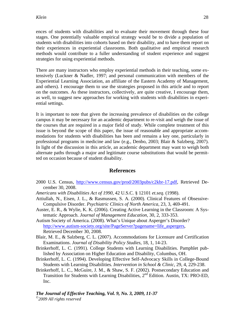ences of students with disabilities and to evaluate their movement through these four stages. One potentially valuable empirical strategy would be to divide a population of students with disabilities into cohorts based on their disability, and to have them report on their experiences in experiential classrooms. Both qualitative and empirical research methods would contribute to a fuller understanding of student experience and suggest strategies for using experiential methods.

There are many instructors who employ experiential methods in their teaching, some extensively (Luckner & Nadler, 1997; and personal communication with members of the Experiential Learning Association, an affiliate of the Eastern Academy of Management, and others). I encourage them to use the strategies proposed in this article and to report on the outcomes. As these instructors, collectively, are quite creative, I encourage them, as well, to suggest new approaches for working with students with disabilities in experiential settings.

It is important to note that given the increasing prevalence of disabilities on the college campus it may be necessary for an academic department to re-visit and weigh the issue of the courses that are required in a major field of study. While complete treatment of this issue is beyond the scope of this paper, the issue of reasonable and appropriate accommodations for students with disabilities has been and remains a key one, particularly in professional programs in medicine and law (e.g., Denbo, 2003; Blair & Salzberg, 2007). In light of the discussion in this article, an academic department may want to weigh both alternate paths through a major and legitimate course substitutions that would be permitted on occasion because of student disability.

# **References**

- 2000 U.S. Census, http://www.census.gov/prod/2003pubs/c2kbr-17.pdf, Retrieved December 30, 2008.
- *Americans with Disabilities Act of 1990*, 42 U.S.C. § 12101 *et.seq.* (1998).
- Attiullah, N., Eisen, J. L., & Rasmussen, S. A. (2000). Clinical Features of Obsessive-Compulsive Disorder. *Psychiatric Clinics of North America,* 23, 3, 469-491.
- Auster, E. R., & Wylie, K. K. (2006). Creating Active Learning in the Classroom: A Systematic Approach. *Journal of Management Education,* 30, 2, 333-353.
- Autism Society of America. (2008). What's Unique about Asperger's Disorder? http://www.autism-society.org/site/PageServer?pagename=life\_aspergers, Retrieved December 30, 2008.
- Blair, M. E., & Salzberg, C. L. (2007). Accommodations for Licensure and Certification Examinations. *Journal of Disability Policy Studies*, 18, 1, 14-23.
- Brinkerhoff, L. C. (1991). College Students with Learning Disabilities. Pamphlet published by Association on Higher Education and Disability, Columbus, OH.
- Brinkerhoff, L. C. (1994). Developing Effective Self-Advocacy Skills in College-Bound Students with Learning Disabilities. *Intervention in School & Clinic*, 29, 4, 229-238.
- Brinkerhoff, L. C., McGuire, J. M., & Shaw, S. F. (2002). Postsecondary Education and Transition for Students with Learning Disabilities,  $2<sup>nd</sup>$  Edition. Austin, TX: PRO-ED, Inc.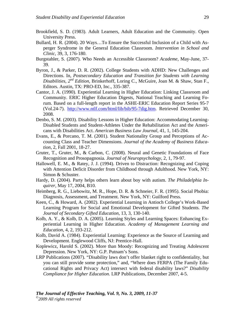- Brookfield, S. D. (1983). Adult Learners, Adult Education and the Community. Open University Press.
- Bullard, H. R. (2004). 20 Ways…To Ensure the Successful Inclusion of a Child with Asperger Syndrome in the General Education Classroom. *Intervention in School and Clinic,* 39, 3, 176-180.
- Burgstahler, S. (2007). Who Needs an Accessible Classroom? *Academe*, May-June, 37- 39.
- Byron, J., & Parker, D. R. (2002). College Students with ADHD: New Challenges and Directions. In, *Postsecondary Education and Transition for Students with Learning Disabilities, 2nd Edition,* Brinkerhoff, Loring C., McGuire, Joan M. & Shaw, Stan F., Editors. Austin, TX: PRO-ED, Inc., 335-387.
- Cantor, J. A. (1990). Experiential Learning in Higher Education: Linking Classroom and Community. ERIC Higher Education Digests, National Teaching and Learning Forum. Based on a full-length report in the ASHE-ERIC Education Report Series 95-7 (Vol.24-7). http://www.ntlf.com/html/lib/bib/95-7dig.htm. Retrieved December 30, 2008.
- Denbo, S. M. (2003). Disability Lessons in Higher Education: Accommodating Learning-Disabled Students and Student-Athletes Under the Rehabilitation Act and the Americans with Disabilities Act. *American Business Law Journal*, 41, 1, 145-204.
- Evans, E., & Porcano, T. M. (2001). Student Nationality Group and Perceptions of Accounting Class and Teacher Dimensions. *Journal of the Academy of Business Education*, 2, Fall 2001, 18-27.
- Gruter, T., Gruter, M., & Carbon, C. (2008). Neural and Genetic Foundations of Face Recognition and Prosopagnosia. *Journal of Neuropsychology,* 2, 1, 79-97.
- Hallowell, E. M., & Ratey, J. J. (1994). Driven to Distraction: Recognizing and Coping with Attention Deficit Disorder from Childhood through Adulthood. New York, NY: Simon & Schuster.
- Hardy, D. (2004). Party helps others learn about boy with autism. *The Philadelphia Inquirer*, May 17, 2004, B10.
- Heimberg, R. G., Liebowitz, M. R., Hope, D. R. & Schneier, F. R. (1995). Social Phobia: Diagnosis, Assessment, and Treatment. New York, NY: Guilford Press.
- Keen, C., & Howard, A. (2002). Experiential Learning in Antioch College's Work-Based Learning Program for Social and Emotional Development for Gifted Students. *The Journal of Secondary Gifted Education*, 13, 3, 130-140.
- Kolb, A. Y., & Kolb, D. A. (2005). Learning Styles and Learning Spaces: Enhancing Experiential Learning in Higher Education. *Academy of Management Learning and Education*, 4, 2, 193-212.
- Kolb, David A. (1984). Experiential Learning: Experience as the Source of Learning and Development. Englewood Cliffs, NJ: Prentice-Hall.
- Koplewicz, Harold S. (2002). More than Moody: Recognizing and Treating Adolescent Depression. New York, NY: G.P. Putnam's Sons.
- LRP Publications (2007). "Disability laws don't offer blanket right to confidentiality, but you can still provide some protection," and, "Where does FERPA (The Family Educational Rights and Privacy Act) intersect with federal disability laws?" *Disability Compliance for Higher Education*. LRP Publications, December 2007, 4-5.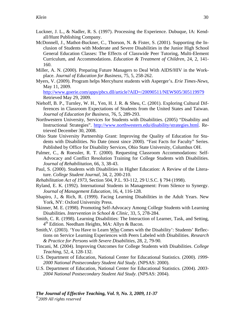- Luckner, J. L., & Nadler, R. S. (1997). Processing the Experience. Dubuque, IA: Kendall/Hunt Publishing Company.
- McDonnell, J., Mathot-Buckner, C., Thorson, N. & Fister, S. (2001). Supporting the Inclusion of Students with Moderate and Severe Disabilities in the Junior High School General Education Classes: The Effects of Classwide Peer Tutoring, Multi-Element Curriculum, and Accommodations. *Education & Treatment of Children,* 24, 2, 141- 160.
- Miller, A. N. (2000). Preparing Future Managers to Deal With AIDS/HIV in the Workplace. *Journal of Education for Business*, 75, 5, 258-262.
- Myers, V. (2009). Program helps Mercyhurst students with Asperger's. *Erie Times-News,*  May 11, 2009.

 http://www.goerie.com/apps/pbcs.dll/article?AID=/20090511/NEWS05/305119979 Retrieved May 29, 2009.

- Niehoff, B. P., Turnley, W. H., Yen, H. J. R. & Sheu, C. (2001). Exploring Cultural Differences in Classroom Expectations of Students from the United States and Taiwan. *Journal of Education for Business,* 76, 5, 289-293.
- Northwestern University, Services for Students with Disabilities. (2005) "Disability and Instructional Strategies". http://www.northwestern.edu/disability/strategies.html. Retrieved December 30, 2008.
- Ohio State University Partnership Grant: Improving the Quality of Education for Students with Disabilities. No Date (most since 2000). "Fast Facts for Faculty" Series. Published by Office for Disability Services, Ohio State University, Columbus OH.
- Palmer, C., & Roessler, R. T. (2000). Requesting Classroom Accommodations: Self-Advocacy and Conflict Resolution Training for College Students with Disabilities. *Journal of Rehabilitation*, 66, 3, 38-43.
- Paul, S. (2000). Students with Disabilities in Higher Education: A Review of the Literature. *College Student Journal*, 34, 2, 200-210.
- *Rehabilitation Act of 1973*, Section 504, P.L. 93-112, 29 U.S.C. § 794 (1998).
- Ryland, E. K. (1992). International Students in Management: From Silence to Synergy. *Journal of Management Education,* 16, 4, 116-128.
- Shapiro, J., & Rich, R. (1999). Facing Learning Disabilities in the Adult Years. New York, NY: Oxford University Press.
- Skinner, M. E. (1998). Promoting Self-Advocacy Among College Students with Learning Disabilities. *Intervention in School & Clinic*, 33, 5, 278-284.
- Smith, C. R. (1998). Learning Disabilities: The Interaction of Learner, Task, and Setting,  $4<sup>th</sup>$  Edition. Needham Heights, MA: Allyn & Bacon.
- Smith, V. (2003). 'You Have to Learn Who Comes with the Disability': Students' Reflections on Service Learning Experiences with Peers Labeled with Disabilities. *Research & Practice for Persons with Severe Disabilities,* 28, 2, 79-90.
- Tincani, M. (2004). Improving Outcomes for College Students with Disabilities. *College Teaching,* 52, 4, 128-132.
- U.S. Department of Education, National Center for Educational Statistics. (2000). *1999- 2000 National Postsecondary Student Aid Study*. (NPSAS: 2000).
- U.S. Department of Education, National Center for Educational Statistics. (2004). *2003- 2004 National Postsecondary Student Aid Study*. (NPSAS: 2004).

*The Journal of Effective Teaching, Vol. 9, No. 3, 2009, 11-37* 

*©2009 All rights reserved*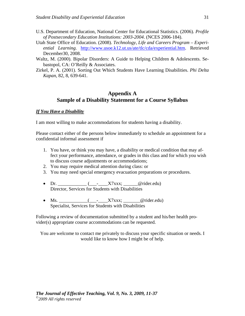- U.S. Department of Education, National Center for Educational Statistics. (2006). *Profile of Postsecondary Education Institutions: 2003-2004*. (NCES 2006-184).
- Utah State Office of Education. (2008). *Technology, Life and Careers Program Experiential Learning*. http://www.usoe.k12.ut.us/ate/tlc/cda/experiential.htm. Retrieved December30, 2008.
- Waltz, M. (2000). Bipolar Disorders: A Guide to Helping Children & Adolescents. Sebastopol, CA: O'Reilly & Associates.
- Zirkel, P. A. (2001). Sorting Out Which Students Have Learning Disabilities. *Phi Delta Kapan*, 82, 8, 639-641.

### **Appendix A Sample of a Disability Statement for a Course Syllabus**

#### *If You Have a Disability*

I am most willing to make accommodations for students having a disability.

Please contact either of the persons below immediately to schedule an appointment for a confidential informal assessment if

- 1. You have, or think you may have, a disability or medical condition that may affect your performance, attendance, or grades in this class and for which you wish to discuss course adjustments or accommodations;
- 2. You may require medical attention during class: or
- 3. You may need special emergency evacuation preparations or procedures.
- Dr.  $\qquad \qquad (- \quad X7xxx; \qquad \qquad \text{(orider.edu)}$ Director, Services for Students with Disabilities
- Ms. \_\_\_\_\_\_\_\_\_\_(\_\_\_-\_\_\_\_X7xxx; \_\_\_\_\_\_@rider.edu) Specialist, Services for Students with Disabilities

Following a review of documentation submitted by a student and his/her health provider(s) appropriate course accommodations can be requested.

You are welcome to contact me privately to discuss your specific situation or needs. I would like to know how I might be of help.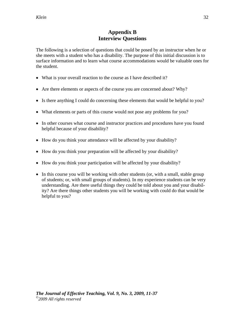## **Appendix B Interview Questions**

The following is a selection of questions that could be posed by an instructor when he or she meets with a student who has a disability. The purpose of this initial discussion is to surface information and to learn what course accommodations would be valuable ones for the student.

- What is your overall reaction to the course as I have described it?
- Are there elements or aspects of the course you are concerned about? Why?
- Is there anything I could do concerning these elements that would be helpful to you?
- What elements or parts of this course would not pose any problems for you?
- In other courses what course and instructor practices and procedures have you found helpful because of your disability?
- How do you think your attendance will be affected by your disability?
- How do you think your preparation will be affected by your disability?
- How do you think your participation will be affected by your disability?
- In this course you will be working with other students (or, with a small, stable group of students; or, with small groups of students). In my experience students can be very understanding. Are there useful things they could be told about you and your disability? Are there things other students you will be working with could do that would be helpful to you?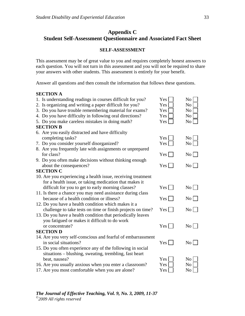## **Appendix C Student Self-Assessment Questionnaire and Associated Fact Sheet**

#### **SELF-ASSESSMENT**

This assessment may be of great value to you and requires completely honest answers to each question. You will not turn in this assessment and you will not be required to share your answers with other students. This assessment is entirely for your benefit.

Answer all questions and then consult the information that follows these questions.

#### **SECTION A**

| 1. Is understanding readings in courses difficult for you?   | Yes              | N <sub>o</sub>  |
|--------------------------------------------------------------|------------------|-----------------|
| 2. Is organizing and writing a paper difficult for you?      | Yes              | N <sub>o</sub>  |
| 3. Do you have trouble remembering material for exams?       | Yes              | N <sub>o</sub>  |
| 4. Do you have difficulty in following oral directions?      | Yes              | N <sub>o</sub>  |
| 5. Do you make careless mistakes in doing math?              | Yes              | No              |
| <b>SECTION B</b>                                             |                  |                 |
| 6. Are you easily distracted and have difficulty             |                  |                 |
| completing tasks?                                            | Yes <sup>1</sup> | No              |
| 7. Do you consider yourself disorganized?                    | Yes              | No              |
| 8. Are you frequently late with assignments or unprepared    |                  |                 |
| for class?                                                   | Yes              | $\rm{No}$       |
| 9. Do you often make decisions without thinking enough       |                  |                 |
| about the consequences?                                      | Yes              | $\rm{No}$       |
| <b>SECTION C</b>                                             |                  |                 |
| 10. Are you experiencing a health issue, receiving treatment |                  |                 |
| for a health issue, or taking medication that makes it       |                  |                 |
| difficult for you to get to early morning classes?           | $Yes \Box$       | $\rm{No}$       |
| 11. Is there a chance you may need assistance during class   |                  |                 |
| because of a health condition or illness?                    | $Yes \mid$       | $\rm{No}$       |
| 12. Do you have a health condition which makes it a          |                  |                 |
| challenge to take tests on time or finish projects on time?  | $Yes \mid$       | $\rm{No}$       |
| 13. Do you have a health condition that periodically leaves  |                  |                 |
| you fatigued or makes it difficult to do work                |                  |                 |
| or concentrate?                                              | $Yes \mid$       | $\rm{No}$       |
| <b>SECTION D</b>                                             |                  |                 |
| 14. Are you very self-conscious and fearful of embarrassment |                  |                 |
| in social situations?                                        | Yes              | No <sub>1</sub> |
| 15. Do you often experience any of the following in social   |                  |                 |
| situations – blushing, sweating, trembling, fast heart       |                  |                 |
| beat, nausea?                                                | Yes              | N <sub>o</sub>  |
| 16. Are you usually anxious when you enter a classroom?      | Yes              | N <sub>o</sub>  |
| 17. Are you most comfortable when you are alone?             | Yes              | N <sub>0</sub>  |

| $\overline{\mathbf{5}}$ | No <sub>1</sub>  |
|-------------------------|------------------|
| ζ                       | No               |
| ζ                       | $\overline{N_0}$ |
| ζ                       | No               |
| š                       | $\overline{N}$   |
|                         |                  |

| $r_{\rm es}\Box$ | $No \Box$ |
|------------------|-----------|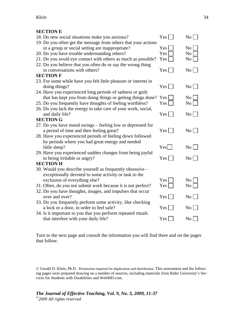## **SECTION E**

| SECTION E                                                       |                  |                    |
|-----------------------------------------------------------------|------------------|--------------------|
| 18. Do new social situations make you anxious?                  | $Yes \mid$       | $\rm{No}$          |
| 19. Do you often get the message from others that your actions  |                  |                    |
| in a group or social setting are inappropriate?                 | Yes              | No                 |
| 20. Do you have trouble understanding others?                   | Yes              | No                 |
| 21. Do you avoid eye contact with others as much as possible?   | Yes              | No                 |
| 22. Do you believe that you often do or say the wrong thing     |                  |                    |
| in conversations with others?                                   | Yes              | No                 |
| <b>SECTION F</b>                                                |                  |                    |
| 23. For some while have you felt little pleasure or interest in |                  |                    |
| doing things?                                                   | $Yes \mid \cdot$ | $\overline{N_{0}}$ |
| 24. Have you experienced long periods of sadness or guilt       |                  |                    |
| that has kept you from doing things or getting things done? Yes |                  | No                 |
| 25. Do you frequently have thoughts of feeling worthless?       | Yes              | No                 |
| 26. Do you lack the energy to take care of your work, social,   |                  |                    |
| and daily life?                                                 | Yes              | $\overline{N_{0}}$ |
| <b>SECTION G</b>                                                |                  |                    |
| 27. Do you have mood swings – feeling low or depressed for      |                  |                    |
| a period of time and then feeling great?                        | $Yes$            | $\overline{N_0}$   |
| 28. Have you experienced periods of feeling down followed       |                  |                    |
| by periods where you had great energy and needed                |                  |                    |
| little sleep?                                                   | Yes              | $\overline{N_0}$   |
| 29. Have you experienced sudden changes from being joyful       |                  |                    |
| to being irritable or angry?                                    | $Yes$            | $\overline{N_{0}}$ |
| <b>SECTION H</b>                                                |                  |                    |
| 30. Would you describe yourself as frequently obsessive –       |                  |                    |
| exceptionally devoted to some activity or task to the           |                  |                    |
| exclusion of everything else?                                   | Yes              | No                 |
| 31. Often, do you not submit work because it is not perfect?    | Yes              | No                 |
| 32. Do you have thoughts, images, and impulses that occur       |                  |                    |
| over and over?                                                  | $Yes \mid$       | $\overline{N_{0}}$ |
| 33. Do you frequently perform some activity, like checking      |                  |                    |
| a lock or a door, in order to feel safe?                        | Yes              | No <sub>1</sub>    |
| 34. Is it important to you that you perform repeated rituals    |                  |                    |
| that interfere with your daily life?                            | Yes              | No <sub>1</sub>    |
|                                                                 |                  |                    |

Turn to the next page and consult the information you will find there and on the pages that follow.

© Gerald D. Klein, Ph.D. Permission required for duplication and distribution. This assessment and the following pages were prepared drawing on a number of sources, including materials from Rider University's Services for Students with Disabilities and WebMD.com.

*The Journal of Effective Teaching, Vol. 9, No. 3, 2009, 11-37 ©2009 All rights reserved*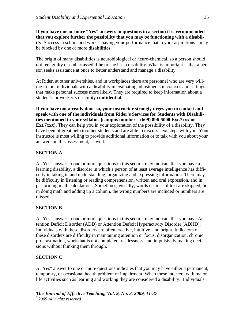**If you have one or more "Yes" answers to questions in a section it is recommended that you explore further the possibility that you may be functioning with a disability.** Success in school and work – having your performance match your aspirations – may be blocked by one or more **disabilities**.

The origin of many disabilities is neurobiological or neuro-chemical, so a person should not feel guilty or embarrassed if he or she has a disability. What is important is that a person seeks assistance at once to better understand and manage a disability.

At Rider, at other universities, and in workplaces there are personnel who are very willing to join individuals with a disability in evaluating adjustments in courses and settings that make personal success more likely. They are required to keep information about a student's or worker's disability **confidential**.

**If you have not already done so, your instructor strongly urges you to contact and speak with one of the individuals from Rider's Services for Students with Disabilities mentioned in your syllabus (campus number – (609) 896-5000 Ext.7xxx or Ext.7xxx).** They can help you in your exploration of the possibility of a disability. They have been of great help to other students and are able to discuss next steps with you. Your instructor is most willing to provide additional information or to talk with you about your answers on this assessment, as well.

### **SECTION A**

A "Yes" answer to one or more questions in this section may indicate that you have a learning disability, a disorder in which a person of at least average intelligence has difficulty in taking in and understanding, organizing and expressing information. There may be difficulty in listening or reading comprehension, written and oral expression, and in performing math calculations. Sometimes, visually, words or lines of text are skipped, or, in doing math and adding up a column, the wrong numbers are included or numbers are missed.

#### **SECTION B**

A "Yes" answer to one or more questions in this section may indicate that you have Attention Deficit Disorder (ADD) or Attention Deficit Hyperactivity Disorder (ADHD). Individuals with these disorders are often creative, intuitive, and bright. Indicators of these disorders are difficulty in maintaining attention or focus, disorganization, chronic procrastination, work that is not completed, restlessness, and impulsively making decisions without thinking them through.

#### **SECTION C**

A "Yes" answer to one or more questions indicates that you may have either a permanent, temporary, or occasional health problem or impairment. When these interfere with major life activities such as learning and working they are considered a disability. Individuals

*The Journal of Effective Teaching, Vol. 9, No. 3, 2009, 11-37 ©2009 All rights reserved*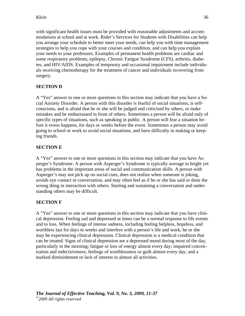with significant health issues must be provided with reasonable adjustments and accommodations at school and at work. Rider's Services for Students with Disabilities can help you arrange your schedule to better meet your needs, can help you with time management strategies to help you cope with your courses and condition, and can help you explain your needs to your professors. Examples of permanent health problems are cardiac and some respiratory problems, epilepsy, Chronic Fatigue Syndrome (CFS), arthritis, diabetes, and HIV/AIDS. Examples of temporary and occasional impairment include individuals receiving chemotherapy for the treatment of cancer and individuals recovering from surgery.

## **SECTION D**

A "Yes" answer to one or more questions in this section may indicate that you have a Social Anxiety Disorder. A person with this disorder is fearful of social situations, is selfconscious, and is afraid that he or she will be judged and criticized by others, or make mistakes and be embarrassed in front of others. Sometimes a person will be afraid only of specific types of situations, such as speaking in public. A person will fear a situation before it evens happens, for days or weeks before the event. Sometimes a person may avoid going to school or work to avoid social situations, and have difficulty in making or keeping friends.

## **SECTION E**

A "Yes" answer to one or more questions in this section may indicate that you have Asperger's Syndrome. A person with Asperger's Syndrome is typically average to bright yet has problems in the important areas of social and communication skills. A person with Asperger's may not pick up on social cues, does not realize when someone is joking, avoids eye contact in conversation, and may often feel as if he or she has said or done the wrong thing in interaction with others. Starting and sustaining a conversation and understanding others may be difficult.

### **SECTION F**

A "Yes" answer to one or more questions in this section may indicate that you have clinical depression. Feeling sad and depressed at times can be a normal response to life events and to loss. When feelings of intense sadness, including feeling helpless, hopeless, and worthless last for days to weeks and interfere with a person's life and work, he or she may be experiencing clinical depression. Clinical depression is a medical condition that can be treated. Signs of clinical depression are a depressed mood during most of the day, particularly in the morning; fatigue or loss of energy almost every day; impaired concentration and indecisiveness; feelings of worthlessness or guilt almost every day; and a marked diminishment or lack of interest in almost all activities.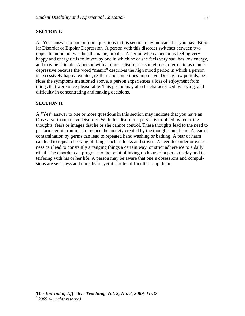#### **SECTION G**

A "Yes" answer to one or more questions in this section may indicate that you have Bipolar Disorder or Bipolar Depression. A person with this disorder switches between two opposite mood poles – thus the name, bipolar. A period when a person is feeling very happy and energetic is followed by one in which he or she feels very sad, has low energy, and may be irritable. A person with a bipolar disorder is sometimes referred to as manicdepressive because the word "manic" describes the high mood period in which a person is excessively happy, excited, restless and sometimes impulsive. During low periods, besides the symptoms mentioned above, a person experiences a loss of enjoyment from things that were once pleasurable. This period may also be characterized by crying, and difficulty in concentrating and making decisions.

#### **SECTION H**

A "Yes" answer to one or more questions in this section may indicate that you have an Obsessive-Compulsive Disorder. With this disorder a person is troubled by recurring thoughts, fears or images that he or she cannot control. These thoughts lead to the need to perform certain routines to reduce the anxiety created by the thoughts and fears. A fear of contamination by germs can lead to repeated hand washing or bathing. A fear of harm can lead to repeat checking of things such as locks and stoves. A need for order or exactness can lead to constantly arranging things a certain way, or strict adherence to a daily ritual. The disorder can progress to the point of taking up hours of a person's day and interfering with his or her life. A person may be aware that one's obsessions and compulsions are senseless and unrealistic, yet it is often difficult to stop them.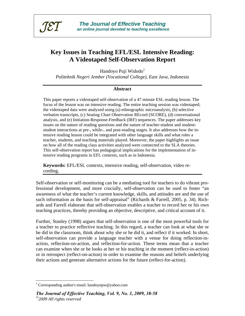

# **Key Issues in Teaching EFL/ESL Intensive Reading: A Videotaped Self-Observation Report**

Handoyo Puji Widodo<sup>1</sup>

*Politeknik Negeri Jember (Vocational College), East Java, Indonesia* 

#### **Abstract**

This paper reports a videotaped self-observation of a 47 minute ESL reading lesson. The focus of the lesson was on intensive reading. The entire teaching session was videotaped; the videotaped data were analyzed using (a) ethnographic microanalysis, (b) selective verbatim transcripts, (c) Seating Chart Observation REcord (SCORE), (d) conversational analysis, and (e) Initiation-Response-Feedback (IRF) sequences. The paper addresses key issues on the nature of reading questions and the nature of teacher-student and studentstudent interactions at pre-, while-, and post-reading stages. It also addresses how the intensive reading lesson could be integrated with other language skills and what roles a teacher, students, and teaching materials played. Moreover, the paper highlights an issue on how all of the reading class activities analyzed were connected to the SLA theories. This self-observation report has pedagogical implications for the implementation of intensive reading programs in EFL contexts, such as in Indonesia.

**Keywords:** EFL/ESL contexts, intensive reading, self-observation, video recording.

Self-observation or self-monitoring can be a mediating tool for teachers to do vibrant professional development, and more crucially, self-observation can be used to foster "an awareness of what the teacher's current knowledge, skills, and attitudes are and the use of such information as the basis for self-appraisal" (Richards & Farrell, 2005, p. 34). Richards and Farrell elaborate that self-observation enables a teacher to record her or his own teaching practices, thereby providing an objective, descriptive, and critical account of it.

Further, Stanley (1998) argues that self-observation is one of the most powerful tools for a teacher to practice reflective teaching. In this regard, a teacher can look at what she or he did in the classroom, think about why she or he did it, and reflect if it worked. In short, self-observation can provide a language teacher with a venue for doing reflection-inaction, reflection-on-action, and reflection-for-action. These terms mean that a teacher can examine when she or he looks at her or his teaching in the moment (reflect-in-action) or in retrospect (reflect-on-action) in order to examine the reasons and beliefs underlying their actions and generate alternative actions for the future (reflect-for-action).

 $\overline{a}$ 

<sup>&</sup>lt;sup>1</sup> Corresponding author's email: handoyopw@yahoo.com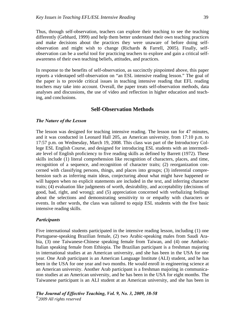Thus, through self-observation, teachers can explore their teaching to see the teaching differently (Gebhard, 1999) and help them better understand their own teaching practices and make decisions about the practices they were unaware of before doing selfobservation and might wish to change (Richards & Farrell, 2005). Finally, selfobservation can be a useful tool for practicing teachers to explore and gain a critical selfawareness of their own teaching beliefs, attitudes, and practices.

In response to the benefits of self-observation, as succinctly pinpointed above, this paper reports a videotaped self-observation on "an ESL intensive reading lesson." The goal of the paper is to provide critical issues in teaching intensive reading that EFL reading teachers may take into account. Overall, the paper treats self-observation methods, data analyses and discussions, the use of video and reflection in higher education and teaching, and conclusions.

#### **Self-Observation Methods**

#### *The Nature of the Lesson*

The lesson was designed for teaching intensive reading. The lesson ran for 47 minutes, and it was conducted in Leonard Hall 205, an American university, from 17:10 p.m. to 17:57 p.m. on Wednesday, March 19, 2008. This class was part of the Introductory College ESL English Course, and designed for introducing ESL students with an intermediate level of English proficiency to five reading skills as defined by Barrett (1972). These skills include (1) literal comprehension like recognition of characters, places, and time, recognition of a sequence, and recognition of character traits; (2) reorganization concerned with classifying persons, things, and places into groups; (3) inferential comprehension such as inferring main ideas, conjecturing about what might have happened or will happen when no explicit statements are included in the text, and inferring character traits; (4) evaluation like judgments of worth, desirability, and acceptability (decisions of good, bad, right, and wrong); and (5) appreciation concerned with verbalizing feelings about the selections and demonstrating sensitivity to or empathy with characters or events. In other words, the class was tailored to equip ESL students with the five basic intensive reading skills.

#### *Participants*

Five international students participated in the intensive reading lesson, including (1) one Portuguese-speaking Brazilian female, (2) two Arabic-speaking males from Saudi Arabia, (3) one Taiwanese-Chinese speaking female from Taiwan, and (4) one Amharic-Italian speaking female from Ethiopia. The Brazilian participant is a freshman majoring in international studies at an American university, and she has been in the USA for one year. One Arab participant is an American Language Institute (ALI) student, and he has been in the USA for one year and two months. He would enroll in engineering science at an American university. Another Arab participant is a freshman majoring in communication studies at an American university, and he has been in the USA for eight months. The Taiwanese participant is an ALI student at an American university, and she has been in

*The Journal of Effective Teaching, Vol. 9, No. 3, 2009, 38-58 ©2009 All rights reserved*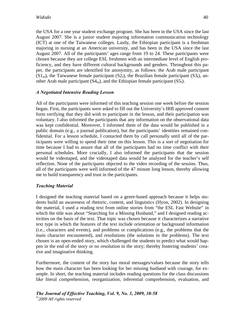the USA for a one year student exchange program. She has been in the USA since the last August 2007. She is a junior student majoring information communication technology (ICT) at one of the Taiwanese colleges. Lastly, the Ethiopian participant is a freshman majoring in nursing at an American university, and has been in the USA since the last August 2007. All of the participants' ages range from 19 to 24. These participants were chosen because they are college ESL freshmen with an intermediate level of English proficiency, and they have different cultural backgrounds and genders. Throughout this paper, the participants are identified for anonymity, as follows: the Arab male participant  $(S1<sub>m</sub>)$ , the Taiwanese female participant  $(S2<sub>f</sub>)$ , the Brazilian female participant  $(S3<sub>f</sub>)$ , another Arab male participant  $(S4<sub>m</sub>)$ , and the Ethiopian female participant  $(S5<sub>f</sub>)$ .

### *A Negotiated Intensive Reading Lesson*

All of the participants were informed of this teaching session one week before the session began. First, the participants were asked to fill out the University's IRB approved consent form verifying that they did wish to participate in the lesson, and their participation was voluntary. I also informed the participants that any information on the observational data was kept confidential. Moreover, I informed them of the data would be published in a public domain (e.g., a journal publication), but the participants' identities remained confidential. For a lesson schedule, I contacted them by call personally until all of the participants were willing to spend their time on this lesson. This is a sort of negotiation for time because I had to assure that all of the participants had no time conflict with their personal schedules. More crucially, I also informed the participants that the session would be videotaped, and the videotaped data would be analyzed for the teacher's self reflection. None of the participants objected to the video recording of the session. Thus, all of the participants were well informed of the 47 minute long lesson, thereby allowing me to build transparency and trust in the participants.

### *Teaching Material*

I designed the teaching material based on a genre-based approach because it helps students build an awareness of rhetoric, content, and linguistics (Hyon, 2002). In designing the material, I used a reading text from online stories from "the ESL Fast Website" in which the title was about "Searching for a Missing Husband," and I designed reading activities on the basis of the text. That topic was chosen because it characterizes a narrative text type in which the features of the text include orientation or background information (i.e., characters and events), and problems or complications (e.g., the problems that the main character encountered), and resolutions (the solutions to the problems). The text chosen is an open-ended story, which challenged the students to predict what would happen in the end of the story or no resolution in the story; thereby fostering students' creative and imaginative thinking.

Furthermore, the content of the story has moral messages/values because the story tells how the main character has been looking for her missing husband with courage, for example. In short, the teaching material includes reading questions for the class discussions like literal comprehension, reorganization, inferential comprehension, evaluation, and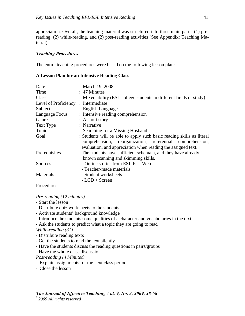appreciation. Overall, the teaching material was structured into three main parts: (1) prereading, (2) while-reading, and (2) post-reading activities (See Appendix: Teaching Material).

#### *Teaching Procedures*

The entire teaching procedures were based on the following lesson plan:

#### **A Lesson Plan for an Intensive Reading Class**

| Date                               | : March 19, 2008                                                                                                                                                                                   |
|------------------------------------|----------------------------------------------------------------------------------------------------------------------------------------------------------------------------------------------------|
| Time                               | : 47 Minutes                                                                                                                                                                                       |
| Class                              | : Mixed ability (ESL college students in different fields of study)                                                                                                                                |
| Level of Proficiency: Intermediate |                                                                                                                                                                                                    |
| Subject                            | : English Language                                                                                                                                                                                 |
| Language Focus                     | : Intensive reading comprehension                                                                                                                                                                  |
| Genre                              | : A short story                                                                                                                                                                                    |
| Text Type                          | : Narrative                                                                                                                                                                                        |
| Topic                              | : Searching for a Missing Husband                                                                                                                                                                  |
| Goal                               | : Students will be able to apply such basic reading skills as literal<br>comprehension, reorganization, referential comprehension,<br>evaluation, and appreciation when reading the assigned text. |
| Prerequisites                      | : The students have sufficient schemata, and they have already<br>known scanning and skimming skills.                                                                                              |
| Sources                            | : - Online stories from ESL Fast Web                                                                                                                                                               |
|                                    | - Teacher-made materials                                                                                                                                                                           |
| Materials                          | : - Student worksheets                                                                                                                                                                             |
|                                    | $-LCD + Screen$                                                                                                                                                                                    |
| Procedures                         |                                                                                                                                                                                                    |

*Pre-reading (12 minutes)* 

- Start the lesson
- Distribute quiz worksheets to the students
- Activate students' background knowledge
- Introduce the students some qualities of a character and vocabularies in the text
- Ask the students to predict what a topic they are going to read
- *While-reading (31)*
- Distribute reading texts
- Get the students to read the text silently
- Have the students discuss the reading questions in pairs/groups
- Have the whole class discussion
- *Post-reading (4 Minutes)*
- Explain assignments for the next class period
- Close the lesson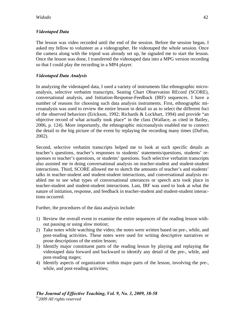### *Videotaped Data*

The lesson was video recorded until the end of the session. Before the session began, I asked my fellow to volunteer as a videographer. He videotaped the whole session. Once the camera along with the tripod was already set up, he signaled me to start the lesson. Once the lesson was done, I transferred the videotaped data into a MPG version recording so that I could play the recording in a MP4 player.

### *Videotaped Data Analysis*

In analyzing the videotaped data, I used a variety of instruments like ethnographic microanalysis, selective verbatim transcripts, Seating Chart Observation REcord (SCORE), conversational analysis, and Initiation-Response-Feedback (IRF) sequences. I have a number of reasons for choosing such data analysis instruments. First, ethnographic microanalysis was used to review the entire lesson in detail so as to select the different foci of the observed behaviors (Erickson, 1992; Richards & Lockhart, 1994) and provide "an objective record of what actually took place" in the class (Wallace, as cited in Bailey, 2006, p. 124). More importantly, the ethnographic microanalysis enabled me to connect the detail to the big picture of the event by replaying the recording many times (DuFon, 2002).

Second, selective verbatim transcripts helped me to look at such specific details as teacher's questions, teacher's responses to students' statements/questions, students' responses to teacher's questions, or students' questions. Such selective verbatim transcripts also assisted me in doing conversational analysis on teacher-student and student-student interactions. Third, SCORE allowed me to sketch the amounts of teacher's and students' talks in teacher-student and student-student interactions, and conversational analysis enabled me to see what types of conversational utterances or speech acts took place in teacher-student and student-student interactions. Last, IRF was used to look at what the nature of initiation, response, and feedback in teacher-student and student-student interactions occurred.

Further, the procedures of the data analysis include:

- 1) Review the overall event to examine the entire sequences of the reading lesson without pausing or using slow motion;
- 2) Take notes while watching the video; the notes were written based on pre-, while, and post-reading activities. These notes were used for writing descriptive narratives or prose descriptions of the entire lesson;
- 3) Identify major constituent parts of the reading lesson by playing and replaying the videotaped data forward and backward to identify any detail of the pre-, while, and post-reading stages;
- 4) Identify aspects of organization within major parts of the lesson, involving the pre-, while, and post-reading activities: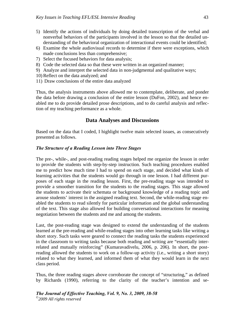- 5) Identify the actions of individuals by doing detailed transcription of the verbal and nonverbal behaviors of the participants involved in the lesson so that the detailed understanding of the behavioral organization of interactional events could be identified;
- 6) Examine the whole audiovisual records to determine if there were exceptions, which made conclusions less than comprehensive;
- 7) Select the focused behaviors for data analysis;
- 8) Code the selected data so that these were written in an organized manner;
- 9) Analyze and interpret the selected data in non-judgmental and qualitative ways;
- 10) Reflect on the data analyzed; and
- 11) Draw conclusions of the entire data analyzed

Thus, the analysis instruments above allowed me to contemplate, deliberate, and ponder the data before drawing a conclusion of the entire lesson (DuFon, 2002), and hence enabled me to do provide detailed prose descriptions, and to do careful analysis and reflection of my teaching performance as a whole.

## **Data Analyses and Discussions**

Based on the data that I coded, I highlight twelve main selected issues, as consecutively presented as follows.

#### *The Structure of a Reading Lesson into Three Stages*

The pre-, while-, and post-reading reading stages helped me organize the lesson in order to provide the students with step-by-step instruction. Such teaching procedures enabled me to predict how much time I had to spend on each stage, and decided what kinds of learning activities that the students would go through in one lesson. I had different purposes of each stage in the reading lesson. First, the pre-reading stage was intended to provide a smoother transition for the students to the reading stages. This stage allowed the students to activate their schemata or background knowledge of a reading topic and arouse students' interest in the assigned reading text. Second, the while-reading stage enabled the students to read silently for particular information and the global understanding of the text. This stage also allowed for building conversational interactions for meaning negotiation between the students and me and among the students.

Last, the post-reading stage was designed to extend the understanding of the students learned at the pre-reading and while-reading stages into other learning tasks like writing a short story. Such tasks were geared to connect the reading tasks the students experienced in the classroom to writing tasks because both reading and writing are "essentially interrelated and mutually reinforcing" (Kumaravadivelu, 2006, p. 206). In short, the postreading allowed the students to work on a follow-up activity (i.e., writing a short story) related to what they learned, and informed them of what they would learn in the next class period.

Thus, the three reading stages above corroborate the concept of "structuring," as defined by Richards (1990), referring to the clarity of the teacher's intention and se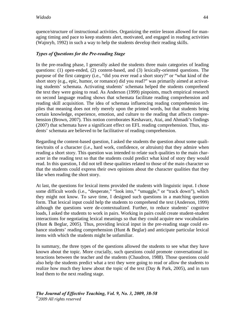quence/structure of instructional activities. Organizing the entire lesson allowed for managing timing and pace to keep students alert, motivated, and engaged in reading activities (Wajnryb, 1992) in such a way to help the students develop their reading skills.

### *Types of Questions for the Pre-reading Stage*

In the pre-reading phase, I generally asked the students three main categories of leading questions: (1) open-ended, (2) content-based, and (3) lexically-oriented questions. The purpose of the first category (i.e., "did you ever read a short story?" or "what kind of the short story (e.g., epic, humor, or romance) did you read?" was primarily aimed at activating students' schemata. Activating students' schemata helped the students comprehend the text they were going to read. As Anderson (1999) pinpoints, much empirical research on second language reading shows that schemata facilitate reading comprehension and reading skill acquisition. The idea of schemata influencing reading comprehension implies that meaning does not rely merely upon the printed words, but that students bring certain knowledge, experience, emotion, and culture to the reading that affects comprehension (Brown, 2007). This notion corroborates Keshavarz, Atai, and Ahmadi's findings (2007) that schemata have a significant effect on EFL reading comprehension. Thus, students' schemata are believed to be facilitative of reading comprehension.

Regarding the content-based question, I asked the students the question about some qualities/traits of a character (i.e., hard work, confidence, or altruism) that they admire when reading a short story. This question was intended to relate such qualities to the main character in the reading text so that the students could predict what kind of story they would read. In this question, I did not tell these qualities related to those of the main character so that the students could express their own opinions about the character qualities that they like when reading the short story.

At last, the questions for lexical items provided the students with linguistic input. I chose some difficult words (i.e., "desperate," "look into," "smuggle," or "track down"), which they might not know. To save time, I designed such questions in a matching question form. That lexical input could help the students to comprehend the text (Anderson, 1999) although the questions were de-contextualized. Further, to reduce students' cognitive loads, I asked the students to work in pairs. Working in pairs could create student-student interactions for negotiating lexical meanings so that they could acquire new vocabularies (Hunt & Beglar, 2005). Thus, providing lexical input in the pre-reading stage could enhance students' reading comprehension (Hunt & Beglar) and anticipate particular lexical items with which the students might be unfamiliar.

In summary, the three types of the questions allowed the students to see what they have known about the topic. More crucially, such questions could promote conversational interactions between the teacher and the students (Chaudron, 1988). Those questions could also help the students predict what a text they were going to read or allow the students to realize how much they knew about the topic of the text (Day  $&$  Park, 2005), and in turn lead them to the next reading stage.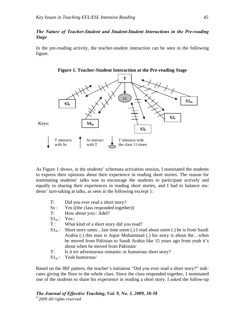#### *The Nature of Teacher-Student and Student-Student Interactions in the Pre-reading Stage*

In the pre-reading activity, the teacher-student interaction can be seen in the following figure.





As Figure 1 shows, in the students' schemata activation session, I nominated the students to express their opinions about their experience in reading short stories. The reason for nominating students' talks was to encourage the students to participate actively and equally in sharing their experiences in reading short stories, and I had to balance students' turn-taking at talks, as seen in the following excerpt 1:

- T: Did you ever read a short story?
- Ss : Yes ((the class responded together))
- T: How about you: Adel?
- $S1<sub>m</sub>$ : Yes::
- T : What kind of a short story did you read?
- $S1<sub>m</sub>$ : Short story umm...last time umm (.) I read about umm (.) he is from Saudi Arabia (.) this man is Aqtar Muhammad (.) his story is about the…when he moved from Pakistan to Saudi Arabia like 15 years ago from yeah it's about when he moved from Pakistan/
- T: Is it err adventurous romantic or humorous short story?
- $S1<sub>m</sub>$ : Yeah humorous/

Based on the IRF pattern, the teacher's initiation "Did you ever read a short story?" indicates giving the floor to the whole class. Since the class responded together, I nominated one of the students to share his experience in reading a short story. I asked the follow-up

*The Journal of Effective Teaching, Vol. 9, No. 3, 2009, 38-58 ©2009 All rights reserved*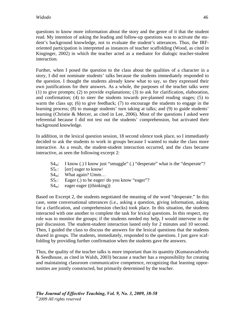questions to know more information about the story and the genre of it that the student read. My intention of asking the leading and follow-up questions was to activate the student's background knowledge, not to evaluate the student's utterances. Thus, the IRForiented participation is interpreted as instances of teacher scaffolding (Wood, as cited in Kinginger, 2002) in which the teacher acted as a mediator for dialogic teacher-student interaction.

Further, when I posed the question to the class about the qualities of a character in a story, I did not nominate students' talks because the students immediately responded to the question. I thought the students already knew what to say, so they expressed their own justifications for their answers. As a whole, the purposes of the teacher talks were (1) to give prompts; (2) to provide explanations; (3) to ask for clarification, elaboration, and confirmation; (4) to steer the students towards pre-planned reading stages; (5) to warm the class up; (6) to give feedback; (7) to encourage the students to engage in the learning process; (8) to manage students' turn taking at talks; and (9) to guide students' learning (Christie & Mercer, as cited in Lee, 2006). Most of the questions I asked were referential because I did not test out the students' comprehension, but activated their background knowledge.

In addition, in the lexical question session, 18 second silence took place, so I immediately decided to ask the students to work in groups because I wanted to make the class more interactive. As a result, the student-student interaction occurred, and the class became interactive, as seen the following excerpt 2:

- $S4<sub>m</sub>$ : I know (.) I know just "smuggle" (.) "desperate" what is the "desperate"?
- $S_1$ : [err] eager to know/
- $S4<sub>m</sub>$ : What again? Umm...
- $SS_f$ : Eager (.) to be eager/ do you know "eager"?
- $S4<sub>m</sub>$ : eager eager ((thinking))

Based on Excerpt 2, the students negotiated the meaning of the word "desperate." In this case, some conversational utterances (i.e., asking a question, giving information, asking for a clarification, and comprehension checks) took place. In this situation, the students interacted with one another to complete the task for lexical questions. In this respect, my role was to monitor the groups; if the students needed my help, I would intervene in the pair discussion. The student-student interaction lasted only for 2 minutes and 10 second. Then, I guided the class to discuss the answers for the lexical questions that the students shared in groups. The students, immediately, responded to the questions. I just gave scaffolding by providing further confirmation when the students gave the answers.

Thus, the quality of the teacher talks is more important than its quantity (Kumaravadivelu & Seedhouse, as cited in Walsh, 2003) because a teacher has a responsibility for creating and maintaining classroom communicative competence, recognizing that learning opportunities are jointly constructed, but primarily determined by the teacher.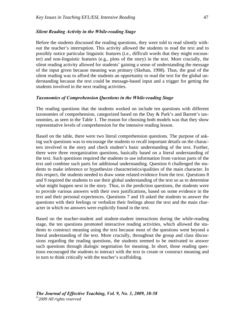#### *Silent Reading Activity in the While-reading Stage*

Before the students discussed the reading questions, they were told to read silently without the teacher's interruption. This activity allowed the students to read the text and to possibly notice particular linguistic features (i.e., difficult words that they might encounter) and non-linguistic features (e.g., plots of the story) in the text. More crucially, the silent reading activity allowed for students' gaining a sense of understanding the message of the input given because meaning was primary (Skehan, 1998). Thus, the goal of the silent reading was to afford the students an opportunity to read the text for the global understanding because the text could be message-based input and a trigger for getting the students involved in the next reading activities.

#### *Taxonomies of Comprehension Questions in the While-reading Stage*

The reading questions that the students worked on include ten questions with different taxonomies of comprehension, categorized based on the Day & Park's and Barrett's taxonomies, as seen in the Table 1. The reason for choosing both models was that they show representative levels of comprehension for the intensive reading lesson.

Based on the table, there were two literal comprehension questions. The purpose of asking such questions was to encourage the students to recall important details on the characters involved in the story and check student's basic understanding of the text. Further, there were three reorganization questions, basically based on a literal understanding of the text. Such questions required the students to use information from various parts of the text and combine such parts for additional understanding. Question 6 challenged the students to make inference or hypothesize characteristics/qualities of the main character. In this respect, the students needed to draw some related evidence from the text. Questions 8 and 9 required the students to use their global understanding of the text so as to determine what might happen next in the story. Thus, in the prediction questions, the students were to provide various answers with their own justifications, based on some evidence in the text and their personal experiences. Questions 7 and 10 asked the students to answer the questions with their feelings or verbalize their feelings about the text and the main character in which no answers were explicitly found in the text.

Based on the teacher-student and student-student interactions during the while-reading stage, the ten questions promoted interactive reading activities, which allowed the students to construct meaning using the text because most of the questions went beyond a literal understanding of the text. More crucially, throughout the group and class discussions regarding the reading questions, the students seemed to be motivated to answer such questions through dialogic negotiation for meaning. In short, those reading questions encouraged the students to interact with the text to create or construct meaning and in turn to think critically with the teacher's scaffolding.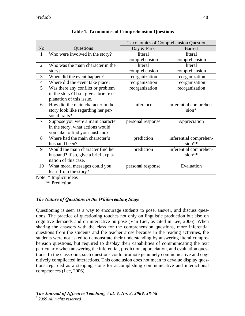|                |                                       | <b>Taxonomies of Comprehension Questions</b> |                        |
|----------------|---------------------------------------|----------------------------------------------|------------------------|
| N <sub>o</sub> | Questions                             | Day & Park                                   | <b>Barrett</b>         |
| $\mathbf{1}$   | Who were involved in the story?       | literal                                      | literal                |
|                |                                       | comprehension                                | comprehension          |
| $\overline{2}$ | Who was the main character in the     | literal                                      | literal                |
|                | story?                                | comprehension                                | comprehension          |
| 3              | When did the event happen?            | reorganization                               | reorganization         |
| $\overline{4}$ | Where did the event take place?       | reorganization                               | reorganization         |
| 5 <sup>5</sup> | Was there any conflict or problem     | reorganization                               | reorganization         |
|                | in the story? If so, give a brief ex- |                                              |                        |
|                | planation of this issue.              |                                              |                        |
| 6              | How did the main character in the     | inference                                    | inferential comprehen- |
|                | story look like regarding her per-    |                                              | $sion*$                |
|                | sonal traits?                         |                                              |                        |
| $\overline{7}$ | Suppose you were a main character     | personal response                            | Appreciation           |
|                | in the story, what actions would      |                                              |                        |
|                | you take to find your husband?        |                                              |                        |
| 8              | Where had the main character's        | prediction                                   | inferential comprehen- |
|                | husband been?                         |                                              | sion**                 |
| 9              | Would the main character find her     | prediction                                   | inferential comprehen- |
|                | husband? If so, give a brief expla-   |                                              | $sion**$               |
|                | nation of this case.                  |                                              |                        |
| 10             | What moral messages could you         | personal response                            | Evaluation             |
|                | learn from the story?                 |                                              |                        |

| <b>Table 1. Taxonomies of Comprehension Questions</b> |  |  |
|-------------------------------------------------------|--|--|
|-------------------------------------------------------|--|--|

Note: \* Implicit ideas

\*\* Prediction

## *The Nature of Questions in the While-reading Stage*

Questioning is seen as a way to encourage students to pose, answer, and discuss questions. The practice of questioning touches not only on linguistic production but also on cognitive demands and on interactive purpose (Van Lier, as cited in Lee, 2006). When sharing the answers with the class for the comprehension questions, more inferential questions from the students and the teacher arose because in the reading activities, the students were not asked to demonstrate their understanding by answering literal comprehension questions, but required to display their capabilities of communicating the text particularly when answering the inferential, prediction, appreciation, and evaluation questions. In the classroom, such questions could promote genuinely communicative and cognitively complicated interactions. This conclusion does not mean to devalue display questions regarded as a stepping stone for accomplishing communicative and interactional competences (Lee, 2006).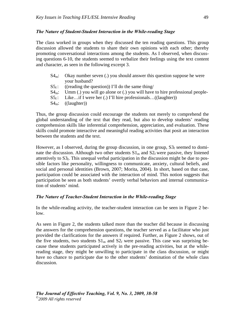#### *The Nature of Student-Student Interaction in the While-reading Stage*

The class worked in groups when they discussed the ten reading questions. This group discussion allowed the students to share their own opinions with each other; thereby promoting conversational interactions among the students. As I observed, when discussing questions 6-10, the students seemed to verbalize their feelings using the text content and character, as seen in the following excerpt 3.

- $S4<sub>m</sub>$ : Okay number seven (.) you should answer this question suppose he were your husband?
- $S5_f$ : ((reading the question)) I'll do the same thing/
- $S4<sub>m</sub>$ : Umm (.) you will go alone or (.) you will have to hire professional people-
- $S5_f$ : Like...if I were her (.) I'll hire professionals...((laughter))
- $S4<sub>m</sub>:$  ((laughter))

Thus, the group discussion could encourage the students not merely to comprehend the global understanding of the text that they read, but also to develop students' reading comprehension skills like inferential comprehension, appreciation, and evaluation. These skills could promote interactive and meaningful reading activities that posit an interaction between the students and the text.

However, as I observed, during the group discussion, in one group,  $S_1$  seemed to dominate the discussion. Although two other students  $S1<sub>m</sub>$  and  $S2<sub>f</sub>$  were passive, they listened attentively to  $S_1$ . This unequal verbal participation in the discussion might be due to possible factors like personality, willingness to communicate, anxiety, cultural beliefs, and social and personal identities (Brown, 2007; Morita, 2004). In short, based on that case, participation could be associated with the interaction of mind. This notion suggests that participation be seen as both students' overtly verbal behaviors and internal communication of students' mind.

#### *The Nature of Teacher-Student Interaction in the While-reading Stage*

In the while-reading activity, the teacher-student interaction can be seen in Figure 2 below.

As seen in Figure 2, the students talked more than the teacher did because in discussing the answers for the comprehension questions, the teacher served as a facilitator who just provided the clarifications for the answers if required. Further, as Figure 2 shows, out of the five students, two students  $S1_m$  and  $S2_f$  were passive. This case was surprising because these students participated actively in the pre-reading activities, but at the whilereading stage, they might be unwilling to participate in the class discussion, or might have no chance to participate due to the other students' domination of the whole class discussion.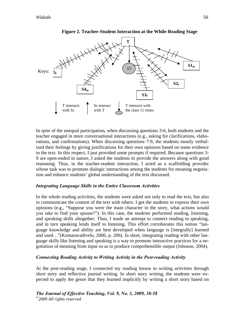

**Figure 2. Teacher-Student Interaction at the While-Reading Stage** 

In spite of the unequal participation, when discussing questions 3-6, both students and the teacher engaged in more conversational interactions (e.g., asking for clarifications, elaborations, and confirmations). When discussing questions 7-9, the students mostly verbalized their feelings by giving justifications for their own opinions based on some evidence in the text. In this respect, I just provided some prompts if required. Because questions 3- 9 are open-ended in nature, I asked the students to provide the answers along with good reasoning. Thus, in the teacher-student interaction, I acted as a scaffolding provider whose task was to promote dialogic interactions among the students for meaning negotiation and enhance students' global understanding of the text discussed.

#### *Integrating Language Skills in the Entire Classroom Activities*

In the whole reading activities, the students were asked not only to read the text, but also to communicate the content of the text with others. I got the students to express their own opinions (e.g., "Suppose you were the main character in the story, what actions would you take to find your spouse?"). In this case, the students performed reading, listening, and speaking skills altogether. Thus, I made an attempt to connect reading to speaking, and in turn speaking lends itself to listening. This effort corroborates this notion "language knowledge and ability are best developed when language is [integrally] learned and used…"(Kumaravadivelu, 2006, p. 206). In short, integrating reading with other language skills like listening and speaking is a way to promote interactive practices for a negotiation of meaning from input so as to produce comprehensible output (Johnson, 2004).

### *Connecting Reading Activity to Writing Activity in the Post-reading Activity*

At the post-reading stage, I connected my reading lesson to writing activities through short story and reflective journal writing. In short story writing, the students were expected to apply the genre that they learned implicitly by writing a short story based on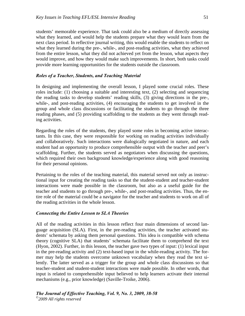students' memorable experience. That task could also be a medium of directly assessing what they learned, and would help the students prepare what they would learn from the next class period. In reflective journal writing, this would enable the students to reflect on what they learned during the pre-, while-, and post-reading activities, what they achieved from the entire lesson, what they did not achieved yet from the lesson, what aspects they would improve, and how they would make such improvements. In short, both tasks could provide more learning opportunities for the students outside the classroom.

#### *Roles of a Teacher, Students, and Teaching Material*

In designing and implementing the overall lesson, I played some crucial roles. These roles include: (1) choosing a suitable and interesting text, (2) selecting and sequencing the reading tasks to develop students' reading skills, (3) giving directions in the pre-, while-, and post-reading activities, (4) encouraging the students to get involved in the group and whole class discussions or facilitating the students to go through the three reading phases, and (5) providing scaffolding to the students as they went through reading activities.

Regarding the roles of the students, they played some roles in becoming active interactants. In this case, they were responsible for working on reading activities individually and collaboratively. Such interactions were dialogically negotiated in nature, and each student had an opportunity to produce comprehensible output with the teacher and peer's scaffolding. Further, the students served as negotiators when discussing the questions, which required their own background knowledge/experience along with good reasoning for their personal opinions.

Pertaining to the roles of the teaching material, this material served not only as instructional input for creating the reading tasks so that the student-student and teacher-student interactions were made possible in the classroom, but also as a useful guide for the teacher and students to go through pre-, while-, and post-reading activities. Thus, the entire role of the material could be a navigator for the teacher and students to work on all of the reading activities in the whole lesson.

#### *Connecting the Entire Lesson to SLA Theories*

All of the reading activities in this lesson reflect four main dimensions of second language acquisition (SLA). First, in the pre-reading activities, the teacher activated students' schemata by asking them personal questions. This idea is compatible with schema theory (cognitive SLA) that students' schemata facilitate them to comprehend the text (Hyon, 2002). Further, in this lesson, the teacher gave two types of input: (1) lexical input in the pre-reading activity and (2) text-based input in the while-reading activity. The former may help the students overcome unknown vocabulary when they read the text silently. The latter served as a trigger for the group and whole class discussions so that teacher-student and student-student interactions were made possible. In other words, that input is related to comprehensible input believed to help learners activate their internal mechanisms (e.g., prior knowledge) (Saville-Troike, 2006).

*The Journal of Effective Teaching, Vol. 9, No. 3, 2009, 38-58 ©2009 All rights reserved*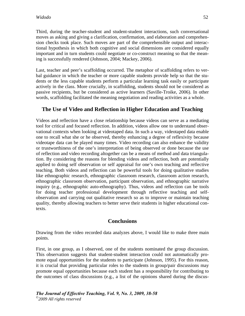Third, during the teacher-student and student-student interactions, such conversational moves as asking and giving a clarification, confirmation, and elaboration and comprehension checks took place. Such moves are part of the comprehensible output and interactional hypothesis in which both cognitive and social dimensions are considered equally important and in turn students could negotiate or co-construct meaning so that the meaning is successfully rendered (Johnson, 2004; Mackey, 2006).

Last, teacher and peer's scaffolding occurred. The metaphor of scaffolding refers to verbal guidance in which the teacher or more capable students provide help so that the students or the less capable students perform a particular learning task easily or participate actively in the class. More crucially, in scaffolding, students should not be considered as passive recipients, but be considered as active learners (Saville-Troike, 2006). In other words, scaffolding facilitated the meaning negotiation and reading activities as a whole.

## **The Use of Video and Reflection in Higher Education and Teaching**

Videos and reflection have a close relationship because videos can serve as a mediating tool for critical and focused reflection. In addition, videos allow one to understand observational contexts when looking at videotaped data. In such a way, videotaped data enable one to recall what she or he observed, thereby enhancing a degree of reflexivity because videotape data can be played many times. Video recording can also enhance the validity or trustworthiness of the one's interpretation of being observed or done because the use of reflection and video recording altogether can be a means of method and data triangulation. By considering the reasons for blending videos and reflection, both are potentially applied to doing self observation or self appraisal for one's own teaching and reflective teaching. Both videos and reflection can be powerful tools for doing qualitative studies like ethnographic research, ethnographic classroom research, classroom action research, ethnographic classroom observation, participant observation, and ethnographic narrative inquiry (e.g., ethnographic auto-ethnography). Thus, videos and reflection can be tools for doing teacher professional development through reflective teaching and selfobservation and carrying out qualitative research so as to improve or maintain teaching quality, thereby allowing teachers to better serve their students in higher educational contexts.

### **Conclusions**

Drawing from the video recorded data analyzes above, I would like to make three main points.

First, in one group, as I observed, one of the students nominated the group discussion. This observation suggests that student-student interaction could not automatically promote equal opportunities for the students to participate (Johnson, 1995). For this reason, it is crucial that providing particular roles to the students in group/pair discussions may promote equal opportunities because each student has a responsibility for contributing to the outcomes of class discussions (e.g., a list of the opinions shared during the discus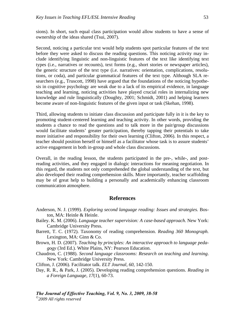sions). In short, such equal class participation would allow students to have a sense of ownership of the ideas shared (Tsui, 2007).

Second, noticing a particular text would help students spot particular features of the text before they were asked to discuss the reading questions. This noticing activity may include identifying linguistic and non-linguistic features of the text like identifying text types (i.e., narratives or recounts), text forms (e.g., short stories or newspaper articles), the generic structure of the text type (i.e. narratives: orientation, complications, resolutions, or coda), and particular grammatical features of the text type. Although SLA researchers (e.g., Truscott, 1998) have argued that the foundations of the noticing hypothesis in cognitive psychology are weak due to a lack of its empirical evidence, in language teaching and learning, noticing activities have played crucial roles in internalizing new knowledge and rule linguistically (Doughty, 2001; Schmidt, 2001) and helping learners become aware of non-linguistic features of the given input or task (Skehan, 1998).

Third, allowing students to initiate class discussion and participate fully in it is the key to promoting student-centered learning and teaching activity. In other words, providing the students a chance to read the questions and to talk more in the pair/group discussions would facilitate students' greater participation, thereby tapping their potentials to take more initiative and responsibility for their own learning (Clifton, 2006). In this respect, a teacher should position herself or himself as a facilitator whose task is to assure students' active engagement in both in-group and whole class discussions.

Overall, in the reading lesson, the students participated in the pre-, while-, and postreading activities, and they engaged in dialogic interactions for meaning negotiation. In this regard, the students not only comprehended the global understanding of the text, but also developed their reading comprehension skills. More importantly, teacher scaffolding may be of great help to building a personally and academically enhancing classroom communication atmosphere.

#### **References**

- Anderson, N. J. (1999). *Exploring second language reading: Issues and strategies.* Boston, MA: Heinle & Heinle.
- Bailey. K. M. (2006). *Language teacher supervision: A case-based approach*. New York: Cambridge University Press.
- Barrett, T. C. (1972). Taxonomy of reading comprehension. *Reading 360 Monograph.* Lexington, MA: Ginn & Co.
- Brown, H. D. (2007). *Teaching by principles: An interactive approach to language pedagogy* (3rd Ed.). White Plains, NY: Pearson Education.
- Chaudron, C. (1988). *Second language classrooms: Research on teaching and learning*. New York: Cambridge University Press.
- Clifton, J. (2006). Facilitator talk. *ELT Journal*, *60*, 142-150.
- Day, R. R., & Park, J. (2005). Developing reading comprehension questions. *Reading in a Foreign Language*, *17*(1), 60-73.

*The Journal of Effective Teaching, Vol. 9, No. 3, 2009, 38-58* 

*©2009 All rights reserved*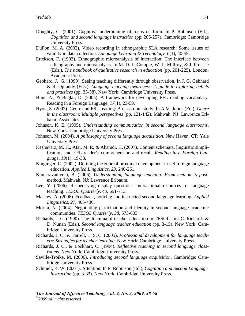- Doughty, C. (2001). Cognitive underpinning of focus on form. In P. Robinson (Ed.), *Cognition and second language ins/ruction* (pp. 206-257). Cambridge: Cambridge University Press.
- DuFon, M. A. (2002). Video recording in ethnographic SLA research: Some issues of validity in data collection. *Language Learning & Technology*, *6*(1), 40-59.
- Erickson, F. (1992). Ethnographic microanalysis of interaction: The interface between ethnography and microanalysis. In M. D. LeCompte, W. L. Millroy, & J. Preissle (Eds.), *The handbook of qualitative research in education* (pp. 201-225). London: Academic Press.
- Gebhard, J. G. (1999). Seeing teaching differently through observation. In J. G. Gebhard & R. Oprandy (Eds.), *Language teaching awareness: A guide to exploring beliefs and practices* (pp. 35-58). New York: Cambridge University Press.
- Hunt, A., & Beglar, D. (2005). A framework for developing EFL reading vocabulary. Reading in a Foreign Language, *17*(1), 23-59.
- Hyon, S. (2002). Genre and ESL reading: A classroom study. In A.M. Johns (Ed.), *Genre in the classroom: Multiple perspectives* (pp. 121-142). Mahwah, NJ: Lawrence Erlbaum Associates.
- Johnson, K. E. (1995). *Understanding communication in second language classrooms*. New York: Cambridge University Press.
- Johnson, M. (2004). *A philosophy of second language acquisition*. New Haven, CT: Yale University Press.
- Keshavarz, M. H., Atai, M. R, & Ahamdi, H. (2007). Content schemata, linguistic simplification, and EFL reader's comprehension and recall. *Reading in a Foreign Language*, *19*(1), 19-33.
- Kinginger, C. (2002). Defining the zone of proximal development in US foreign language education. *Applied Linguistics*, *23*, 240-261.
- Kumaravadivelu, B. (2006). *Understanding language teaching: From method to postmethod*. Mahwah, NJ: Lawrence Erlbaum.
- Lee, Y. (2006). Respecifying display questions: Interactional resources for language teaching. *TESOL Quarterly*, *40*, 691-713.
- Mackey, A. (2006). Feedback, noticing and instructed second language learning. *Applied Linguistics*, *27*, 405-430.
- Morita, N. (2004). Negotiating participation and identity in second language academic communities. *TESOL Quarterly*, *38*, 573-603.
- Richards, J. C. (1990). The dilemma of teacher education in TESOL. In J.C. Richards & D. Nunan (Eds.), *Second language teacher education* (pp. 3-15). New York: Cambridge University Press.
- Richards, J. C., & Farrell, T. S. C. (2005). *Professional development for language teachers: Strategies for teacher learning*. New York: Cambridge University Press.
- Richards, J. C., & Lockhart, C. (1994). *Reflective teaching in second language classrooms*. New York: Cambridge University Press.
- Saville-Troike, M. (2006). *Introducing second language acquisition*. Cambridge: Cambridge University Press.
- Schmidt, R. W. (2001). Attention. In P. Robinson (Ed.), *Cognition and Second Language Instruction* (pp. 3-32). New York: Cambridge University Press.

*The Journal of Effective Teaching, Vol. 9, No. 3, 2009, 38-58 ©2009 All rights reserved*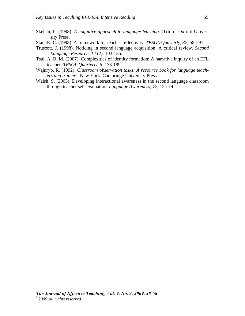- Skehan, P. (1998). *A cognitive approach to language learning*. Oxford: Oxford University Press.
- Stanely, C. (1998). A framework for teacher reflectivity. *TESOL Quarterly*, *32*, 584-91.
- Truscott, J. (1998). Noticing in second language acquisition: A critical review. *Second Language Research, 14* (2), 103-135.
- Tsui, A. B. M. (2007). Complexities of identity formation: A narrative inquiry of an EFL teacher. *TESOL Quarterly*, *5*, 173-199.
- Wajnryb, R. (1992). *Classroom observation tasks: A resource book for language teachers and trainers*. New York: Cambridge University Press.
- Walsh, S. (2003). Developing interactional awareness in the second language classroom through teacher self-evaluation. *Language Awareness*, *12*, 124-142.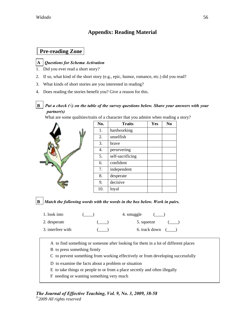## **Appendix: Reading Material**

## **Pre-reading Zone**

### **A** *Questions for Schema Activation*

- 1. Did you ever read a short story?
- 2. If so, what kind of the short story (e.g., epic, humor, romance, etc.) did you read?
- 3. What kinds of short stories are you interested in reading?
- 4. Does reading the stories benefit you? Give a reason for this.

### **B** *Put a check (√) on the table of the survey questions below. Share your answers with your partner(s)*

What are some qualities/traits of a character that you admire when reading a story?

|  | No. | <b>Traits</b>    | Yes | N <sub>0</sub> |
|--|-----|------------------|-----|----------------|
|  | 1.  | hardworking      |     |                |
|  | 2.  | unselfish        |     |                |
|  | 3.  | brave            |     |                |
|  | 4.  | persevering      |     |                |
|  | 5.  | self-sacrificing |     |                |
|  | 6.  | confident        |     |                |
|  | 7.  | independent      |     |                |
|  | 8.  | desperate        |     |                |
|  | 9.  | decisive         |     |                |
|  | 10. | loyal            |     |                |

**B** *Match the following words with the words in the box below. Work in pairs.* 

| 1. look into      | 4. smuggle          |
|-------------------|---------------------|
| 2. desperate      | 5. squeeze          |
| 3. interfere with | 6. track down $($ ) |

A to find something or someone after looking for them in a lot of different places

- B to press something firmly
- C to prevent something from working effectively or from developing successfully
- D to examine the facts about a problem or situation
- E to take things or people to or from a place secretly and often illegally
- F needing or wanting something very much

# *The Journal of Effective Teaching, Vol. 9, No. 3, 2009, 38-58*

*©2009 All rights reserved*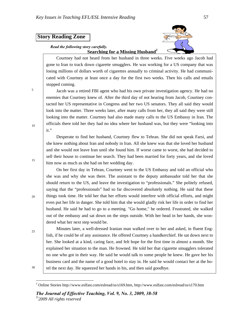## **Story Reading Zone**

#### *Read the following story carefully.*  **Searching for a Missing Husband2**



Courtney had not heard from her husband in three weeks. Five weeks ago Jacob had gone to Iran to track down cigarette smugglers. He was working for a US company that was losing millions of dollars worth of cigarettes annually to criminal activity. He had communicated with Courtney at least once a day for the first two weeks. Then his calls and emails stopped coming.

Jacob was a retired FBI agent who had his own private investigation agency. He had no enemies that Courtney knew of. After the third day of not hearing from Jacob, Courtney contacted her US representative in Congress and her two US senators. They all said they would look into the matter. Three weeks later, after many calls from her, they all said they were still looking into the matter. Courtney had also made many calls to the US Embassy in Iran. The officials there told her they had no idea where her husband was, but they were "looking into it."

Desperate to find her husband, Courtney flew to Tehran. She did not speak Farsi, and she knew nothing about Iran and nobody in Iran. All she knew was that she loved her husband and she would not leave Iran until she found him. If worse came to worst, she had decided to sell their house to continue her search. They had been married for forty years, and she loved him now as much as she had on her wedding day.

On her first day in Tehran, Courtney went to the US Embassy and told an official who she was and why she was there. The assistant to the deputy ambassador told her that she should return to the US, and leave the investigation to "professionals." She politely refused, saying that the "professionals" had so far discovered absolutely nothing. He said that these things took time. He told her that her efforts would interfere with official efforts, and might even put her life in danger. She told him that she would gladly risk her life in order to find her husband. He said he had to go to a meeting. "Go home," he ordered. Frustrated, she walked out of the embassy and sat down on the steps outside. With her head in her hands, she wondered what her next step would be.

25

5

10

15

20

Minutes later, a well-dressed Iranian man walked over to her and asked, in fluent English, if he could be of any assistance. He offered Courtney a handkerchief. He sat down next to her. She looked at a kind, caring face, and felt hope for the first time in almost a month. She explained her situation to the man. He frowned. He told her that cigarette smugglers tolerated no one who got in their way. He said he would talk to some people he knew. He gave her his business card and the name of a good hotel to stay in. He said he would contact her at the hotel the next day. He squeezed her hands in his, and then said goodbye.

30

 $\overline{a}$ 

<sup>&</sup>lt;sup>2</sup> Online Stories http://www.eslfast.com/eslread/ss/s169.htm, http://www.eslfast.com/eslread/ss/s170.htm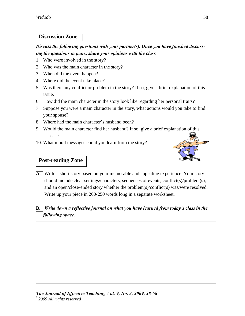## **Discussion Zone**

## *Discuss the following questions with your partner(s). Once you have finished discussing the questions in pairs, share your opinions with the class.*

- 1. Who were involved in the story?
- 2. Who was the main character in the story?
- 3. When did the event happen?
- 4. Where did the event take place?
- 5. Was there any conflict or problem in the story? If so, give a brief explanation of this issue.
- 6. How did the main character in the story look like regarding her personal traits?
- 7. Suppose you were a main character in the story, what actions would you take to find your spouse?
- 8. Where had the main character's husband been?
- 9. Would the main character find her husband? If so, give a brief explanation of this case.
- 10. What moral messages could you learn from the story?



## **Post-reading Zone**

**A.** Write a short story based on your memorable and appealing experience. Your story should include clear settings/characters, sequences of events, conflict(s)/problem(s), and an open/close-ended story whether the problem(s)/conflict(s) was/were resolved. Write up your piece in 200-250 words long in a separate worksheet.

## **B.** *Write down a reflective journal on what you have learned from today's class in the following space.*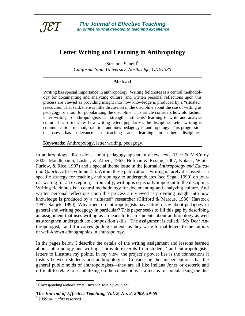

# **Letter Writing and Learning in Anthropology**

Suzanne Scheld $1$ *California State University, Northridge, CA 91330* 

#### **Abstract**

Writing has special importance in anthropology. Writing fieldnotes is a central methodology for documenting and analyzing culture, and written personal reflections upon this process are viewed as providing insight into how knowledge is produced by a "situated" researcher. That said, there is little discussion in the discipline about the use of writing as pedagogy or a tool for popularizing the discipline. This article considers how old fashion letter writing to anthropologists can strengthen students' learning to write and analyze culture. It also indicates how writing letters popularizes the discipline. Letter writing is communication, method, tradition, and now pedagogy in anthropology. This progression of uses has relevance to teaching and learning in other disciplines.

**Keywords:** Anthropology, letter writing, pedagogy.

In anthropology, discussions about pedagogy appear in a few texts (Rice & McCurdy 2002; Mandlebaum, Lasker, & Albert, 1963; Hofman & Rosing, 2007; Kotack, White, Furlow, & Rice, 1997) and a special theme issue in the journal *Anthropology and Education Quarterly* (see volume 21). Within these publications, writing is rarely discussed as a specific strategy for teaching anthropology to undergraduates (see Segal, 1990) on journal writing for an exception). Ironically, writing is especially important to the discipline. Writing fieldnotes is a central methodology for documenting and analyzing culture. And written personal reflections upon this process are viewed as providing insight into how knowledge is produced by a "situated" researcher (Clifford & Marcus, 1986; Harstock 1987; Sanjek, 1990). Why, then, do anthropologists have little to say about pedagogy in general and writing pedagogy in particular? This paper seeks to fill this gap by describing an assignment that uses writing as a means to teach students about anthropology as well as strengthen undergraduate composition skills. The assignment is called, "My Dear Anthropologist," and it involves guiding students as they write formal letters to the authors of well-known ethnographies in anthropology.

In the pages below I describe the details of the writing assignment and lessons learned about anthropology and writing. I provide excerpts from students' and anthropologists' letters to illustrate my points. In my view, the project's power lies is the connections it fosters between students and anthropologists. Considering the misperceptions that the general public holds of anthropologists—they are all like Indiana Jones or esoteric and difficult to relate to--capitalizing on the connections is a means for popularizing the dis-

 $\overline{a}$ 

<sup>&</sup>lt;sup>1</sup> Corresponding author's email: suzanne.scheld@csun.edu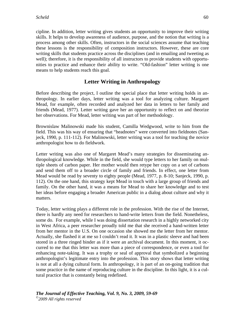cipline. In addition, letter writing gives students an opportunity to improve their writing skills. It helps to develop awareness of audience, purpose, and the notion that writing is a process among other skills. Often, instructors in the social sciences assume that teaching these lessons is the responsibility of composition instructors. However, these are core writing skills that students practice across the disciplines (and in emailing and tweeting as well); therefore, it is the responsibility of all instructors to provide students with opportunities to practice and enhance their ability to write. "Old-fashion" letter writing is one means to help students reach this goal.

## **Letter Writing in Anthropology**

Before describing the project, I outline the special place that letter writing holds in anthropology. In earlier days, letter writing was a tool for analyzing culture. Margaret Mead, for example, often recorded and analyzed her data in letters to her family and friends (Mead, 1977). Letter writing gave her an opportunity to reflect on and theorize her observations. For Mead, letter writing was part of her methodology.

Brownislaw Malinowski made his student, Camilla Wedgwood, write to him from the field. This was his way of ensuring that "headnotes" were converted into fieldnotes (Sanjeck, 1990, p. 111-112). For Malinowski, letter writing was a tool for teaching the novice anthropologist how to do fieldwork.

Letter writing was also one of Margaret Mead's many strategies for disseminating anthropological knowledge. While in the field, she would type letters to her family on multiple sheets of carbon paper. Her mother would then retype her copy on a set of carbons and send them off to a broader circle of family and friends. In effect, one letter from Mead would be read by seventy to eighty people (Mead, 1977, p. 8-10; Sanjeck, 1990, p. 112). On the one hand, this strategy kept Mead in touch with a large group of friends and family. On the other hand, it was a means for Mead to share her knowledge and to test her ideas before engaging a broader American public in a dialog about culture and why it matters.

Today, letter writing plays a different role in the profession. With the rise of the Internet, there is hardly any need for researchers to hand-write letters from the field. Nonetheless, some do. For example, while I was doing dissertation research in a highly networked city in West Africa, a peer researcher proudly told me that she received a hand-written letter from her mentor in the U.S. On one occasion she showed me the letter from her mentor. Actually, she flashed it at me so I couldn't read it. It was in a plastic sleeve and had been stored in a three ringed binder as if it were an archival document. In this moment, it occurred to me that this letter was more than a piece of correspondence, or even a tool for enhancing note-taking. It was a trophy or seal of approval that symbolized a beginning anthropologist's legitimate entry into the profession. This story shows that letter writing is not at all a dying cultural form. In anthropology, it is part of an on-going tradition that some practice in the name of reproducing culture in the discipline. In this light, it is a cultural practice that is constantly being redefined.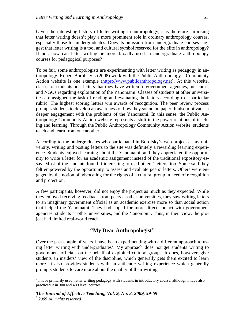Given the interesting history of letter writing in anthropology, it is therefore surprising that letter writing doesn't play a more prominent role in ordinary anthropology courses, especially those for undergraduates. Does its omission from undergraduate courses suggest that letter writing is a tool and cultural symbol reserved for the elite in anthropology? If not, how can letter writing be more broadly used in undergraduate anthropology courses for pedagogical purposes?

To be fair, some anthropologists are experimenting with letter writing as pedagogy in anthropology. Robert Borofsky's (2008) work with the Public Anthropology's Community Action website is one example (https://www.publicanthropology.net). At this website, classes of students post letters that they have written to government agencies, museums, and NGOs regarding exploitation of the Yanomami. Classes of students at other universities are assigned the task of reading and evaluating the letters according to a particular rubric. The highest scoring letters win awards of recognition. The peer review process prompts students to develop an awareness of how they sound on paper. It also motivates a deeper engagement with the problems of the Yanomami. In this sense, the Public Anthropology Community Action website represents a shift in the power relations of teaching and learning. Through the Public Anthropology Community Action website, students teach and learn from one another.

According to the undergraduates who participated in Borofsky's web-project at my university, writing and posting letters to the site was definitely a rewarding learning experience. Students enjoyed learning about the Yanomami, and they appreciated the opportunity to write a letter for an academic assignment instead of the traditional expository essay. Most of the students found it interesting to read others' letters, too. Some said they felt empowered by the opportunity to assess and evaluate peers' letters. Others were engaged by the notion of advocating for the rights of a cultural group in need of recognition and protection.

A few participants, however, did not enjoy the project as much as they expected. While they enjoyed receiving feedback from peers at other universities, they saw writing letters to an imaginary government official as an academic exercise more so than social action that helped the Yanomami. They had hoped for more direct contact with government agencies, students at other universities, and the Yanomomi. Thus, in their view, the project had limited real-world reach.

## **"My Dear Anthropologist"**

Over the past couple of years I have been experimenting with a different approach to using letter writing with undergraduates<sup>2</sup>. My approach does not get students writing to government officials on the behalf of exploited cultural groups. It does, however, give students an insiders' view of the discipline, which generally gets them excited to learn more. It also provides students with an authentic writing experience which generally prompts students to care more about the quality of their writing.

 $\overline{a}$ 

 $2<sup>2</sup>$  I have primarily used letter writing pedagogy with students in introductory course, although I have also practiced it in 300 and 400 level courses.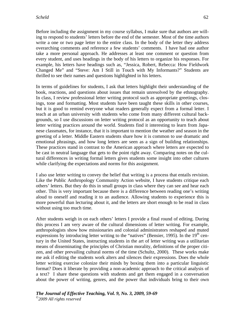Before including the assignment in my course syllabus, I make sure that authors are willing to respond to students' letters before the end of the semester. Most of the time authors write a one or two page letter to the entire class. In the body of the letter they address overarching comments and reference a few students' comments. I have had one author take a more personal approach. He addresses at least one comment or question from every student, and uses headings in the body of his letters to organize his responses. For example, his letters have headings such as, "Jessica, Robert, Rebecca: How Fieldwork Changed Me" and "Steve: Am I Still in Touch with My Informants?" Students are thrilled to see their names and questions highlighted in his letters.

In terms of guidelines for students, I ask that letters highlight their understanding of the book, reactions, and questions about issues that remain unresolved by the ethnography. In class, I review professional letter writing protocol such as appropriate greetings, closings, tone and formatting. Most students have been taught these skills in other courses, but it is good to remind everyone what readers generally expect from a formal letter. I teach at an urban university with students who come from many different cultural backgrounds, so I use discussions on letter writing protocol as an opportunity to teach about letter writing practices around the world. Students find it interesting to learn from Japanese classmates, for instance, that it is important to mention the weather and season in the greeting of a letter. Middle Eastern students share how it is common to use dramatic and emotional phrasings, and how long letters are seen as a sign of building relationships. These practices stand in contrast to the American approach where letters are expected to be cast in neutral language that gets to the point right away. Comparing notes on the cultural differences in writing formal letters gives students some insight into other cultures while clarifying the expectations and norms for this assignment.

I also use letter writing to convey the belief that writing is a process that entails revision. Like the Public Anthropology Community Action website, I have students critique each others' letters. But they do this in small groups in class where they can see and hear each other. This is very important because there is a difference between reading one's writing aloud to oneself and reading it to an audience. Allowing students to experience this is more powerful than lecturing about it, and the letters are short enough to be read in class without using too much time.

After students weigh in on each others' letters I provide a final round of editing. During this process I am very aware of the cultural dimensions of letter writing. For example, anthropologists show how missionaries and colonial administrators reshaped and muted expressions by introducing letter writing to the "natives" (Bensier, 1995). In the  $19<sup>th</sup>$  century in the United States, instructing students in the art of letter writing was a utilitarian means of disseminating the principles of Christian morality, definitions of the proper citizen, and other prevailing cultural norms of the time (Schultz, 2000). These works make me ask if editing the students work alters and silences their expressions. Does the whole letter writing exercise colonize their minds by boxing them into a particular linguistic format? Does it liberate by providing a non-academic approach to the critical analysis of a text? I share these questions with students and get them engaged in a conversation about the power of writing, genres, and the power that individuals bring to their own

*The Journal of Effective Teaching, Vol. 9, No. 3, 2009, 59-69 ©2009 All rights reserved*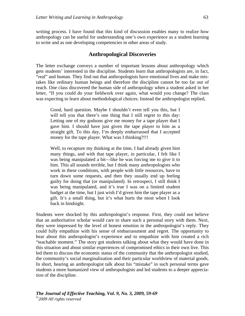writing process. I have found that this kind of discussion enables many to realize how anthropology can be useful for understanding one's own experience as a student learning to write and as one developing competencies in other areas of study.

#### **Anthropological Discoveries**

The letter exchange conveys a number of important lessons about anthropology which gets students' interested in the discipline. Students learn that anthropologists are, in fact, "real" and human. They find out that anthropologists have emotional lives and make mistakes like ordinary human beings and therefore the discipline cannot be too far out of reach. One class discovered the human side of anthropology when a student asked in her letter, "If you could do your fieldwork over again, what would you change? The class was expecting to learn about methodological choices. Instead the anthropologist replied,

Good, hard question. Maybe I shouldn't even tell you this, but I will tell you that there's one thing that I still regret to this day: Letting one of my godsons give me money for a tape player that I gave him. I should have just given the tape player to him as a straight gift. To this day, I'm deeply embarrassed that I accepted money for the tape player. What was I thinking?!!!

Well, to recapture my thinking at the time, I had already given him many things, and with that tape player, in particular, I felt like I was being manipulated a bit—like he was forcing me to give it to him. This all sounds terrible, but I think many anthropologists who work in these conditions, with people with little resources, have to turn down some requests, and then they usually end up feeling guilty for doing that (or manipulated). In retrospect, I still think I was being manipulated, and it's true I was on a limited student budget at the time, but I just wish I'd given him the tape player as a gift. It's a small thing, but it's what hurts the most when I look back in hindsight.

Students were shocked by this anthropologist's response. First, they could not believe that an authoritative scholar would care to share such a personal story with them. Next, they were impressed by the level of honest emotion in the anthropologist's reply. They could fully empathize with his sense of embarrassment and regret. The opportunity to hear about this anthropologist's experience and to empathize with him created a rich "teachable moment." The story got students talking about what they would have done in this situation and about similar experiences of compromised ethics in their own live. This led them to discuss the economic status of the community that the anthropologist studied, the community's social marginalization and their particular worldview of material goods. In short, hearing an anthropologist talk about his "mistake" in such personal terms gave students a more humanized view of anthropologists and led students to a deeper appreciation of the discipline.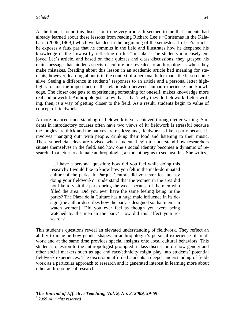At the time, I found this discussion to be very ironic. It seemed to me that students had already learned about these lessons from reading Richard Lee's "Christmas in the Kalahari" (2006 [1969]) which we tackled in the beginning of the semester. In Lee's article, he exposes a faux pas that he commits in the field and illustrates how he deepened his knowledge of the Ju/wasi by reflecting on his "mistake". The students immensely enjoyed Lee's article, and based on their quizzes and class discussions, they grasped his main message that hidden aspects of culture are revealed to anthropologists when they make mistakes. Reading about this lesson in an academic article had meaning for students; however, learning about it in the context of a personal letter made the lesson come alive. Seeing a difference in students' responses to an article and a personal letter highlights for me the importance of the relationship between human experience and knowledge. The closer one gets to experiencing something for oneself, makes knowledge more real and powerful. Anthropologists know that—that's why they do fieldwork. Letter writing, then, is a way of getting closer to the field. As a result, students begin to value of concept of fieldwork.

A more nuanced understanding of fieldwork is yet achieved through letter writing. Students in introductory courses often have two views of it: fieldwork is stressful because the jungles are thick and the natives are restless; and, fieldwork is like a party because it involves "hanging out" with people, drinking their food and listening to their music. These superficial ideas are revised when students begin to understand how researchers situate themselves in the field, and how one's social identity becomes a dynamic of research. In a letter to a female anthropologist, a student begins to see just this. She writes,

….I have a personal question: how did you feel while doing this research? I would like to know how you felt in the male-dominated culture of the parks. In Parque Central, did you ever feel uneasy doing your fieldwork? I understand that the women in the area did not like to visit the park during the week because of the men who filled the area. Did you ever have the same feeling being in the parks? The Plaza de la Culture has a huge male influence in its design [the author describes how the park is designed so that men can watch women]. Did you ever feel as though you were being watched by the men in the park? How did this affect your research?

This student's questions reveal an elevated understanding of fieldwork. They reflect an ability to imagine how gender shapes an anthropologist's personal experience of fieldwork and at the same time provides special insights onto local cultural behaviors. This student's question to the anthropologist prompted a class discussion on how gender and other social markers such as age and race/ethnicity might play into students' potential fieldwork experiences. The discussion afforded students a deeper understanding of fieldwork as a particular approach to research and it generated interest in learning more about other anthropological research.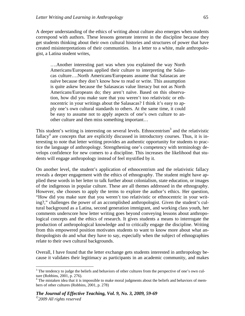A deeper understanding of the ethics of writing about culture also emerges when students correspond with authors. These lessons generate interest in the discipline because they get students thinking about their own cultural histories and structures of power that have created misinterpretations of their communities. In a letter to a white, male anthropologist, a Latina student writes,

….Another interesting part was when you explained the way North Americans/Europeans applied their culture to interpreting the Salascas culture….North Americans/Europeans assume that Salasacas are naïve because they don't know how to read or write. This assumption is quite askew because the Salasascas value literacy but not as North Americans/Europeans do; they aren't naïve. Based on this observation, how did you make sure that you weren't too relativistic or ethnocentric in your writings about the Salasacas? I think it's easy to apply one's own cultural standards to others. At the same time, it could be easy to assume not to apply aspects of one's own culture to another culture and then miss something important…

This student's writing is interesting on several levels. Ethnocentrism<sup>3</sup> and the relativistic  $fallacy<sup>4</sup>$  are concepts that are explicitly discussed in introductory courses. Thus, it is interesting to note that letter writing provides an authentic opportunity for students to practice the language of anthropology. Strengthening one's competency with terminology develops confidence for new comers to a discipline. This increases the likelihood that students will engage anthropology instead of feel mystified by it.

On another level, the student's application of ethnocentrism and the relativistic fallacy reveals a deeper engagement with the ethics of ethnography. The student might have applied these words in her letter to talk further about colonialism, state education, or images of the indigenous in popular culture. These are all themes addressed in the ethnography. However, she chooses to apply the terms to explore the author's ethics. Her question, "How did you make sure that you weren't too relativistic or ethnocentric in your writing?," challenges the power of an accomplished anthropologist. Given the student's cultural background as a Latina, second generation immigrant, and working class youth, her comments underscore how letter writing goes beyond conveying lessons about anthropological concepts and the ethics of research. It gives students a means to interrogate the production of anthropological knowledge and to critically engage the discipline. Writing from this empowered position motivates students to want to know more about what anthropologists do and what they have to say, especially when the subject of ethnographies relate to their own cultural backgrounds.

Overall, I have found that the letter exchange gets students interested in anthropology because it validates their legitimacy as participants in an academic community, and makes

<u>.</u>

 $3$  The tendency to judge the beliefs and behaviors of other cultures from the perspective of one's own culture (Robbins, 2001, p. 276).

<sup>&</sup>lt;sup>4</sup> The mistaken idea that it is impossible to make moral judgments about the beliefs and behaviors of members of other cultures (Robbins, 2001, p. 278)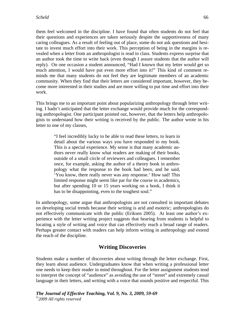them feel welcomed in the discipline. I have found that often students do not feel that their questions and experiences are taken seriously despite the supportiveness of many caring colleagues. As a result of feeling out of place, some do not ask questions and hesitate to invest much effort into their work. This perception of being in the margins is revealed when a letter from an anthropologist is read in class. Students express surprise that an author took the time to write back (even though I assure students that the author will reply). On one occasion a student announced, "Had I known that my letter would get so much attention, I would have put even more effort into it!" This kind of comment reminds me that many students do not feel they are legitimate members of an academic community. When they find that their letters are considered important, however, they become more interested in their studies and are more willing to put time and effort into their work.

This brings me to an important point about popularizing anthropology through letter writing. I hadn't anticipated that the letter exchange would provide much for the corresponding anthropologist. One participant pointed out, however, that the letters help anthropologists to understand how their writing is received by the public. The author wrote in his letter to one of my classes,

> "I feel incredibly lucky to be able to read these letters, to learn in detail about the various ways you have responded to my book. This is a special experience. My sense is that many academic authors never really know what readers are making of their books, outside of a small circle of reviewers and colleagues. I remember once, for example, asking the author of a theory book in anthropology what the response to the book had been, and he said, 'You know, there really never was any response.' How sad! This limited response might seem like par for the course in academics, but after spending 10 or 15 years working on a book, I think it has to be disappointing, even to the toughest soul."

In anthropology, some argue that anthropologists are not consulted in important debates on developing social trends because their writing is arid and esoteric; anthropologists do not effectively communicate with the public (Eriksen 2005). At least one author's experience with the letter writing project suggests that hearing from students is helpful to locating a style of writing and voice that can effectively reach a broad range of readers. Perhaps greater contact with readers can help inform writing in anthropology and extend the reach of the discipline.

### **Writing Discoveries**

Students make a number of discoveries about writing through the letter exchange. First, they learn about audience. Undergraduates know that when writing a professional letter one needs to keep their reader in mind throughout. For the letter assignment students tend to interpret the concept of "audience" as avoiding the use of "street" and extremely casual language in their letters, and writing with a voice that sounds positive and respectful. This

```
The Journal of Effective Teaching, Vol. 9, No. 3, 2009, 59-69 
©2009 All rights reserved
```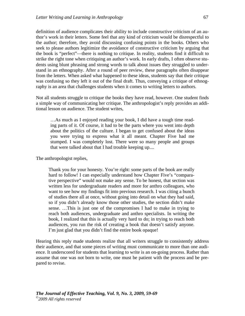definition of audience complicates their ability to include constructive criticism of an author's work in their letters. Some feel that any kind of criticism would be disrespectful to the author; therefore, they avoid discussing confusing points in the books. Others who seek to please authors legitimize the avoidance of constructive criticism by arguing that the book is "perfect"—there is nothing to critique. In reality, students find it difficult to strike the right tone when critiquing an author's work. In early drafts, I often observe students using blunt phrasing and strong words to talk about issues they struggled to understand in an ethnography. After a round of peer review, these paragraphs often disappear from the letters. When asked what happened to these ideas, students say that their critique was confusing so they left it out of the final draft. Thus, conveying a critique of ethnography is an area that challenges students when it comes to writing letters to authors.

Not all students struggle to critique the books they have read, however. One student finds a simple way of communicating her critique. The anthropologist's reply provides an additional lesson on audience. The student writes,

…As much as I enjoyed reading your book, I did have a tough time reading parts of it. Of course, it had to be the parts where you went into depth about the politics of the culture. I began to get confused about the ideas you were trying to express what it all meant. Chapter Five had me stumped. I was completely lost. There were so many people and groups that were talked about that I had trouble keeping up....

The anthropologist replies,

Thank you for your honesty. You're right: some parts of the book are really hard to follow! I can especially understand how Chapter Five's "comparative perspective" would not make any sense. To be honest, that section was written less for undergraduate readers and more for anthro colleagues, who want to see how my findings fit into previous research. I was citing a bunch of studies there all at once, without going into detail on what they had said, so if you didn't already know those other studies, the section didn't make sense. …This is just one of the compromises I had to make in trying to reach both audiences, undergraduate and anthro specialists. In writing the book, I realized that this is actually very hard to do; in trying to reach both audiences, you run the risk of creating a book that doesn't satisfy anyone. I'm just glad that you didn't find the entire book opaque!

Hearing this reply made students realize that all writers struggle to consistently address their audience, and that some pieces of writing must communicate to more than one audience. It underscored for students that learning to write is an on-going process. Rather than assume that one was not born to write, one must be patient with the process and be prepared to revise.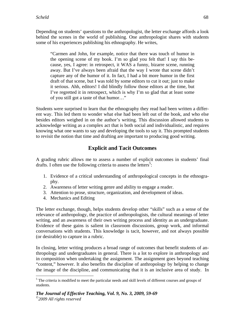Depending on students' questions to the anthropologist, the letter exchange affords a look behind the scenes in the world of publishing. One anthropologist shares with students some of his experiences publishing his ethnography. He writes,

"Carmen and John, for example, notice that there was touch of humor in the opening scene of my book. I'm so glad you felt that! I say this because, yes, I agree: in retrospect, it WAS a funny, bizarre scene, running away. But I've always been afraid that the way I wrote that scene didn't capture any of the humor of it. In fact, I had a bit more humor in the first draft of that scene, but I was told by some editors to cut it out; just to make it serious. Ahh, editors! I did blindly follow those editors at the time, but I've regretted it in retrospect, which is why I'm so glad that at least some of you still got a taste of that humor…"

Students were surprised to learn that the ethnography they read had been written a different way. This led them to wonder what else had been left out of the book, and who else besides editors weighed in on the author's writing. This discussion allowed students to acknowledge writing as a complex act that is both social and individualistic, and requires knowing what one wants to say and developing the tools to say it. This prompted students to revisit the notion that time and drafting are important to producing good writing.

# **Explicit and Tacit Outcomes**

A grading rubric allows me to assess a number of explicit outcomes in students' final drafts. I often use the following criteria to assess the letters<sup>5</sup>:

- 1. Evidence of a critical understanding of anthropological concepts in the ethnography.
- 2. Awareness of letter writing genre and ability to engage a reader.
- 3. Attention to prose, structure, organization, and development of ideas.
- 4. Mechanics and Editing

 $\overline{a}$ 

The letter exchange, though, helps students develop other "skills" such as a sense of the relevance of anthropology, the practice of anthropologists, the cultural meanings of letter writing, and an awareness of their own writing process and identity as an undergraduate. Evidence of these gains is salient in classroom discussions, group work, and informal conversations with students. This knowledge is tacit, however, and not always possible (or desirable) to capture in a rubric.

In closing, letter writing produces a broad range of outcomes that benefit students of anthropology and undergraduates in general. There is a lot to explore in anthropology and in composition when undertaking the assignment. The assignment goes beyond teaching "content," however. It also benefits the discipline of anthropology by helping to change the image of the discipline, and communicating that it is an inclusive area of study. In

<sup>&</sup>lt;sup>5</sup> The criteria is modified to meet the particular needs and skill levels of different courses and groups of students.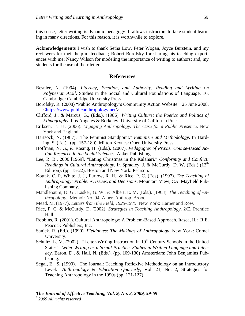this sense, letter writing is dynamic pedagogy. It allows instructors to take student learning in many directions. For this reason, it is worthwhile to explore.

**Acknowledgements** I wish to thank Setha Low, Peter Wogan, Joyce Burstein, and my reviewers for their helpful feedback; Robert Borofsky for sharing his teaching experiences with me; Nancy Wilson for modeling the importance of writing to authors; and, my students for the use of their letters.

### **References**

- Besnier, N. (1994). *Literacy, Emotion, and Authority: Reading and Writing on Polynesian Atoll*. Studies in the Social and Cultural Foundations of Language, 16. Cambridge: Cambridge University Press.
- Borofsky, R. (2008) "Public Anthropology's Community Action Website." 25 June 2008. <https://www.publicanthropology.net/>.
- Clifford, J., & Marcus, G., (Eds.). (1986). *Writing Culture: the Poetics and Politics of Ethnography*. Los Angeles & Berkeley: University of California Press.
- Eriksen, T. H. (2006). *Engaging Anthropology: The Case for a Public Presence*. New York and England.
- Hartsock, N. (1987). "The Feminist Standpoint." *Feminism and Methodology*. In Harding, S. (Ed.). (pp. 157-180). Milton Keynes: Open University Press.
- Hoffman, N. G., & Rosing, H. (Eds.). (2007). *Pedagogies of Praxis. Course-Based Action Research in the Social Sciences*. Anker Publishing.
- Lee, R. B., 2006 [1969]. "Eating Christmas in the Kalahari." *Conformity and Conflict: Readings in Cultural Anthropology*. In Spradley, J. & McCurdy, D. W. (Eds.) (12<sup>th</sup> Edition). (pp. 15-22). Boston and New York: Pearson.
- Kottak, C. P, White, J. J., Furlow, R. H., & Rice, P. C. (Eds). (1997). *The Teaching of Anthropology: Problems, Issues, and Decisions*. Mountain View, CA: Mayfield Publishing Company.
- Mandlebaum, D. G., Lasker, G. W., & Albert, E. M. (Eds.). (1963). *The Teaching of Anthropology*.. Memoir No. 94, Amer. Anthrop. Assoc.
- Mead, M. (1977). *Letters from the Field, 1925-1975*. New York: Harper and Row.
- Rice, P. C. & McCurdy, D. (2002). *Strategies in Teaching Anthropology*, 2/E. Prentice Hall
- Robbins, R. (2001). Cultural Anthropology: A Problem-Based Approach. Itasca, IL: R.E. Peacock Publishers, Inc.
- Sanjek, R. (Ed.). (1990). *Fieldnotes: The Makings of Anthropology*. New York: Cornel University.
- Schultz, L. M. (2002). "Letter-Writing Instruction in  $19<sup>th</sup>$  Century Schools in the United States". *Letter Writing as a Social Practice. Studies in Written Language and Literacy*. Baron, D., & Hall, N. (Eds.). (pp. 109-130) Amsterdam: John Benjamins Publishing.
- Segal, E. S. (1990). "The Journal: Teaching Reflexive Methodology on an Introductory Level." *Anthropology & Education Quarterly*, Vol. 21, No. 2, Strategies for Teaching Anthropology in the 1990s (pp. 121-127).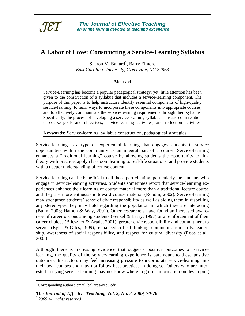

# **A Labor of Love: Constructing a Service-Learning Syllabus**

Sharon M. Ballard<sup>1</sup>, Barry Elmore *East Carolina University, Greenville, NC 27858* 

### **Abstract**

Service-Learning has become a popular pedagogical strategy; yet, little attention has been given to the construction of a syllabus that includes a service-learning component. The purpose of this paper is to help instructors identify essential components of high-quality service-learning, to learn ways to incorporate these components into appropriate courses, and to effectively communicate the service-learning requirements through their syllabus. Specifically, the process of developing a service-learning syllabus is discussed in relation to course goals and objectives, service-learning activities, and reflection activities.

**Keywords:** Service-learning, syllabus construction, pedagogical strategies.

Service-learning is a type of experiential learning that engages students in service opportunities within the community as an integral part of a course. Service-learning enhances a "traditional learning" course by allowing students the opportunity to link theory with practice, apply classroom learning to real-life situations, and provide students with a deeper understanding of course content.

Service-learning can be beneficial to all those participating, particularly the students who engage in service-learning activities. Students sometimes report that service-learning experiences enhance their learning of course material more than a traditional lecture course and they are more enthusiastic toward course material (Roodin, 2002). Service-learning may strengthen students' sense of civic responsibility as well as aiding them in dispelling any stereotypes they may hold regarding the population in which they are interacting (Butin, 2003; Hamon & Way, 2001). Other researchers have found an increased awareness of career options among students (Fenzel & Leary, 1997) or a reinforcement of their career choices (Blieszner & Artale, 2001), greater civic responsibility and commitment to service (Eyler & Giles, 1999), enhanced critical thinking, communication skills, leadership, awareness of social responsibility, and respect for cultural diversity (Roos et al., 2005).

Although there is increasing evidence that suggests positive outcomes of servicelearning, the quality of the service-learning experience is paramount to these positive outcomes. Instructors may feel increasing pressure to incorporate service-learning into their own courses and may not follow best practices in doing so. Others who are interested in trying service-learning may not know where to go for information on developing

 $\overline{a}$ 

<sup>&</sup>lt;sup>1</sup> Corresponding author's email: ballards@ecu.edu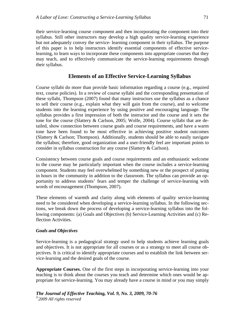their service-learning course component and then incorporating the component into their syllabus. Still other instructors may develop a high quality service-learning experience but not adequately convey the service- learning component in their syllabus. The purpose of this paper is to help instructors identify essential components of effective servicelearning, to learn ways to incorporate these components into appropriate courses that they may teach, and to effectively communicate the service-learning requirements through their syllabus.

### **Elements of an Effective Service-Learning Syllabus**

Course syllabi do more than provide basic information regarding a course (e.g., required text, course policies). In a review of course syllabi and the corresponding presentation of these syllabi, Thompson (2007) found that many instructors use the syllabus as a chance to sell their course (e.g., explain what they will gain from the course), and to welcome students into the learning experience by using positive and encouraging language. The syllabus provides a first impression of both the instructor and the course and it sets the tone for the course (Slattery & Carlson, 2005; Wolfe, 2004). Course syllabi that are detailed, show connection between course goals and course requirements, and have a warm tone have been found to be most effective in achieving positive student outcomes (Slattery & Carlson; Thompson). Additionally, students should be able to easily navigate the syllabus; therefore, good organization and a user-friendly feel are important points to consider in syllabus construction for any course (Slattery & Carlson).

Consistency between course goals and course requirements and an enthusiastic welcome to the course may be particularly important when the course includes a service-learning component. Students may feel overwhelmed by something new or the prospect of putting in hours in the community in addition to the classroom. The syllabus can provide an opportunity to address students' fears and temper the challenge of service-learning with words of encouragement (Thompson, 2007).

These elements of warmth and clarity along with elements of quality service-learning need to be considered when developing a service-learning syllabus. In the following sections, we break down the process of developing a service-learning syllabus into the following components: (a) Goals and Objectives (b) Service-Learning Activities and (c) Reflection Activities.

#### *Goals and Objectives*

Service-learning is a pedagogical strategy used to help students achieve learning goals and objectives. It is not appropriate for all courses or as a strategy to meet all course objectives. It is critical to identify appropriate courses and to establish the link between service-learning and the desired goals of the course.

**Appropriate Courses.** One of the first steps in incorporating service-learning into your teaching is to think about the courses you teach and determine which ones would be appropriate for service-learning. You may already have a course in mind or you may simply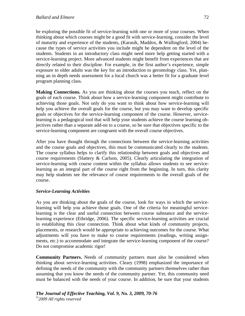be exploring the possible fit of service-learning with one or more of your courses. When thinking about which courses might be a good fit with service-learning, consider the level of maturity and experience of the students, (Karasik, Maddox, & Wallingford, 2004) because the types of service activities you include might be dependent on the level of the students. Students in an introductory class might need more help getting started with a service-learning project. More advanced students might benefit from experiences that are directly related to their discipline. For example, in the first author's experience, simple exposure to older adults was the key for an introduction to gerontology class. Yet, planning an in depth needs assessment for a local church was a better fit for a graduate level program planning class.

**Making Connections.** As you are thinking about the courses you teach, reflect on the goals of each course. Think about how a service-learning component might contribute to achieving those goals. Not only do you want to think about how service-learning will help you achieve the overall goals for the course, but you may want to develop specific goals or objectives for the service-learning component of the course. However, servicelearning is a pedagogical tool that will help your students achieve the course learning objectives rather than a separate add-on to a course, so be sure that objectives specific to the service-learning component are congruent with the overall course objectives.

After you have thought through the connections between the service-learning activities and the course goals and objectives, this must be communicated clearly to the students. The course syllabus helps to clarify this relationship between goals and objectives and course requirements (Slattery  $&$  Carlson, 2005). Clearly articulating the integration of service-learning with course content within the syllabus allows students to see servicelearning as an integral part of the course right from the beginning. In turn, this clarity may help students see the relevance of course requirements to the overall goals of the course.

### *Service-Learning Activities*

As you are thinking about the goals of the course, look for ways in which the servicelearning will help you achieve those goals. One of the criteria for meaningful servicelearning is the clear and useful connection between course substance and the servicelearning experience (Ethridge, 2006). The specific service-learning activities are crucial in establishing this clear connection. Think about what kinds of community projects, placements, or research would be appropriate to achieving outcomes for the course. What adjustments will you have to make to course requirements (readings, writing assignments, etc.) to accommodate and integrate the service-learning component of the course? Do not compromise academic rigor!

**Community Partners.** Needs of community partners must also be considered when thinking about service-learning activities. Cleary (1998) emphasized the importance of defining the needs of the community with the community partners themselves rather than assuming that you know the needs of the community partner. Yet, this community need must be balanced with the needs of your course. In addition, be sure that your students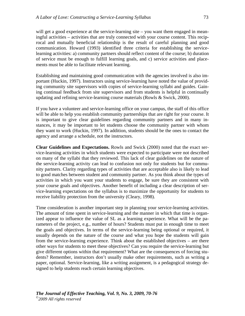will get a good experience at the service-learning site – you want them engaged in meaningful activities – activities that are truly connected with your course content. This reciprocal and mutually beneficial relationship is the result of careful planning and good communication. Howard (1993) identified three criteria for establishing the servicelearning activities: a) community partners should reflect content of the course; b) duration of service must be enough to fulfill learning goals, and c) service activities and placements must be able to facilitate relevant learning.

Establishing and maintaining good communication with the agencies involved is also important (Huckin, 1997). Instructors using service-learning have noted the value of providing community site supervisors with copies of service-learning syllabi and guides. Gaining continual feedback from site supervisors and from students is helpful in continually updating and refining service-learning course materials (Rowls & Swick, 2000).

If you have a volunteer and service-learning office on your campus, the staff of this office will be able to help you establish community partnerships that are right for your course. It is important to give clear guidelines regarding community partners and in many instances, it may be important to let students choose the community partner with whom they want to work (Huckin, 1997). In addition, students should be the ones to contact the agency and arrange a schedule, not the instructors.

**Clear Guidelines and Expectations.** Rowls and Swick (2000) noted that the exact service-learning activities in which students were expected to participate were not described on many of the syllabi that they reviewed. This lack of clear guidelines on the nature of the service-learning activity can lead to confusion not only for students but for community partners. Clarity regarding types of activities that are acceptable also is likely to lead to good matches between student and community partner. As you think about the types of activities in which you want your students to engage, be sure they are consistent with your course goals and objectives. Another benefit of including a clear description of service-learning expectations on the syllabus is to maximize the opportunity for students to receive liability protection from the university (Cleary, 1998).

Time consideration is another important step in planning your service-learning activities. The amount of time spent in service-learning and the manner in which that time is organized appear to influence the value of SL as a learning experience. What will be the parameters of the project, e.g., number of hours? Students must put in enough time to meet the goals and objectives. In terms of the service-learning being optional or required, it usually depends on the nature of the course and what you hope the students will gain from the service-learning experience. Think about the established objectives – are there other ways for students to meet these objectives? Can you require the service-learning but give different options within that requirement? What are the consequences of forcing students? Remember, instructors don't usually make other requirements, such as writing a paper, optional. Service-learning, like a writing assignment, is a pedagogical strategy designed to help students reach certain learning objectives.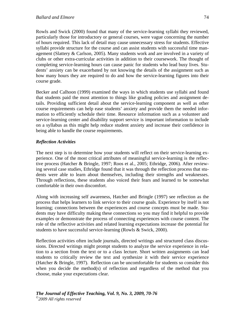Rowls and Swick (2000) found that many of the service-learning syllabi they reviewed, particularly those for introductory or general courses, were vague concerning the number of hours required. This lack of detail may cause unnecessary stress for students. Effective syllabi provide structure for the course and can assist students with successful time management (Slattery & Carlson, 2005). Many students work and are involved in a variety of clubs or other extra-curricular activities in addition to their coursework. The thought of completing service-learning hours can cause panic for students who lead busy lives. Students' anxiety can be exacerbated by not knowing the details of the assignment such as how many hours they are required to do and how the service-learning figures into their course grade.

Becker and Calhoon (1999) examined the ways in which students use syllabi and found that students paid the most attention to things like grading policies and assignment details. Providing sufficient detail about the service-learning component as well as other course requirements can help ease students' anxiety and provide them the needed information to efficiently schedule their time. Resource information such as a volunteer and service-learning center and disability support service is important information to include on a syllabus as this might help reduce student anxiety and increase their confidence in being able to handle the course requirements.

## *Reflection Activities*

The next step is to determine how your students will reflect on their service-learning experience. One of the most critical attributes of meaningful service-learning is the reflective process (Hatcher & Bringle, 1997; Roos et al., 2005; Ethridge, 2006). After reviewing several case studies, Ethridge found that it was through the reflection process that students were able to learn about themselves, including their strengths and weaknesses. Through reflections, these students also voiced their fears and learned to be somewhat comfortable in their own discomfort.

Along with increasing self awareness, Hatcher and Bringle (1997) see reflection as the process that helps learners to link service to their course goals. Experience by itself is not learning; connections between the experiences and course concepts must be made. Students may have difficulty making these connections so you may find it helpful to provide examples or demonstrate the process of connecting experiences with course content. The role of the reflective activities and related learning expectations increase the potential for students to have successful service-learning (Rowls & Swick, 2000).

Reflection activities often include journals, directed writings and structured class discussions. Directed writings might prompt students to analyze the service experience in relation to a section from the text or to a class lecture. Short written assignments can lead students to critically review the text and synthesize it with their service experience (Hatcher & Bringle, 1997). Reflection can be uncomfortable for students so consider this when you decide the method(s) of reflection and regardless of the method that you choose, make your expectations clear.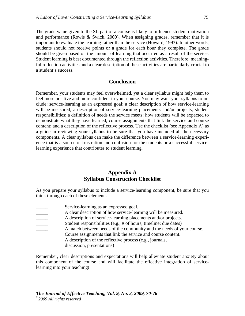The grade value given to the SL part of a course is likely to influence student motivation and performance (Rowls & Swick, 2000). When assigning grades, remember that it is important to evaluate the learning rather than the service (Howard, 1993). In other words, students should not receive points or a grade for each hour they complete. The grade should be given based on the amount of learning that occurred as a result of the service. Student learning is best documented through the reflection activities. Therefore, meaningful reflection activities and a clear description of these activities are particularly crucial to a student's success.

### **Conclusion**

Remember, your students may feel overwhelmed, yet a clear syllabus might help them to feel more positive and more confident in your course. You may want your syllabus to include: service-learning as an expressed goal; a clear description of how service-learning will be measured; a description of service-learning placements and/or projects; student responsibilities; a definition of needs the service meets; how students will be expected to demonstrate what they have learned; course assignments that link the service and course content; and a description of the reflective process. Use the checklist (see Appendix A) as a guide in reviewing your syllabus to be sure that you have included all the necessary components. A clear syllabus can make the difference between a service-learning experience that is a source of frustration and confusion for the students or a successful servicelearning experience that contributes to student learning.

### **Appendix A Syllabus Construction Checklist**

As you prepare your syllabus to include a service-learning component, be sure that you think through each of these elements.

| Service-learning as an expressed goal.                               |
|----------------------------------------------------------------------|
| A clear description of how service-learning will be measured.        |
| A description of service-learning placements and/or projects.        |
| Student responsibilities (e.g., # of hours; timeline; due dates)     |
| A match between needs of the community and the needs of your course. |
| Course assignments that link the service and course content.         |
| A description of the reflective process (e.g., journals,             |

discussion, presentations)

Remember, clear descriptions and expectations will help alleviate student anxiety about this component of the course and will facilitate the effective integration of servicelearning into your teaching!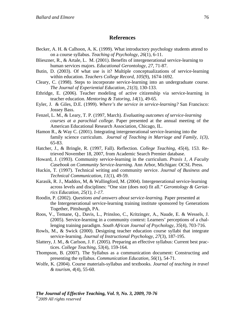### **References**

- Becker, A. H. & Calhoon, A. K. (1999). What introductory psychology students attend to on a course syllabus. *Teaching of Psychology, 26*(1), 6-11.
- Blieszner, R., & Artale, L. M. (2001). Benefits of intergenerational service-learning to human services majors. *Educational Gerontology, 27,* 71-87.
- Butin, D. (2003). Of what use is it? Multiple conceptualizations of service-learning within education. *Teachers College Record*, *105*(9), 1674-1692.
- Cleary, C. (1998). Steps to incorporate service-learning into an undergraduate course. *The Journal of Experiential Education, 21(3),* 130-133.
- Ethridge, E. (2006). Teacher modeling of active citizenship via service-learning in teacher education. *Mentoring & Tutoring*, *14*(1), 49-65.
- Eyler, J. & Giles, D.E. (1999). *Where's the service in service-learning?* San Francisco: Jossey Bass.
- Fenzel, L. M., & Leary, T. P. (1997, March). *Evaluating outcomes of service-learning courses at a parochial college.* Paper presented at the annual meeting of the American Educational Research Association, Chicago, IL.
- Hamon R., & Way C. (2001). Integrating intergenerational service-learning into the family science curriculum. *Journal of Teaching in Marriage and Family, 1(3),* 65-83.
- Hatcher, J., & Bringle, R. (1997, Fall). Reflection. *College Teaching*, *45*(4), 153. Retrieved November 18, 2007, from Academic Search Premier database.
- Howard, J. (1993). Community service-learning in the curriculum. *Praxis 1, A Faculty Casebook on Community Service-learning.* Ann Arbor, Michigan: OCSL Press.
- Huckin, T. (1997). Technical writing and community service. *Journal of Business and Technical Communication*, *11*(1), 49-59.
- Karasik, R. J., Maddox, M, & Wallingford, M. (2004). Intergenerational service-learning across levels and disciplines: "One size (does not) fit all." *Gerontology & Geriatrics Education, 25(1), 1-17.*
- Roodin, P. (2002). *Questions and answers about service-learning.* Paper presented at the Intergenerational service-learning training institute sponsored by Generations Together, Pittsburgh, PA.
- Roos, V., Temane, Q., Davis, L., Prinsloo, C., Kritzinger, A., Naude, E. & Wessels, J. (2005). Service-learning in a community context: Learners' perceptions of a challenging training paradigm. *South African Journal of Psychology*, *35*(4), 703-716.
- Rowls, M., & Swick (2000). Designing teacher education course syllabi that integrate service-learning. *Journal of Instructional Psychology*, *27*(3), 187-195.
- Slattery, J. M., & Carlson, J. F. (2005). Preparing an effective syllabus: Current best practices. *College Teaching, 53*(4), 159-164.
- Thompson, B. (2007). The Syllabus as a communication document: Constructing and presenting the syllabus. *Communication Education, 56*(1), 54-71.
- Wolfe, K. (2004). Course materials-syllabus and textbooks. *Journal of teaching in travel & tourism, 4*(4), 55-60.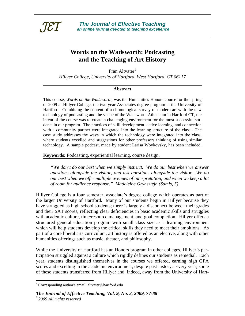

# **Words on the Wadsworth: Podcasting and the Teaching of Art History**

Fran Altvater<sup>1</sup> *Hillyer College, University of Hartford, West Hartford, CT 06117* 

### **Abstract**

This course, *Words on the Wadsworth*, was the Humanities Honors course for the spring of 2009 at Hillyer College, the two year Associates degree program at the University of Hartford. Combining the content of a chronological survey of modern art with the new technology of podcasting and the venue of the Wadsworth Atheneum in Hartford CT, the intent of the course was to create a challenging environment for the most successful students in our program. The practices of skill development, active learning, and connection with a community partner were integrated into the learning structure of the class. The case study addresses the ways in which the technology were integrated into the class, where students excelled and suggestions for other professors thinking of using similar technology. A sample podcast, made by student Larisa Woykovsky, has been included.

**Keywords:** Podcasting, experiential learning, course design.

*"We don't do our best when we simply instruct. We do our best when we answer questions alongside the visitor, and ask questions alongside the visitor…We do our best when we offer multiple avenues of interpretation, and when we keep a lot of room for audience response." Madeleine Grynsztejn (Samis, 5)* 

Hillyer College is a four semester, associate's degree college which operates as part of the larger University of Hartford. Many of our students begin in Hillyer because they have struggled as high school students; there is largely a disconnect between their grades and their SAT scores, reflecting clear deficiencies in basic academic skills and struggles with academic culture, time/resource management, and goal completion. Hillyer offers a structured general education program with small class size as a learning environment which will help students develop the critical skills they need to meet their ambitions. As part of a core liberal arts curriculum, art history is offered as an elective, along with other humanities offerings such as music, theater, and philosophy.

While the University of Hartford has an Honors program in other colleges, Hillyer's participation struggled against a culture which rigidly defines our students as remedial. Each year, students distinguished themselves in the courses we offered, earning high GPA scores and excelling in the academic environment, despite past history. Every year, some of these students transferred from Hillyer and, indeed, away from the University of Hart-

 $\overline{a}$ 

<sup>&</sup>lt;sup>1</sup> Corresponding author's email: altvater@hartford.edu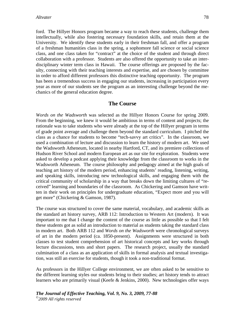ford. The Hillyer Honors program became a way to reach these students, challenge them intellectually, while also fostering necessary foundation skills, and retain them at the University. We identify these students early in their freshman fall, and offer a program of a freshman humanities class in the spring, a sophomore fall science or social science class, and one class taken for "contract" at the choice of the student and through direct collaboration with a professor. Students are also offered the opportunity to take an interdisciplinary winter term class in Hawaii. The course offerings are proposed by the faculty, connecting with their teaching interests and expertise, and are chosen by committee in order to afford different professors this distinctive teaching opportunity. The program has been a tremendous success in engaging our students, increasing in participation every year as more of our students see the program as an interesting challenge beyond the mechanics of the general education degree.

## **The Course**

*Words on the Wadsworth* was selected as the Hillyer Honors Course for spring 2009. From the beginning, we knew it would be ambitious in terms of content and projects; the rationale was to take students who were already at the top of the Hillyer program in terms of grade point average and challenge them beyond the standard curriculum. I pitched the class as a chance for students to become "tech-savvy art critics". In the classroom, we used a combination of lecture and discussion to learn the history of modern art. We used the Wadsworth Atheneum, located in nearby Hartford, CT, and its premiere collections of Hudson River School and modern European art as our site for exploration. Students were asked to develop a podcast applying their knowledge from the classroom to works in the Wadsworth Atheneum. The course philosophy and pedagogy aimed at the high goals of teaching art history of the modern period, enhancing students' reading, listening, writing, and speaking skills, introducing new technological skills, and engaging them with the critical community of scholarship in a way that breaks down the limiting cultures of "received" learning and boundaries of the classroom. As Chickering and Gamson have written in their work on principles for undergraduate education, "Expect more and you will get more" (Chickering & Gamson, 1987).

The course was structured to cover the same material, vocabulary, and academic skills as the standard art history survey, ARB 112: Introduction to Western Art (modern). It was important to me that I change the content of the course as little as possible so that I felt these students got as solid an introduction to material as students taking the standard class in modern art. Both ARB 112 and *Words on the Wadsworth* were chronological surveys of art in the modern period (ca. 1850-present). Assignments were structured in both classes to test student comprehension of art historical concepts and key works through lecture discussions, tests and short papers. The research project, usually the standard culmination of a class as an application of skills in formal analysis and textual investigation, was still an exercise for students, though it took a non-traditional format.

As professors in the Hillyer College environment, we are often asked to be sensitive to the different learning styles our students bring to their studies; art history tends to attract learners who are primarily visual (Keefe & Jenkins, 2000). New technologies offer ways

*The Journal of Effective Teaching, Vol. 9, No. 3, 2009, 77-88 ©2009 All rights reserved*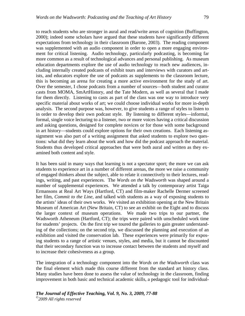to reach students who are stronger in aural and read/write areas of cognition (Buffington, 2000); indeed some scholars have argued that these students have significantly different expectations from technology in their classroom (Barone, 2003). The reading component was supplemented with an audio component in order to open a more engaging environment for critical listening. Audio technology, particularly podcasting, is becoming far more common as a result of technological advances and personal publishing. As museum education departments explore the use of audio technology to reach new audiences, including internally created podcasts of exhibit tours and interviews with curators and artists, and educators explore the use of podcasts as supplements to the classroom lecture, this is becoming an arena for creating a more active environment for the study of art. Over the semester, I chose podcasts from a number of sources—both student and curator casts from MOMA, SmArtHistory, and the Tate Modern, as well as several that I made for them directly. Listening to casts as part of the class was one way to introduce very specific material about works of art; we could choose individual works for more in-depth analysis. The second purpose was, however, to give students a range of styles to listen to in order to develop their own podcast style. By listening to different styles—informal, formal, single voice lecturing to a listener, two or more voices having a critical discussion and asking questions, designed for complete novices or for those with some background in art history—students could explore options for their own creations. Each listening assignment was also part of a writing assignment that asked students to explore two questions: what did they learn about the work and how did the podcast approach the material. Students thus developed critical approaches that were both aural and written as they examined both content and style.

It has been said in many ways that learning is not a spectator sport; the more we can ask students to experience art in a number of different arenas, the more we raise a community of engaged thinkers about the subject, able to relate it connectively to their lectures, readings, writing, and past experiences. The *Words on the Wadsworth* was shaped around a number of supplemental experiences. We attended a talk by contemporary artist Taiga Ermansons at Real Art Ways (Hartford, CT) and film-maker Rachelle Dermer screened her film, *Commit to the Line*, and talked with students as a way of exposing students to the artists' ideas of their own works. We visited an exhibition opening at the New Britain Museum of American Art (New Britain, CT) to see an exhibit on the Eight and to discuss the larger context of museum operations. We made two trips to our partner, the Wadsworth Atheneum (Hartford, CT); the trips were paired with unscheduled work time for students' projects. On the first trip we toured the galleries to gain greater understanding of the collections; on the second trip, we discussed the planning and execution of an exhibition and visited the conservation lab. These experiences were primarily for exposing students to a range of artistic venues, styles, and media, but it cannot be discounted that their secondary function was to increase contact between the students and myself and to increase their cohesiveness as a group.

The integration of a technology component into the *Words on the Wadsworth* class was the final element which made this course different from the standard art history class. Many studies have been done to assess the value of technology in the classroom, finding improvement in both basic and technical academic skills, a pedagogic tool for individual-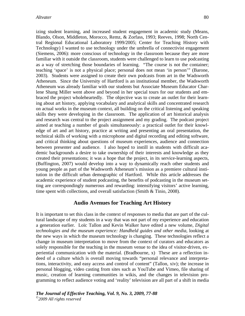izing student learning, and increased student engagement in academic study (Means, Blando, Olson, Middleton, Morocco, Remz, & Zorfass, 1993; Reeves, 1998; North Central Regional Educational Laboratory 1999/2005; Center for Teaching History with Technology) I wanted to use technology under the umbrella of connectivist engagement (Siemens, 2006): more conscious of technology in the classroom because they are more familiar with it outside the classroom, students were challenged to learn to use podcasting as a way of stretching those boundaries of learning. "The course is not the container; teaching 'space' is not a physical place; personal does not mean 'in person'" (Barone, 2003). Students were assigned to create their own podcasts from art in the Wadsworth Atheneum. Since the University of Hartford is an institutional member, the Wadsworth Atheneum was already familiar with our students but Associate Museum Educator Charlene Shang Miller went above and beyond in her special tours for our students and embraced the project wholeheartedly. The objective was to create an outlet for their learning about art history, applying vocabulary and analytical skills and concentrated research on actual works in the museum context, all building on the critical listening and speaking skills they were developing in the classroom. The application of art historical analysis and research was central to the project assignment and my grading. The podcast project aimed at teaching a number of goals simultaneously: a practical outlet for their knowledge of art and art history, practice at writing and presenting an oral presentation, the technical skills of working with a microphone and digital recording and editing software, and critical thinking about questions of museum experiences, audience and connection between presenter and audience. I also hoped to instill in students with difficult academic backgrounds a desire to take ownership of their interests and knowledge as they created their presentations; it was a hope that the project, in its service-learning aspects, (Buffington, 2007) would develop into a way to dynamically reach other students and young people as part of the Wadsworth Atheneum's mission as a premiere cultural institution in the difficult urban demographic of Hartford. While this article addresses the academic experience of student podcasting, the benefits of podcasting in the museum setting are correspondingly numerous and rewarding: intensifying visitors' active learning, time spent with collections, and overall satisfaction (Smith & Tinio, 2008).

### **Audio Avenues for Teaching Art History**

It is important to set this class in the context of responses to media that are part of the cultural landscape of my students in a way that was not part of my experience and education a generation earlier. Loïc Tallon and Kevin Walker have edited a new volume, *Digital technologies and the museum experience: Handheld guides and other media*, looking at the new ways in which the museum technology is changing. These technologies reflect a change in museum interpretation to move from the context of curators and educators as solely responsible for the teaching in the museum venue to the idea of visitor-driven, experiential communication with the material. (Bradbourne, x) These are a reflection indeed of a culture which is overall moving towards "personal relevance and interpretations, interactivity, and easy access and control of content" (Tallon, xiv); the increase in personal blogging, video casting from sites such as YouTube and Vimeo, file sharing of music, creation of learning communities in wikis, and the changes in television programming to reflect audience voting and 'reality' television are all part of a shift in media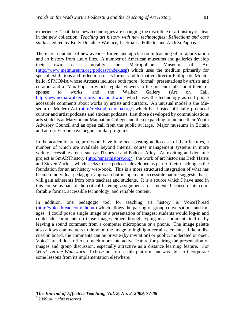experience. That these new technologies are changing the discipline of art history is clear in the new collection, *Teaching art history with new technologies: Reflections and case studies*, edited by Kelly Donahue-Wallace, Laetitia La Follette, and Andrea Pappas.

There are a number of new avenues for enhancing classroom teaching of art appreciation and art history from audio files. A number of American museums and galleries develop their own casts, notably the Metropolitan Museum of Art (http://www.metmuseum.org/podcast/index.asp) which uses the medium primarily for special exhibitions and reflections of its former and formative director Phillipe de Montebello, SFMOMA whose Artcasts includes both more "formal" presentations by artists and curators and a "Vox Pop" in which regular viewers to the museum talk about their response to works, and the Walker Gallery (Art on Call, http://newmedia.walkerart.org/aoc/about.wac) which uses the technology as cell phone accessible comments about works by artists and curators. An unusual model is the Museum of Modern Art (http://redstudio.moma.org/) which has hosted officially produced curator and artist podcasts and student podcasts, first those developed by communications arts students at Marymount Manhattan College and then expanding to include their Youth Advisory Council and an open call from the public at large. Major museums in Britain and across Europe have begun similar programs.

In the academic arena, professors have long been posting audio casts of their lectures, a number of which are available beyond internal course management systems in more widely accessible arenas such as ITunes U and Podcast Alley. An exciting and dynamic project is SmARThistory (http://smarthistory.org/), the work of art historians Beth Harris and Steven Zucker, which seeks to use podcasts developed as part of their teaching as the foundation for an art history web-book. This is a more structured integration of what has been an individual pedagogic approach but its open and accessible nature suggests that it will gain adherents from both teachers and students. It is a source which I have used in this course as part of the critical listening assignments for students because of its comfortable format, accessible technology, and reliable content.

In addition, one pedagogic tool for teaching art history is VoiceThread (http://voicethread.com/#home) which allows the pairing of group conversations and images. I could post a single image or a presentation of images; students would log-in and could add comments on those images either through typing in a comment field or by leaving a sound comment from a computer microphone or a phone. The image palette also allows commenters to draw on the image to highlight certain elements. Like a discussion board, the comments can be private (by invitation) or public, moderated or open. VoiceThread does offers a much more interactive feature for pairing the presentation of images and group discussion, especially attractive as a distance learning feature. For *Words on the Wadsworth*, I chose not to use this platform but was able to incorporate some lessons from its implementation elsewhere.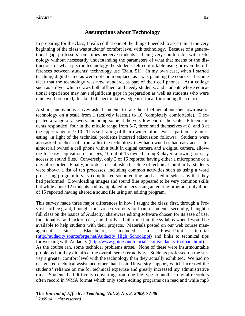## **Assumptions about Technology**

In preparing for the class, I realized that one of the things I needed to ascertain at the very beginning of the class was students' comfort level with technology. Because of a generational gap, professors sometimes perceive students as being very comfortable with technology without necessarily understanding the parameters of what that means or the distinctions of what specific technology the students felt comfortable using or even the differences between students' technology use (Bain, 51). In my own case, when I started teaching, digital cameras were not commonplace; as I was planning the course, it became clear that the technology was now standard, as part of their cell phones. At a college such as Hillyer which draws both affluent and needy students, and students whose educational experience may have significant gaps in preparation as well as students who were quite well prepared, this kind of specific knowledge is critical for running the course.

A short, anonymous survey asked students to rate their feelings about their own use of technology on a scale from 1 (actively fearful) to 10 (completely comfortable). I expected a range of answers, including some at the very low end of the scale. Fifteen students responded: four in the middle range from 5-7, three rated themselves at 8, and 8 at the upper range of 9-10. This self rating of their own comfort level is particularly interesting, in light of the technical problems incurred (discussion follows). Students were also asked to check off from a list the technology they had owned or had easy access to: almost all owned a cell phone with a built in digital camera and a digital camera, allowing for easy acquisition of images; 10 out of 15 owned an mp3 player, allowing for easy access to sound files. Conversely, only 3 of 15 reported having either a microphone or a digital recorder. Finally, in order to establish a baseline of technical familiarity, students were shown a list of ten processes, including common activities such as using a word processing program to very complicated sound editing, and asked to select any that they had performed. Downloading images and sound files appeared to be very common skills but while about 12 students had manipulated images using an editing program, only 4 out of 15 reported having altered a sound file using an editing program.

This survey made three major differences in how I taught the class: first, through a Provost's office grant, I bought four voice recorders for loan to students; secondly, I taught a full class on the basics of Audacity, shareware editing software chosen for its ease of use, functionality, and lack of cost, and thirdly, I built time into the syllabus when I would be available to help students with their projects. Materials posted on our web course management site, Blackboard, included a PowerPoint tutorial (http://audacity.sourceforge.net/Audacity\_High\_School.ppt) and links to technical tips for working with Audacity (http://www.guidesandtutorials.com/audacity-toolbars.html). As the course ran, some technical problems arose. None of these were insurmountable problems but they did affect the overall semester activity. Students professed on the survey a greater comfort level with the technology than they actually exhibited. We had no designated technical assistance other than basic University support, which increased the students' reliance on me for technical expertise and greatly increased my administrative time. Students had difficulty converting from one file type to another; digital recorders often record in WMA format which only some editing programs can read and while mp3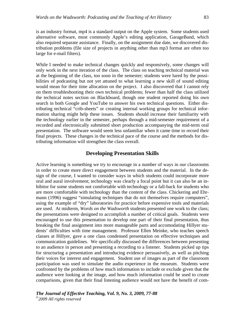is an industry format, mp4 is a standard output on the Apple system. Some students used alternative software, most commonly Apple's editing application, GarageBand, which also required separate assistance. Finally, on the assignment due date, we discovered distribution problems (file size of projects in anything other than mp3 format are often too large for e-mail filters).

While I needed to make technical changes quickly and responsively, some changes will only work in the next iteration of the class. The class on teaching technical material was at the beginning of the class, too soon in the semester; students were lured by the possibilities of podcasting but not yet attuned to what learning a new skill of sound editing would mean for their time allocation on the project. I also discovered that I cannot rely on them troubleshooting their own technical problems; fewer than half the class utilized the technical notes section on Blackboard, though one student reported doing his own search in both Google and YouTube to answer his own technical questions. Either distributing technical "crib-sheets" or creating internal working groups for technical information sharing might help these issues. Students should increase their familiarity with the technology earlier in the semester, perhaps through a mid-semester requirement of a recorded and electronically submitted short production accompanying the mid-term oral presentation. The software would seem less unfamiliar when it came time to record their final projects. These changes in the technical pace of the course and the methods for distributing information will strengthen the class overall.

### **Developing Presentation Skills**

Active learning is something we try to encourage in a number of ways in our classrooms in order to create more direct engagement between students and the material. In the design of the course, I wanted to consider ways in which students could incorporate more oral and aural involvement; technology was clearly a focal point but it can also be an inhibitor for some students not comfortable with technology or a fall-back for students who are more comfortable with technology than the content of the class. Chickering and Ehrmann (1996) suggest "simulating techniques that do not themselves require computers", using the example of "dry" laboratories for practice before expensive tools and materials are used. At midterm, *Words on the Wadsworth* students presented one work to the class; the presentations were designed to accomplish a number of critical goals. Students were encouraged to use this presentation to develop one part of their final presentation, thus breaking the final assignment into more manageable parts and accomodating Hillyer students' difficulties with time management. Professor Ellen Meinke, who teaches speech classes at Hillyer, gave a one class condensed presentation on effective techniques and communication guidelines. We specifically discussed the differences between presenting to an audience in person and presenting a recording to a listener. Students picked up tips for structuring a presentation and introducing evidence persuasively, as well as pitching their voices for interest and engagement. Student use of images as part of the classroom participation was used to simulate the audio experience in the museum. Students were confronted by the problems of how much information to include or exclude given that the audience were looking at the image, and how much information could be used to create comparisons, given that their final listening audience would not have the benefit of com-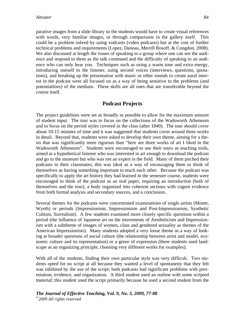parative images from a slide library so the students would have to create visual references with words, very familiar images, or through comparisons in the gallery itself. This could be a problem solved by using vodcasts (video podcasts) but at the cost of further technical problems and requirements (Lopez, Daneau, Merrill Rosoff, & Congdon, 2008). We also discussed at length the issues of speaking to a group where one can see the audience and respond to them as the talk continued and the difficulty of speaking to an audience who can only hear you. Techniques such as using a warm tone and extra energy, introducing oneself to the listener, using second voices (interviews, questions, quotations), and breaking up the presentation with music or other sounds to create aural interest in the podcast were all focused on as a way of being sensitive to the problems (and potentialities) of the medium. These skills are all ones that are transferable beyond the course itself.

# **Podcast Projects**

The project guidelines were set as broadly as possible to allow for the maximum amount of student input. The tour was to focus on the collections of the Wadsworth Atheneum and to focus on the period styles covered in the class (after 1840). The tour should cover about 10-15 minutes of time and it was suggested that students cover around three works in detail. Beyond that, students were asked to develop their own theme, aiming for a thesis that was significantly more rigorous than "here are three works of art I liked in the Wadsworth Atheneum". Students were encouraged to use their tours as teaching tools, aimed at a hypothetical listener who was interested in art enough to download the podcast and go to the museum but who was not an expert in the field. Many of them pitched their podcasts to their classmates; this was ideal as a way of encouraging them to think of themselves as having something important to teach each other. Because the podcast was specifically to apply the art history they had learned in the semester course, students were encouraged to think of the podcast as an oral paper, requiring an introduction (both of themselves and the tour), a body organized into coherent sections with cogent evidence from both formal analysis and secondary sources, and a conclusion.

Several themes for the podcasts were concentrated examinations of single artists (Monet, Wyeth) or periods (Impressionism, Impressionism and Post-Impressionism, Synthetic Cubism, Surrealism). A few students examined more closely specific questions within a period (the influence of Japanese art on the movements of Aestheticism and Impressionism with a subtheme of images of women, class and gendered sexuality as themes of the American Impressionists). Many students adopted a very loose theme as a way of looking at broader questions of social culture (the relationship between artist and model, economic culture and its representation) or a genre of expression (three students used landscape as an organizing principle, choosing very different works for examples).

With all of the students, finding their own particular style was very difficult. Two students opted for no script at all because they wanted a level of spontaneity that they felt was inhibited by the use of the script; both podcasts had significant problems with presentation, evidence, and organization. A third student used an outline with some scripted material; this student used the script primarily because he used a second student from the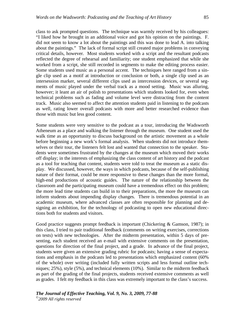class to ask prompted questions. The technique was warmly received by his colleagues: "I liked how he brought in an additional voice and got his opinion on the paintings. F. did not seem to know a lot about the paintings and this was done to lead A. into talking about the paintings." The lack of formal script still created major problems in conveying critical details, however. Most students worked with a script and the resultant podcasts reflected the degree of rehearsal and familiarity; one student emphasized that while she worked from a script, she still recorded in segments to make the editing process easier. Some students used music as a personal accent. The techniques here ranged from a single clip used as a motif at introduction or conclusion or both, a single clip used as an intersession marker, several different clips used as intercession devices, or several segments of music played under the verbal track as a mood setting. Music was alluring, however; it leant an air of polish to presentations which students looked for, even when technical problems such as fading and volume level were distracting from the content track. Music also seemed to affect the attention students paid in listening to the podcasts as well, rating lower overall podcasts with more and better researched evidence than those with music but less good content.

Some students were very sensitive to the podcast as a tour, introducing the Wadsworth Atheneum as a place and walking the listener through the museum. One student used the walk time as an opportunity to discuss background on the artistic movement as a whole before beginning a new work's formal analysis. When students did not introduce themselves or their tour, the listeners felt lost and wanted that connection to the speaker. Students were sometimes frustrated by the changes at the museum which moved their works off display; in the interests of emphasizing the class content of art history and the podcast as a tool for teaching that content, students were told to treat the museum as a static display. We discussed, however, the ways in which podcasts, because of the self-publishing nature of their format, could be more responsive to these changes than the more formal, high-end productions of acoustic guides. The nature of the relationship between the classroom and the participating museum could have a tremendous effect on this problem; the more lead time students can build in to their preparations, the more the museum can inform students about impending display changes. There is tremendous potential in an academic museum, where advanced classes are often responsible for planning and designing an exhibition, for the technology of podcasting to open new educational directions both for students and visitors.

Good practice suggests prompt feedback is important (Chickering & Gamson, 1987); in this class, I tried to pair traditional feedback (comments on writing exercises, corrections on tests) with new technologies. After the midterm presentation, within 5 days of presenting, each student received an e-mail with extensive comments on the presentation, questions for direction of the final project, and a grade. In advance of the final project, students were given an extensive grading rubric for podcasts; having a sense of expectations and emphasis in the podcasts led to presentations which emphasized content (60% of the whole) over writing (included fully written scripts and less formal outline techniques; 25%), style (5%), and technical elements (10%). Similar to the midterm feedback as part of the grading of the final projects, students received extensive comments as well as grades. I felt my feedback in this class was extremely important to the class's success.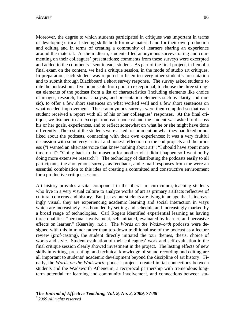Moreover, the degree to which students participated in critiques was important in terms of developing critical listening skills both for new material and for their own production and editing and in terms of creating a community of learners sharing an experience around the material. At the midterm, students filed anonymous surveys rating and commenting on their colleagues' presentations; comments from these surveys were excerpted and added to the comments I sent to each student. As part of the final project, in lieu of a final exam on the content, we had a critique session, in the mode of studio art critiques. In preparation, each student was required to listen to every other student's presentation and to submit through Blackboard a short survey response. The survey asked students to rate the podcast on a five point scale from poor to exceptional, to choose the three strongest elements of the podcast from a list of characteristics (including elements like choice of images, research, formal analysis, and presentation elements such as clarity and music), to offer a few short sentences on what worked well and a few short sentences on what needed improvement. These anonymous surveys were then compiled so that each student received a report with all of his or her colleagues' responses. At the final critique, we listened to an excerpt from each podcast and the student was asked to discuss his or her goals, experiences, and to reflect somewhat on what he or she might have done differently. The rest of the students were asked to comment on what they had liked or not liked about the podcasts, connecting with their own experiences; it was a very fruitful discussion with some very critical and honest reflection on the end projects and the process ("I wanted an alternate voice that knew nothing about art"; "I should have spent more time on it"; "Going back to the museum for another visit didn't happen so I went on by doing more extensive research"). The technology of distributing the podcasts easily to all participants, the anonymous surveys as feedback, and e-mail responses from me were an essential combination to this idea of creating a committed and constructive environment for a productive critique session.

Art history provides a vital component in the liberal art curriculum, teaching students who live in a very visual culture to analyze works of art as primary artifacts reflective of cultural concerns and history. But just as our students are living in an age that is increasingly visual, they are experiencing academic learning and social interaction in ways which are increasingly less bounded by setting and schedule and increasingly marked by a broad range of technologies. Carl Rogers identified experiential learning as having three qualities: "personal involvement, self-initiated, evaluated by learner, and pervasive effects on learner." (Kearsley, n.d.). The *Words on the Wadsworth* podcasts were designed with this in mind: rather than top-down traditional use of the podcast as a lecture review (prof-casting), the student directly initiated the tour themes, thesis, choice of works and style. Student evaluation of their colleagues' work and self-evaluation in the final critique session clearly showed investment in the project. The lasting effects of new skills in writing, presenting, and technical knowledge of sound recording and editing are all important to students' academic development beyond the discipline of art history. Finally, the *Words on the Wadsworth* podcast projects created initial connections between students and the Wadsworth Atheneum, a reciprocal partnership with tremendous longterm potential for learning and community involvement, and connections between stu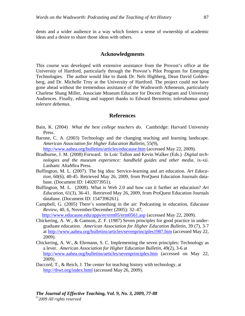dents and a wider audience in a way which fosters a sense of ownership of academic ideas and a desire to share those ideas with others.

### **Acknowledgments**

This course was developed with extensive assistance from the Provost's office at the University of Hartford, particularly through the Provost's Pilot Program for Emerging Technologies. The author would like to thank Dr. Nels Highberg, Dean David Goldenberg, and Dr. Michelle Troy at the University of Hartford. The project could not have gone ahead without the tremendous assistance of the Wadsworth Atheneum, particularly Charlene Shang Miller, Associate Museum Educator for Docent Program and University Audiences. Finally, editing and support thanks to Edward Bernstein; *tolerabamus quod tolerare debemus*.

### **References**

- Bain, K. (2004) *What the best college teachers do*. Cambridge: Harvard University Press.
- Barone, C. A. (2003) Technology and the changing teaching and learning landscape. *American Association for Higher Education Bulletin*, 55(9),

http://www.aahea.org/bulletins/articles/educause.htm (accessed May 22, 2009).

- Bradburne, J. M. (2008) Forward. In Loïc Tallon and Kevin Walker (Eds.) *Digital technologies and the museum experience: handheld guides and other media*. ix-xii. Lanham: AltaMira Press.
- Buffington, M. L. (2007). The big idea: Service-learning and art education. *Art Education*, 60(6), 40-45. Retrieved May 26, 2009, from ProQuest Education Journals database. (Document ID: 1402073951).
- Buffington, M. L. (2008). What is Web 2.0 and how can it further art education? *Art Education*, 61(3), 36-41. Retrieved May 26, 2009, from ProQuest Education Journals database. (Document ID: 1547396261).
- Campbell, G. (2005) There's something in the air: Podcasting in education, *Educause Review*, 40, 6, November/December (2005): 32–47,

http://www.educause.edu/apps/er/erm05/erm0561.asp (accessed May 22, 2009).

- Chickering, A. W., & Gamson, Z. F. (1987) Seven principles for good practice in undergraduate education. *American Association for Higher Education Bulletin*, 39 (7), 3-7 at http://www.aahea.org/bulletins/articles/sevenprinciples1987.htm (accessed May 22, 2009).
- Chickering, A. W., & Ehrmann, S. C. Implementing the seven principles: Technology as a lever. *American Association for Higher Education Bulletin*, 49(2), 3-6 at http://www.aahea.org/bulletins/articles/sevenprinciples.htm (accessed on May 22, 2009).
- Daccord, T., & Reich, J. The center for teaching history with technology, at http://thwt.org/index.html (accessed May 26, 2009).

## *The Journal of Effective Teaching, Vol. 9, No. 3, 2009, 77-88*

*©2009 All rights reserved*